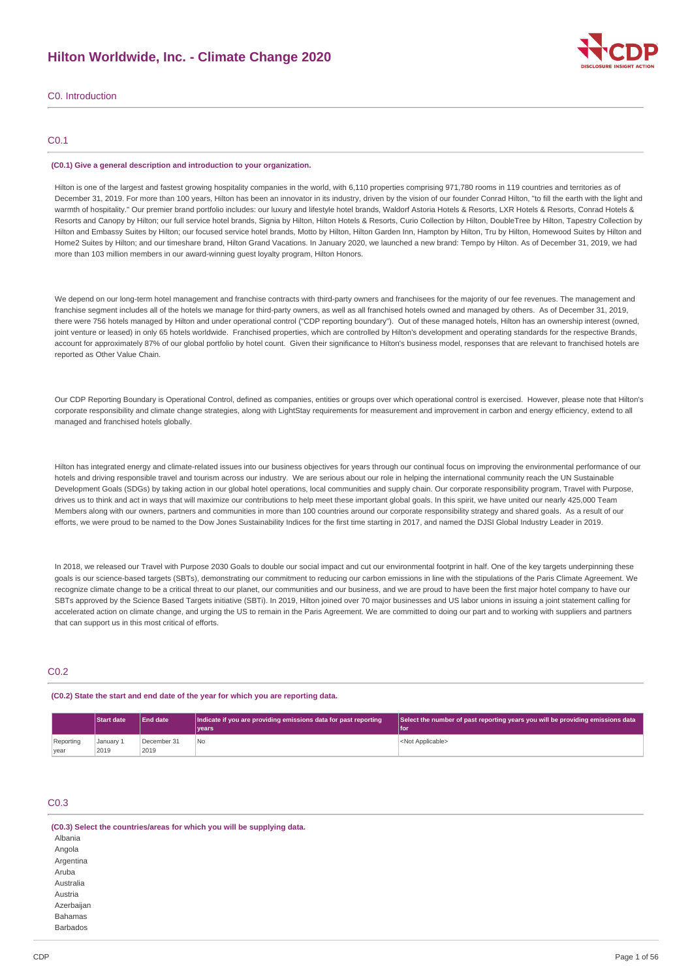## **Hilton Worldwide, Inc. - Climate Change 2020**



C0. Introduction

## C0.1

### **(C0.1) Give a general description and introduction to your organization.**

Hilton is one of the largest and fastest growing hospitality companies in the world, with 6,110 properties comprising 971,780 rooms in 119 countries and territories as of December 31, 2019. For more than 100 years, Hilton has been an innovator in its industry, driven by the vision of our founder Conrad Hilton, "to fill the earth with the light and warmth of hospitality." Our premier brand portfolio includes: our luxury and lifestyle hotel brands, Waldorf Astoria Hotels & Resorts, LXR Hotels & Resorts, Conrad Hotels & Resorts and Canopy by Hilton; our full service hotel brands, Signia by Hilton, Hilton Hotels & Resorts, Curio Collection by Hilton, DoubleTree by Hilton, Tapestry Collection by Hilton and Embassy Suites by Hilton; our focused service hotel brands, Motto by Hilton, Hilton Garden Inn, Hampton by Hilton, Tru by Hilton, Homewood Suites by Hilton and Home2 Suites by Hilton; and our timeshare brand, Hilton Grand Vacations. In January 2020, we launched a new brand: Tempo by Hilton. As of December 31, 2019, we had more than 103 million members in our award-winning guest loyalty program, Hilton Honors.

We depend on our long-term hotel management and franchise contracts with third-party owners and franchisees for the majority of our fee revenues. The management and franchise segment includes all of the hotels we manage for third-party owners, as well as all franchised hotels owned and managed by others. As of December 31, 2019, there were 756 hotels managed by Hilton and under operational control ("CDP reporting boundary"). Out of these managed hotels, Hilton has an ownership interest (owned, joint venture or leased) in only 65 hotels worldwide. Franchised properties, which are controlled by Hilton's development and operating standards for the respective Brands, account for approximately 87% of our global portfolio by hotel count. Given their significance to Hilton's business model, responses that are relevant to franchised hotels are reported as Other Value Chain.

Our CDP Reporting Boundary is Operational Control, defined as companies, entities or groups over which operational control is exercised. However, please note that Hilton's corporate responsibility and climate change strategies, along with LightStay requirements for measurement and improvement in carbon and energy efficiency, extend to all managed and franchised hotels globally.

Hilton has integrated energy and climate-related issues into our business objectives for years through our continual focus on improving the environmental performance of our hotels and driving responsible travel and tourism across our industry. We are serious about our role in helping the international community reach the UN Sustainable Development Goals (SDGs) by taking action in our global hotel operations, local communities and supply chain. Our corporate responsibility program, Travel with Purpose, drives us to think and act in ways that will maximize our contributions to help meet these important global goals. In this spirit, we have united our nearly 425,000 Team Members along with our owners, partners and communities in more than 100 countries around our corporate responsibility strategy and shared goals. As a result of our efforts, we were proud to be named to the Dow Jones Sustainability Indices for the first time starting in 2017, and named the DJSI Global Industry Leader in 2019.

In 2018, we released our Travel with Purpose 2030 Goals to double our social impact and cut our environmental footprint in half. One of the key targets underpinning these goals is our science-based targets (SBTs), demonstrating our commitment to reducing our carbon emissions in line with the stipulations of the Paris Climate Agreement. We recognize climate change to be a critical threat to our planet, our communities and our business, and we are proud to have been the first major hotel company to have our SBTs approved by the Science Based Targets initiative (SBTi). In 2019, Hilton joined over 70 major businesses and US labor unions in issuing a joint statement calling for accelerated action on climate change, and urging the US to remain in the Paris Agreement. We are committed to doing our part and to working with suppliers and partners that can support us in this most critical of efforts.

## C<sub>02</sub>

### **(C0.2) State the start and end date of the year for which you are reporting data.**

|           | <b>Start date</b> | <b>End date</b> | Indicate if you are providing emissions data for past reporting | Select the number of past reporting years you will be providing emissions data |  |  |
|-----------|-------------------|-----------------|-----------------------------------------------------------------|--------------------------------------------------------------------------------|--|--|
|           |                   |                 | vears                                                           | l for                                                                          |  |  |
| Reporting | January 1         | December 31     | ' No                                                            | <not applicable=""></not>                                                      |  |  |
| year      | 2019              | 2019            |                                                                 |                                                                                |  |  |

## C0.3

**(C0.3) Select the countries/areas for which you will be supplying data.**

| Albania         |
|-----------------|
| Angola          |
| Argentina       |
| Aruba           |
| Australia       |
| Austria         |
| Azerbaijan      |
| <b>Bahamas</b>  |
| <b>Barbados</b> |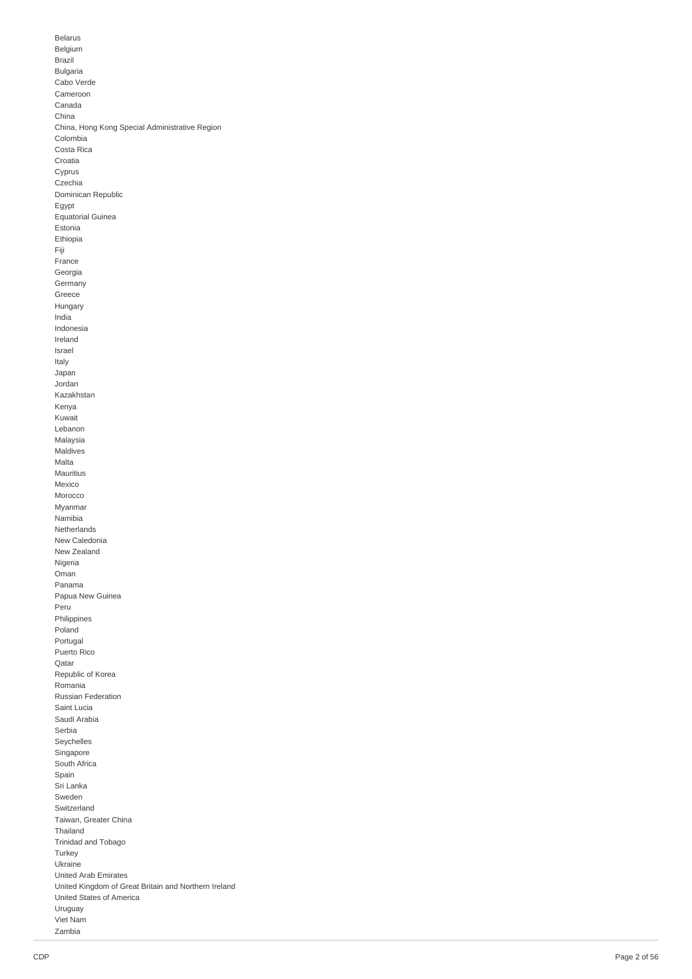**Belarus** B elgiu m **Brazil** Bulga ria Cabo Verde Cameroon Canada C hin a China, Hong Kong Special Administrative Region C olo m bia Costa Rica Croatia Cyprus Czechia Dominican Republic Egypt Egypt<br>Equatorial Guinea Estonia E t hio pia Fiji France Georgia **Germany** Greece Hungary India Indonesia Ireland Israel Italy Japan Jordan Kazakhsta n Kenya K u w ait Lebanon M ala y sia M aldiv e s M alt a **Mauritius** M e xic o Morocco Myanmar N a mibia Netherlands N e w C ale d o nia N e w Z e ala n d **Nigeria** Oman Panama Papua New Guinea Peru **Philippines** Poland Portugal Puerto Ric o Qatar Republic of Korea R o m a nia Russian Federation S ain tL u cia Saudi Arabia S e r bia Seychelles Singapore South Africa S p ain Sri Lanka Sweden Switzerland Taiwan, Greater China T h aila n d Trinidad and Tobago Turkey U k r ain e United Arab Emirates United Kingdom of Great Britain and Northern Ireland United States of America Uruguay Vie t N a m Z a m bia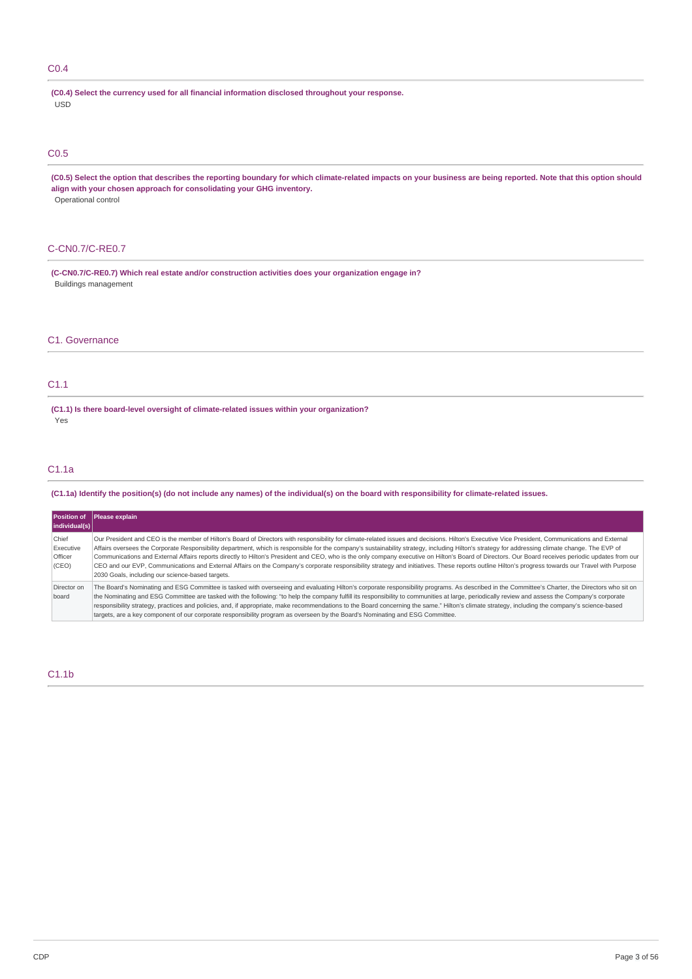## C0.4

**(C0.4) Select the currency used for all financial information disclosed throughout your response.** USD

## C0.5

(C0.5) Select the option that describes the reporting boundary for which climate-related impacts on your business are being reported. Note that this option should **align with your chosen approach for consolidating your GHG inventory.** Operational control

## C-CN0.7/C-RE0.7

**(C-CN0.7/C-RE0.7) Which real estate and/or construction activities does your organization engage in?** Buildings management

## C1. Governance

## C1.1

**(C1.1) Is there board-level oversight of climate-related issues within your organization?** Yes

## C1.1a

(C1.1a) Identify the position(s) (do not include any names) of the individual(s) on the board with responsibility for climate-related issues.

| individual(s)                          | Position of Please explain                                                                                                                                                                                                                                                                                                                                                                                                                                                                                                                                                                                                                                                                                                                                                                                                                                       |
|----------------------------------------|------------------------------------------------------------------------------------------------------------------------------------------------------------------------------------------------------------------------------------------------------------------------------------------------------------------------------------------------------------------------------------------------------------------------------------------------------------------------------------------------------------------------------------------------------------------------------------------------------------------------------------------------------------------------------------------------------------------------------------------------------------------------------------------------------------------------------------------------------------------|
| Chief<br>Executive<br>Officer<br>(CEO) | Our President and CEO is the member of Hilton's Board of Directors with responsibility for climate-related issues and decisions. Hilton's Executive Vice President, Communications and External<br>Affairs oversees the Corporate Responsibility department, which is responsible for the company's sustainability strategy, including Hilton's strategy for addressing climate change. The EVP of<br>Communications and External Affairs reports directly to Hilton's President and CEO, who is the only company executive on Hilton's Board of Directors. Our Board receives periodic updates from our<br>CEO and our EVP, Communications and External Affairs on the Company's corporate responsibility strategy and initiatives. These reports outline Hilton's progress towards our Travel with Purpose<br>2030 Goals, including our science-based targets. |
| Director on<br>board                   | The Board's Nominating and ESG Committee is tasked with overseeing and evaluating Hilton's corporate responsibility programs. As described in the Committee's Charter, the Directors who sit on<br>the Nominating and ESG Committee are tasked with the following: "to help the company fulfill its responsibility to communities at large, periodically review and assess the Company's corporate<br>responsibility strategy, practices and policies, and, if appropriate, make recommendations to the Board concerning the same." Hilton's climate strategy, including the company's science-based<br>targets, are a key component of our corporate responsibility program as overseen by the Board's Nominating and ESG Committee.                                                                                                                            |

## C1.1b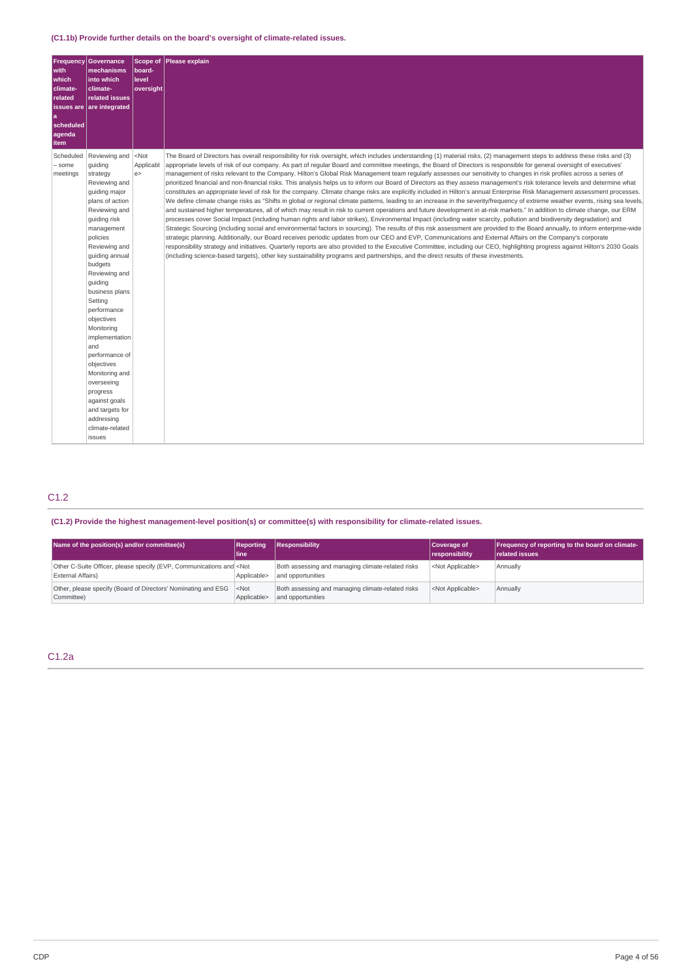| Frequency<br>with<br>which<br>climate-<br>related<br>issues are<br>l a<br>scheduled<br>agenda<br>item | Governance<br>mechanisms<br>into which<br>climate-<br>related issues<br>are integrated                                                                                                                                                                                                                                                                                                                                                                                                     | Scope of<br>board-<br>level<br>oversight | Please explain                                                                                                                                                                                                                                                                                                                                                                                                                                                                                                                                                                                                                                                                                                                                                                                                                                                                                                                                                                                                                                                                                                                                                                                                                                                                                                                                                                                                                                                                                                                                                                                                                                                                                                                                                                                                                                                                                                                                                                                                                                                                                               |
|-------------------------------------------------------------------------------------------------------|--------------------------------------------------------------------------------------------------------------------------------------------------------------------------------------------------------------------------------------------------------------------------------------------------------------------------------------------------------------------------------------------------------------------------------------------------------------------------------------------|------------------------------------------|--------------------------------------------------------------------------------------------------------------------------------------------------------------------------------------------------------------------------------------------------------------------------------------------------------------------------------------------------------------------------------------------------------------------------------------------------------------------------------------------------------------------------------------------------------------------------------------------------------------------------------------------------------------------------------------------------------------------------------------------------------------------------------------------------------------------------------------------------------------------------------------------------------------------------------------------------------------------------------------------------------------------------------------------------------------------------------------------------------------------------------------------------------------------------------------------------------------------------------------------------------------------------------------------------------------------------------------------------------------------------------------------------------------------------------------------------------------------------------------------------------------------------------------------------------------------------------------------------------------------------------------------------------------------------------------------------------------------------------------------------------------------------------------------------------------------------------------------------------------------------------------------------------------------------------------------------------------------------------------------------------------------------------------------------------------------------------------------------------------|
| Scheduled<br>- some<br>meetings                                                                       | Reviewing and<br>guiding<br>strategy<br>Reviewing and<br>quiding major<br>plans of action<br>Reviewing and<br>quiding risk<br>management<br>policies<br>Reviewing and<br>quiding annual<br>budgets<br>Reviewing and<br>quiding<br>business plans<br>Setting<br>performance<br>objectives<br>Monitoring<br>implementation<br>and<br>performance of<br>objectives<br>Monitoring and<br>overseeing<br>progress<br>against goals<br>and targets for<br>addressing<br>climate-related<br>issues | $<$ Not<br>Applicabl<br>e                | The Board of Directors has overall responsibility for risk oversight, which includes understanding (1) material risks, (2) management steps to address these risks and (3)<br>appropriate levels of risk of our company. As part of regular Board and committee meetings, the Board of Directors is responsible for general oversight of executives'<br>management of risks relevant to the Company. Hilton's Global Risk Management team regularly assesses our sensitivity to changes in risk profiles across a series of<br>prioritized financial and non-financial risks. This analysis helps us to inform our Board of Directors as they assess management's risk tolerance levels and determine what<br>constitutes an appropriate level of risk for the company. Climate change risks are explicitly included in Hilton's annual Enterprise Risk Management assessment processes.<br>We define climate change risks as "Shifts in global or regional climate patterns, leading to an increase in the severity/frequency of extreme weather events, rising sea levels,<br>and sustained higher temperatures, all of which may result in risk to current operations and future development in at-risk markets." In addition to climate change, our ERM<br>processes cover Social Impact (including human rights and labor strikes), Environmental Impact (including water scarcity, pollution and biodiversity degradation) and<br>Strategic Sourcing (including social and environmental factors in sourcing). The results of this risk assessment are provided to the Board annually, to inform enterprise-wide<br>strategic planning. Additionally, our Board receives periodic updates from our CEO and EVP, Communications and External Affairs on the Company's corporate<br>responsibility strategy and initiatives. Quarterly reports are also provided to the Executive Committee, including our CEO, highlighting progress against Hilton's 2030 Goals<br>(including science-based targets), other key sustainability programs and partnerships, and the direct results of these investments. |

## C1.2

**(C1.2) Provide the highest management-level position(s) or committee(s) with responsibility for climate-related issues.**

| Name of the position(s) and/or committee(s)                                                       | Reportina<br>l line i  | Responsibility                                                         | Coverage of<br>responsibility | Frequency of reporting to the board on climate-<br><b>related issues</b> |
|---------------------------------------------------------------------------------------------------|------------------------|------------------------------------------------------------------------|-------------------------------|--------------------------------------------------------------------------|
| Other C-Suite Officer, please specify (EVP, Communications and <not<br>External Affairs)</not<br> | Applicable>            | Both assessing and managing climate-related risks<br>and opportunities | <not applicable=""></not>     | Annually                                                                 |
| Other, please specify (Board of Directors' Nominating and ESG<br>Committee)                       | $<$ Not<br>Applicable> | Both assessing and managing climate-related risks<br>and opportunities | <not applicable=""></not>     | Annually                                                                 |

## C1.2a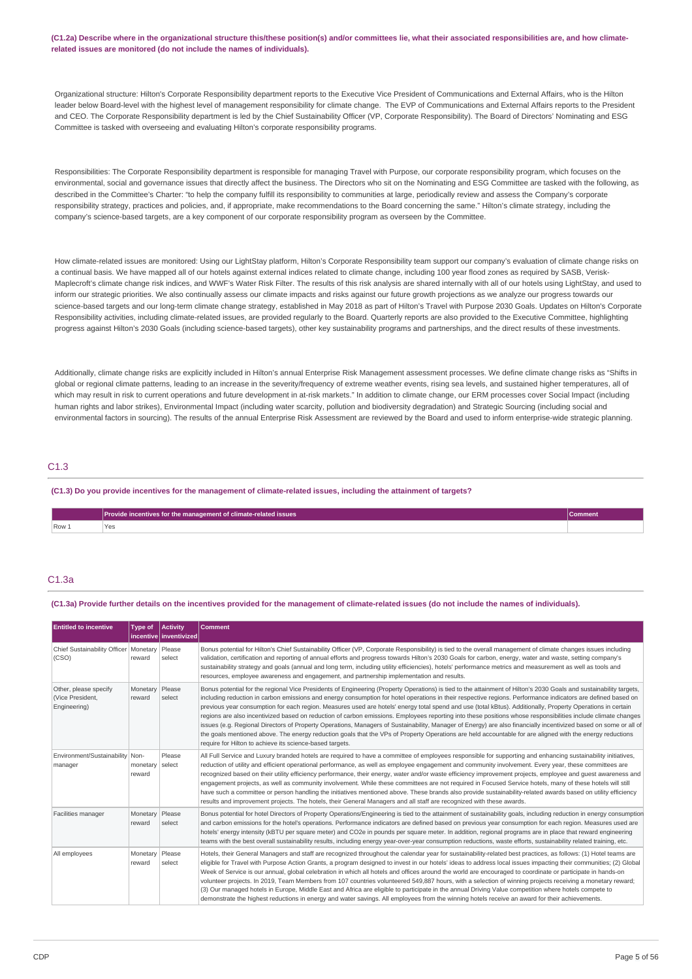(C1.2a) Describe where in the organizational structure this/these position(s) and/or committees lie, what their associated responsibilities are, and how climate**related issues are monitored (do not include the names of individuals).**

Organizational structure: Hilton's Corporate Responsibility department reports to the Executive Vice President of Communications and External Affairs, who is the Hilton leader below Board-level with the highest level of management responsibility for climate change. The EVP of Communications and External Affairs reports to the President and CEO. The Corporate Responsibility department is led by the Chief Sustainability Officer (VP, Corporate Responsibility). The Board of Directors' Nominating and ESG Committee is tasked with overseeing and evaluating Hilton's corporate responsibility programs.

Responsibilities: The Corporate Responsibility department is responsible for managing Travel with Purpose, our corporate responsibility program, which focuses on the environmental, social and governance issues that directly affect the business. The Directors who sit on the Nominating and ESG Committee are tasked with the following, as described in the Committee's Charter: "to help the company fulfill its responsibility to communities at large, periodically review and assess the Company's corporate responsibility strategy, practices and policies, and, if appropriate, make recommendations to the Board concerning the same." Hilton's climate strategy, including the company's science-based targets, are a key component of our corporate responsibility program as overseen by the Committee.

How climate-related issues are monitored: Using our LightStay platform, Hilton's Corporate Responsibility team support our company's evaluation of climate change risks on a continual basis. We have mapped all of our hotels against external indices related to climate change, including 100 year flood zones as required by SASB, Verisk-Maplecroft's climate change risk indices, and WWF's Water Risk Filter. The results of this risk analysis are shared internally with all of our hotels using LightStay, and used to inform our strategic priorities. We also continually assess our climate impacts and risks against our future growth projections as we analyze our progress towards our science-based targets and our long-term climate change strategy, established in May 2018 as part of Hilton's Travel with Purpose 2030 Goals. Updates on Hilton's Corporate Responsibility activities, including climate-related issues, are provided regularly to the Board. Quarterly reports are also provided to the Executive Committee, highlighting progress against Hilton's 2030 Goals (including science-based targets), other key sustainability programs and partnerships, and the direct results of these investments.

Additionally, climate change risks are explicitly included in Hilton's annual Enterprise Risk Management assessment processes. We define climate change risks as "Shifts in global or regional climate patterns, leading to an increase in the severity/frequency of extreme weather events, rising sea levels, and sustained higher temperatures, all of which may result in risk to current operations and future development in at-risk markets." In addition to climate change, our ERM processes cover Social Impact (including human rights and labor strikes), Environmental Impact (including water scarcity, pollution and biodiversity degradation) and Strategic Sourcing (including social and environmental factors in sourcing). The results of the annual Enterprise Risk Assessment are reviewed by the Board and used to inform enterprise-wide strategic planning.

## C1.3

(C1.3) Do you provide incentives for the management of climate-related issues, including the attainment of targets?

|         | Provide incentives for the management of climate-related issues | <b>Comment</b> |
|---------|-----------------------------------------------------------------|----------------|
| $Row_1$ | ⊺అవ                                                             |                |

## C1.3a

(C1.3a) Provide further details on the incentives provided for the management of climate-related issues (do not include the names of individuals).

| <b>Entitled to incentive</b>                              | <b>Type of</b>            | Activity<br>incentive inventivized | <b>Comment</b>                                                                                                                                                                                                                                                                                                                                                                                                                                                                                                                                                                                                                                                                                                                                                                                                                                                                                                                                                                                                                                                  |
|-----------------------------------------------------------|---------------------------|------------------------------------|-----------------------------------------------------------------------------------------------------------------------------------------------------------------------------------------------------------------------------------------------------------------------------------------------------------------------------------------------------------------------------------------------------------------------------------------------------------------------------------------------------------------------------------------------------------------------------------------------------------------------------------------------------------------------------------------------------------------------------------------------------------------------------------------------------------------------------------------------------------------------------------------------------------------------------------------------------------------------------------------------------------------------------------------------------------------|
| Chief Sustainability Officer   Monetary   Please<br>(CSO) | reward                    | select                             | Bonus potential for Hilton's Chief Sustainability Officer (VP, Corporate Responsibility) is tied to the overall management of climate changes issues including<br>validation, certification and reporting of annual efforts and progress towards Hilton's 2030 Goals for carbon, energy, water and waste, setting company's<br>sustainability strategy and goals (annual and long term, including utility efficiencies), hotels' performance metrics and measurement as well as tools and<br>resources, employee awareness and engagement, and partnership implementation and results.                                                                                                                                                                                                                                                                                                                                                                                                                                                                          |
| Other, please specify<br>(Vice President,<br>Engineering) | Monetary<br>reward        | Please<br>select                   | Bonus potential for the regional Vice Presidents of Engineering (Property Operations) is tied to the attainment of Hilton's 2030 Goals and sustainability targets,<br>including reduction in carbon emissions and energy consumption for hotel operations in their respective regions. Performance indicators are defined based on<br>previous year consumption for each region. Measures used are hotels' energy total spend and use (total kBtus). Additionally, Property Operations in certain<br>regions are also incentivized based on reduction of carbon emissions. Employees reporting into these positions whose responsibilities include climate changes<br>issues (e.g. Regional Directors of Property Operations, Managers of Sustainability, Manager of Energy) are also financially incentivized based on some or all of<br>the goals mentioned above. The energy reduction goals that the VPs of Property Operations are held accountable for are aligned with the energy reductions<br>require for Hilton to achieve its science-based targets. |
| Environment/Sustainability   Non-<br>manager              | monetary<br>reward        | Please<br>select                   | All Full Service and Luxury branded hotels are required to have a committee of employees responsible for supporting and enhancing sustainability initiatives,<br>reduction of utility and efficient operational performance, as well as employee engagement and community involvement. Every year, these committees are<br>recognized based on their utility efficiency performance, their energy, water and/or waste efficiency improvement projects, employee and quest awareness and<br>engagement projects, as well as community involvement. While these committees are not required in Focused Service hotels, many of these hotels will still<br>have such a committee or person handling the initiatives mentioned above. These brands also provide sustainability-related awards based on utility efficiency<br>results and improvement projects. The hotels, their General Managers and all staff are recognized with these awards.                                                                                                                   |
| Facilities manager                                        | Monetary Please<br>reward | select                             | Bonus potential for hotel Directors of Property Operations/Engineering is tied to the attainment of sustainability goals, including reduction in energy consumption<br>and carbon emissions for the hotel's operations. Performance indicators are defined based on previous year consumption for each region. Measures used are<br>hotels' energy intensity (kBTU per square meter) and CO2e in pounds per square meter. In addition, regional programs are in place that reward engineering<br>teams with the best overall sustainability results, including energy year-over-year consumption reductions, waste efforts, sustainability related training, etc.                                                                                                                                                                                                                                                                                                                                                                                               |
| All employees                                             | Monetary<br>reward        | Please<br>select                   | Hotels, their General Managers and staff are recognized throughout the calendar year for sustainability-related best practices, as follows: (1) Hotel teams are<br>eligible for Travel with Purpose Action Grants, a program designed to invest in our hotels' ideas to address local issues impacting their communities; (2) Global<br>Week of Service is our annual, global celebration in which all hotels and offices around the world are encouraged to coordinate or participate in hands-on<br>volunteer projects. In 2019, Team Members from 107 countries volunteered 549,887 hours, with a selection of winning projects receiving a monetary reward;<br>(3) Our managed hotels in Europe, Middle East and Africa are eligible to participate in the annual Driving Value competition where hotels compete to<br>demonstrate the highest reductions in energy and water savings. All employees from the winning hotels receive an award for their achievements.                                                                                       |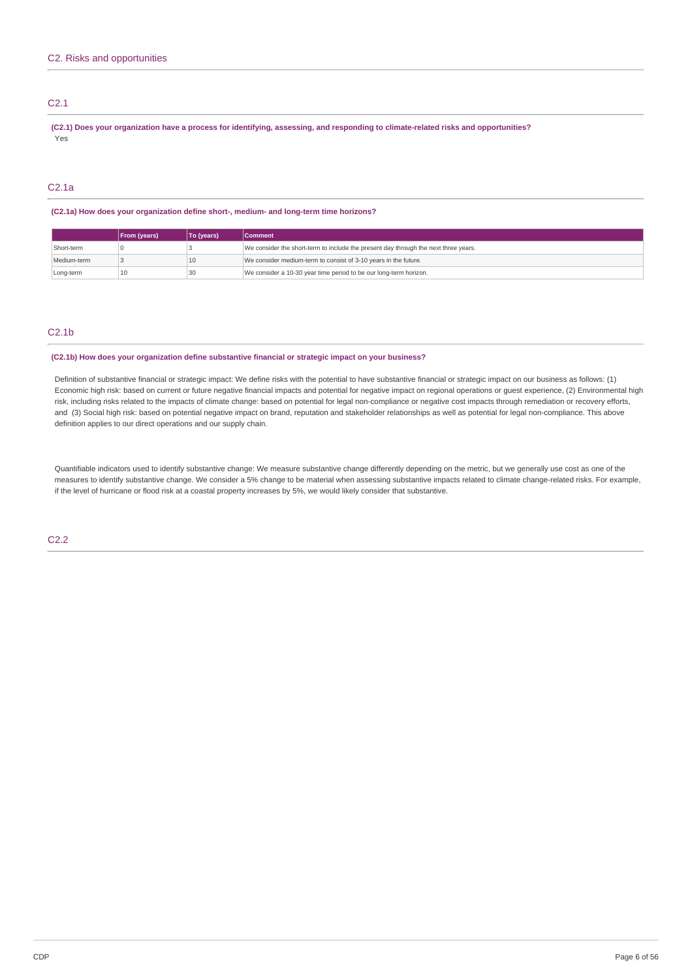## C2.1

(C2.1) Does your organization have a process for identifying, assessing, and responding to climate-related risks and opportunities? Yes

## C2.1a

### **(C2.1a) How does your organization define short-, medium- and long-term time horizons?**

|             | <b>From (years)</b> | To (years) | <b>Comment</b>                                                                      |
|-------------|---------------------|------------|-------------------------------------------------------------------------------------|
| Short-term  |                     |            | We consider the short-term to include the present day through the next three years. |
| Medium-term |                     | 10         | We consider medium-term to consist of 3-10 years in the future.                     |
| Long-term   | 10                  | 30         | We consider a 10-30 year time period to be our long-term horizon.                   |

## C2.1b

### **(C2.1b) How does your organization define substantive financial or strategic impact on your business?**

Definition of substantive financial or strategic impact: We define risks with the potential to have substantive financial or strategic impact on our business as follows: (1) Economic high risk: based on current or future negative financial impacts and potential for negative impact on regional operations or guest experience, (2) Environmental high risk, including risks related to the impacts of climate change: based on potential for legal non-compliance or negative cost impacts through remediation or recovery efforts, and (3) Social high risk: based on potential negative impact on brand, reputation and stakeholder relationships as well as potential for legal non-compliance. This above definition applies to our direct operations and our supply chain.

Quantifiable indicators used to identify substantive change: We measure substantive change differently depending on the metric, but we generally use cost as one of the measures to identify substantive change. We consider a 5% change to be material when assessing substantive impacts related to climate change-related risks. For example, if the level of hurricane or flood risk at a coastal property increases by 5%, we would likely consider that substantive.

C2.2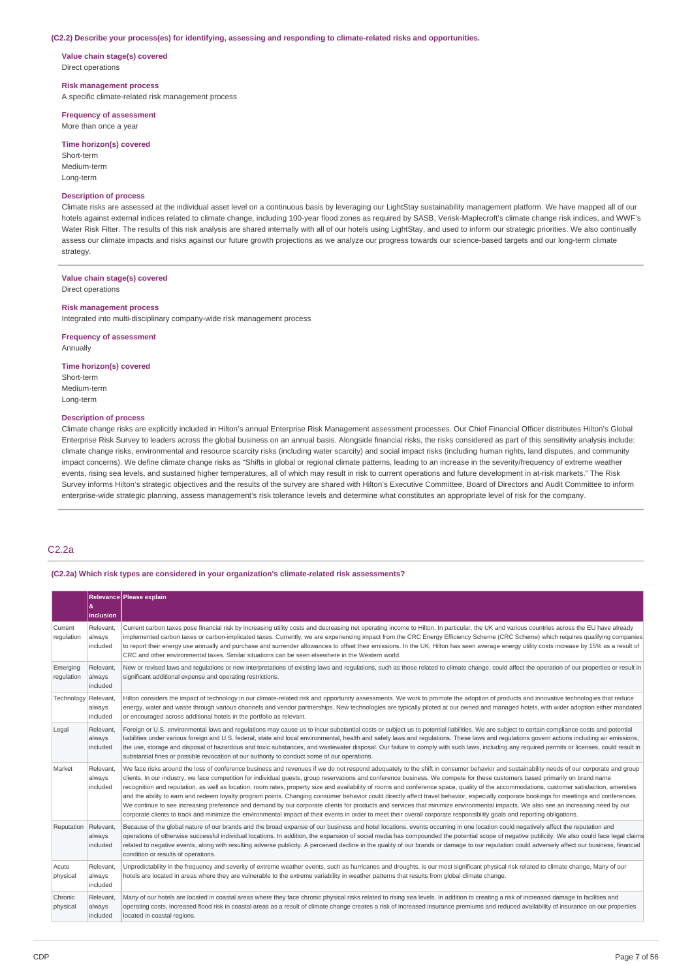#### **(C2.2) Describe your process(es) for identifying, assessing and responding to climate-related risks and opportunities.**

**Value chain stage(s) covered** Direct operations

### **Risk management process**

A specific climate-related risk management process

### **Frequency of assessment** More than once a year

## **Time horizon(s) covered**

Short-term Medium-term Long-term

## **Description of process**

Climate risks are assessed at the individual asset level on a continuous basis by leveraging our LightStay sustainability management platform. We have mapped all of our hotels against external indices related to climate change, including 100-year flood zones as required by SASB, Verisk-Maplecroft's climate change risk indices, and WWF's Water Risk Filter. The results of this risk analysis are shared internally with all of our hotels using LightStay, and used to inform our strategic priorities. We also continually assess our climate impacts and risks against our future growth projections as we analyze our progress towards our science-based targets and our long-term climate strategy

### **Value chain stage(s) covered**

Direct operations

#### **Risk management process**

Integrated into multi-disciplinary company-wide risk management process

### **Frequency of assessment**

Annually

### **Time horizon(s) covered**

Short-term Medium-term Long-term

### **Description of process**

Climate change risks are explicitly included in Hilton's annual Enterprise Risk Management assessment processes. Our Chief Financial Officer distributes Hilton's Global Enterprise Risk Survey to leaders across the global business on an annual basis. Alongside financial risks, the risks considered as part of this sensitivity analysis include: climate change risks, environmental and resource scarcity risks (including water scarcity) and social impact risks (including human rights, land disputes, and community impact concerns). We define climate change risks as "Shifts in global or regional climate patterns, leading to an increase in the severity/frequency of extreme weather events, rising sea levels, and sustained higher temperatures, all of which may result in risk to current operations and future development in at-risk markets." The Risk Survey informs Hilton's strategic objectives and the results of the survey are shared with Hilton's Executive Committee, Board of Directors and Audit Committee to inform enterprise-wide strategic planning, assess management's risk tolerance levels and determine what constitutes an appropriate level of risk for the company.

## C2.2a

### **(C2.2a) Which risk types are considered in your organization's climate-related risk assessments?**

|                        | &<br>inclusion                  | Relevance Please explain                                                                                                                                                                                                                                                                                                                                                                                                                                                                                                                                                                                                                                                                                                                                                                                                                                                                                                                                                                                                                                                                                                             |
|------------------------|---------------------------------|--------------------------------------------------------------------------------------------------------------------------------------------------------------------------------------------------------------------------------------------------------------------------------------------------------------------------------------------------------------------------------------------------------------------------------------------------------------------------------------------------------------------------------------------------------------------------------------------------------------------------------------------------------------------------------------------------------------------------------------------------------------------------------------------------------------------------------------------------------------------------------------------------------------------------------------------------------------------------------------------------------------------------------------------------------------------------------------------------------------------------------------|
| Current<br>requlation  | Relevant,<br>always<br>included | Current carbon taxes pose financial risk by increasing utility costs and decreasing net operating income to Hilton. In particular, the UK and various countries across the EU have already<br>implemented carbon taxes or carbon-implicated taxes. Currently, we are experiencing impact from the CRC Energy Efficiency Scheme (CRC Scheme) which requires qualifying companies<br>to report their energy use annually and purchase and surrender allowances to offset their emissions. In the UK, Hilton has seen average energy utility costs increase by 15% as a result of<br>CRC and other environmental taxes. Similar situations can be seen elsewhere in the Western world.                                                                                                                                                                                                                                                                                                                                                                                                                                                  |
| Emerging<br>regulation | Relevant.<br>always<br>included | New or revised laws and requlations or new interpretations of existing laws and requlations, such as those related to climate change, could affect the operation of our properties or result in<br>significant additional expense and operating restrictions.                                                                                                                                                                                                                                                                                                                                                                                                                                                                                                                                                                                                                                                                                                                                                                                                                                                                        |
| Technology Relevant,   | always<br>included              | Hilton considers the impact of technology in our climate-related risk and opportunity assessments. We work to promote the adoption of products and innovative technologies that reduce<br>energy, water and waste through various channels and vendor partnerships. New technologies are typically piloted at our owned and managed hotels, with wider adoption either mandated<br>or encouraged across additional hotels in the portfolio as relevant.                                                                                                                                                                                                                                                                                                                                                                                                                                                                                                                                                                                                                                                                              |
| Legal                  | Relevant.<br>always<br>included | Foreign or U.S. environmental laws and requlations may cause us to incur substantial costs or subject us to potential liabilities. We are subject to certain compliance costs and potential<br>liabilities under various foreign and U.S. federal, state and local environmental, health and safety laws and regulations. These laws and regulations govern actions including air emissions,<br>the use, storage and disposal of hazardous and toxic substances, and wastewater disposal. Our failure to comply with such laws, including any required permits or licenses, could result in<br>substantial fines or possible revocation of our authority to conduct some of our operations.                                                                                                                                                                                                                                                                                                                                                                                                                                          |
| Market                 | Relevant.<br>always<br>included | We face risks around the loss of conference business and revenues if we do not respond adequately to the shift in consumer behavior and sustainability needs of our corporate and group<br>clients. In our industry, we face competition for individual quests, group reservations and conference business. We compete for these customers based primarily on brand name<br>recognition and reputation, as well as location, room rates, property size and availability of rooms and conference space, quality of the accommodations, customer satisfaction, amenities<br>and the ability to earn and redeem loyalty program points. Changing consumer behavior could directly affect travel behavior, especially corporate bookings for meetings and conferences.<br>We continue to see increasing preference and demand by our corporate clients for products and services that minimize environmental impacts. We also see an increasing need by our<br>corporate clients to track and minimize the environmental impact of their events in order to meet their overall corporate responsibility goals and reporting obligations. |
| Reputation             | Relevant,<br>always<br>included | Because of the global nature of our brands and the broad expanse of our business and hotel locations, events occurring in one location could negatively affect the reputation and<br>operations of otherwise successful individual locations. In addition, the expansion of social media has compounded the potential scope of negative publicity. We also could face legal claims<br>related to negative events, along with resulting adverse publicity. A perceived decline in the quality of our brands or damage to our reputation could adversely affect our business, financial<br>condition or results of operations.                                                                                                                                                                                                                                                                                                                                                                                                                                                                                                         |
| Acute<br>physical      | Relevant.<br>always<br>included | Unpredictability in the frequency and severity of extreme weather events, such as hurricanes and droughts, is our most significant physical risk related to climate change. Many of our<br>hotels are located in areas where they are vulnerable to the extreme variability in weather patterns that results from global climate change.                                                                                                                                                                                                                                                                                                                                                                                                                                                                                                                                                                                                                                                                                                                                                                                             |
| Chronic<br>physical    | Relevant,<br>always<br>included | Many of our hotels are located in coastal areas where they face chronic physical risks related to rising sea levels. In addition to creating a risk of increased damage to facilities and<br>operating costs, increased flood risk in coastal areas as a result of climate change creates a risk of increased insurance premiums and reduced availability of insurance on our properties<br>located in coastal regions.                                                                                                                                                                                                                                                                                                                                                                                                                                                                                                                                                                                                                                                                                                              |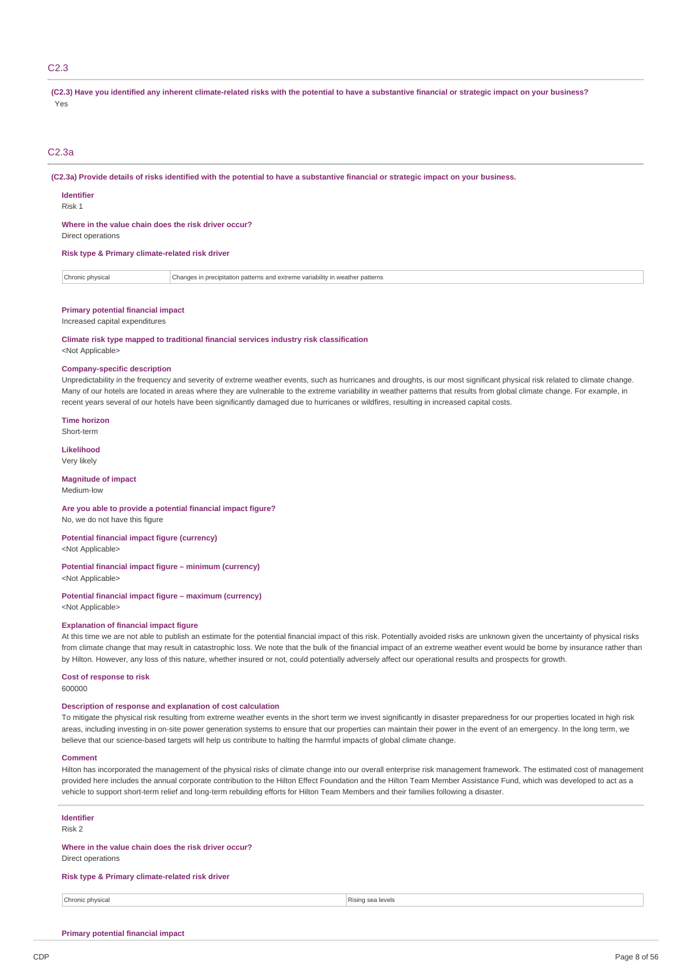### C2.3

(C2.3) Have you identified any inherent climate-related risks with the potential to have a substantive financial or strategic impact on your business? Yes

### C2.3a

(C2.3a) Provide details of risks identified with the potential to have a substantive financial or strategic impact on your business.

### **Identifier**

Risk 1

### **Where in the value chain does the risk driver occur?**

Direct operations

**Risk type & Primary climate-related risk driver**

Chronic physical Changes in precipitation patterns and extreme variability in weather patterns

### **Primary potential financial impact**

#### Increased capital expenditures

## **Climate risk type mapped to traditional financial services industry risk classification**

<Not Applicable>

### **Company-specific description**

Unpredictability in the frequency and severity of extreme weather events, such as hurricanes and droughts, is our most significant physical risk related to climate change. Many of our hotels are located in areas where they are vulnerable to the extreme variability in weather patterns that results from global climate change. For example, in recent years several of our hotels have been significantly damaged due to hurricanes or wildfires, resulting in increased capital costs.

**Time horizon** Short-term

**Likelihood** Very likely

## **Magnitude of impact**

Medium-low

### **Are you able to provide a potential financial impact figure?** No, we do not have this figure

**Potential financial impact figure (currency)**

<Not Applicable>

#### **Potential financial impact figure – minimum (currency)** <Not Applicable>

## **Potential financial impact figure – maximum (currency)**

<Not Applicable>

### **Explanation of financial impact figure**

At this time we are not able to publish an estimate for the potential financial impact of this risk. Potentially avoided risks are unknown given the uncertainty of physical risks from climate change that may result in catastrophic loss. We note that the bulk of the financial impact of an extreme weather event would be borne by insurance rather than by Hilton. However, any loss of this nature, whether insured or not, could potentially adversely affect our operational results and prospects for growth.

## **Cost of response to risk**

600000

### **Description of response and explanation of cost calculation**

To mitigate the physical risk resulting from extreme weather events in the short term we invest significantly in disaster preparedness for our properties located in high risk areas, including investing in on-site power generation systems to ensure that our properties can maintain their power in the event of an emergency. In the long term, we believe that our science-based targets will help us contribute to halting the harmful impacts of global climate change.

#### **Comment**

Hilton has incorporated the management of the physical risks of climate change into our overall enterprise risk management framework. The estimated cost of management provided here includes the annual corporate contribution to the Hilton Effect Foundation and the Hilton Team Member Assistance Fund, which was developed to act as a vehicle to support short-term relief and long-term rebuilding efforts for Hilton Team Members and their families following a disaster.

## **Identifier**

Risk 2

## **Where in the value chain does the risk driver occur?**

Direct operations

### **Risk type & Primary climate-related risk driver**

**Chronic physical** Rising sea levels

## **Primary potential financial impact**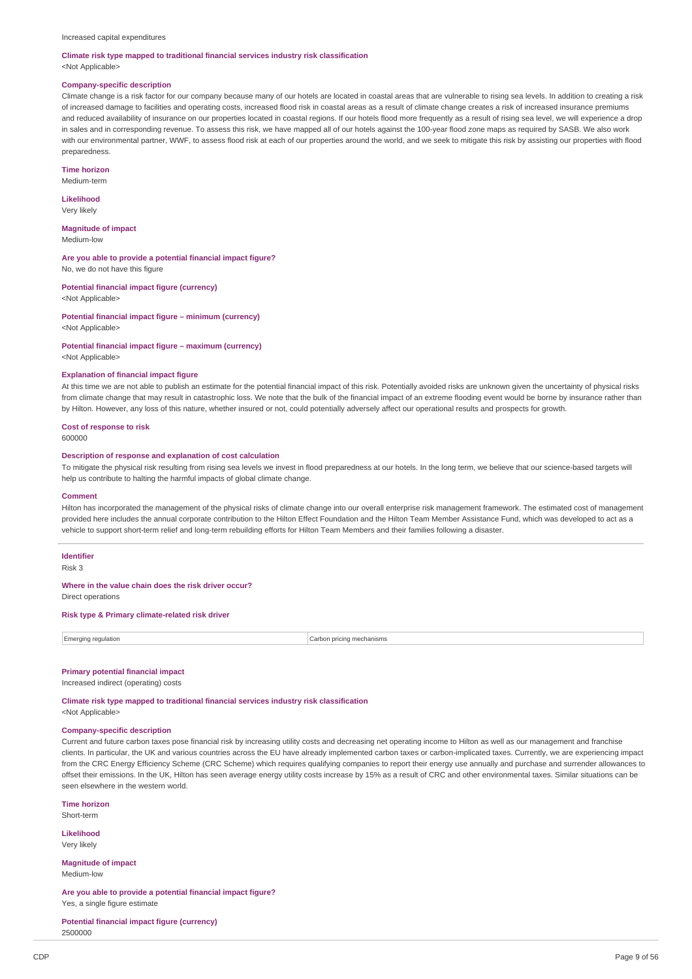## **Climate risk type mapped to traditional financial services industry risk classification**

<Not Applicable>

### **Company-specific description**

Climate change is a risk factor for our company because many of our hotels are located in coastal areas that are vulnerable to rising sea levels. In addition to creating a risk of increased damage to facilities and operating costs, increased flood risk in coastal areas as a result of climate change creates a risk of increased insurance premiums and reduced availability of insurance on our properties located in coastal regions. If our hotels flood more frequently as a result of rising sea level, we will experience a drop in sales and in corresponding revenue. To assess this risk, we have mapped all of our hotels against the 100-year flood zone maps as required by SASB. We also work with our environmental partner, WWF, to assess flood risk at each of our properties around the world, and we seek to mitigate this risk by assisting our properties with flood preparedness.

#### **Time horizon**

Medium-term

### **Likelihood** Very likely

**Magnitude of impact** Medium-low

**Are you able to provide a potential financial impact figure?**

No, we do not have this figure

**Potential financial impact figure (currency)** <Not Applicable>

**Potential financial impact figure – minimum (currency)** <Not Applicable>

### **Potential financial impact figure – maximum (currency)**

<Not Applicable>

### **Explanation of financial impact figure**

At this time we are not able to publish an estimate for the potential financial impact of this risk. Potentially avoided risks are unknown given the uncertainty of physical risks from climate change that may result in catastrophic loss. We note that the bulk of the financial impact of an extreme flooding event would be borne by insurance rather than by Hilton. However, any loss of this nature, whether insured or not, could potentially adversely affect our operational results and prospects for growth.

#### **Cost of response to risk** 600000

### **Description of response and explanation of cost calculation**

To mitigate the physical risk resulting from rising sea levels we invest in flood preparedness at our hotels. In the long term, we believe that our science-based targets will help us contribute to halting the harmful impacts of global climate change.

#### **Comment**

Hilton has incorporated the management of the physical risks of climate change into our overall enterprise risk management framework. The estimated cost of management provided here includes the annual corporate contribution to the Hilton Effect Foundation and the Hilton Team Member Assistance Fund, which was developed to act as a vehicle to support short-term relief and long-term rebuilding efforts for Hilton Team Members and their families following a disaster.

## **Identifier**

Risk 3

#### **Where in the value chain does the risk driver occur?**

Direct operations

### **Risk type & Primary climate-related risk driver**

Emerging regulation **Carbon pricing mechanisms** Carbon pricing mechanisms

### **Primary potential financial impact**

Increased indirect (operating) costs

**Climate risk type mapped to traditional financial services industry risk classification** <Not Applicable>

### **Company-specific description**

Current and future carbon taxes pose financial risk by increasing utility costs and decreasing net operating income to Hilton as well as our management and franchise clients. In particular, the UK and various countries across the EU have already implemented carbon taxes or carbon-implicated taxes. Currently, we are experiencing impact from the CRC Energy Efficiency Scheme (CRC Scheme) which requires qualifying companies to report their energy use annually and purchase and surrender allowances to offset their emissions. In the UK, Hilton has seen average energy utility costs increase by 15% as a result of CRC and other environmental taxes. Similar situations can be seen elsewhere in the western world.

**Time horizon**

Short-term

**Likelihood** Very likely

**Magnitude of impact** Medium-low

**Are you able to provide a potential financial impact figure?** Yes, a single figure estimate

**Potential financial impact figure (currency)**

2500000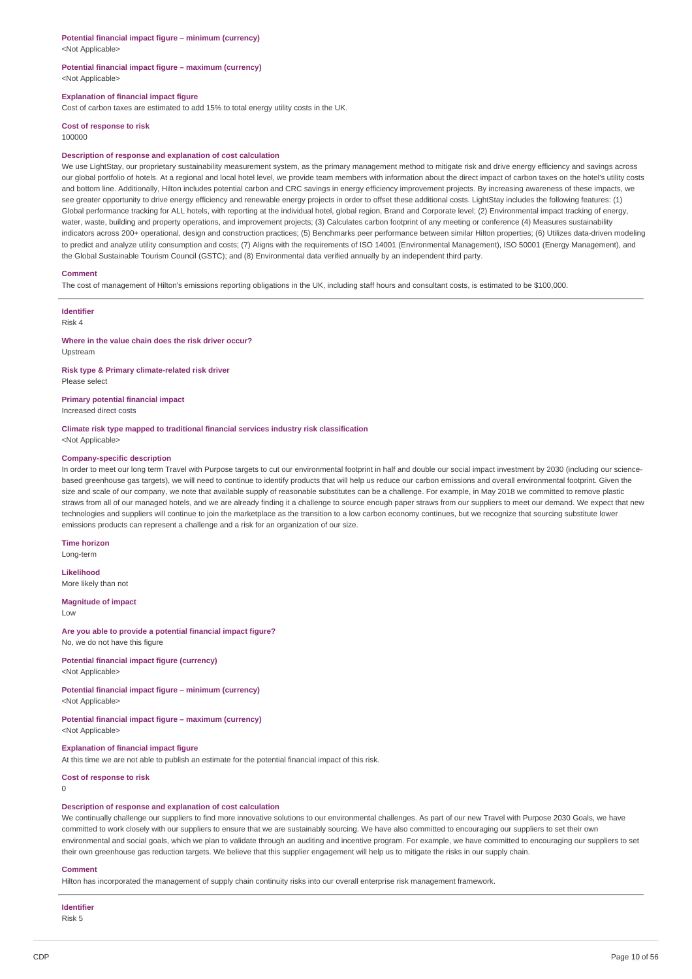## **Potential financial impact figure – minimum (currency)**

<Not Applicable>

### **Potential financial impact figure – maximum (currency)** <Not Applicable>

### **Explanation of financial impact figure**

Cost of carbon taxes are estimated to add 15% to total energy utility costs in the UK.

**Cost of response to risk** 100000

### **Description of response and explanation of cost calculation**

We use LightStay, our proprietary sustainability measurement system, as the primary management method to mitigate risk and drive energy efficiency and savings across our global portfolio of hotels. At a regional and local hotel level, we provide team members with information about the direct impact of carbon taxes on the hotel's utility costs and bottom line. Additionally, Hilton includes potential carbon and CRC savings in energy efficiency improvement projects. By increasing awareness of these impacts, we see greater opportunity to drive energy efficiency and renewable energy projects in order to offset these additional costs. LightStay includes the following features: (1) Global performance tracking for ALL hotels, with reporting at the individual hotel, global region, Brand and Corporate level; (2) Environmental impact tracking of energy, water, waste, building and property operations, and improvement projects; (3) Calculates carbon footprint of any meeting or conference (4) Measures sustainability indicators across 200+ operational, design and construction practices; (5) Benchmarks peer performance between similar Hilton properties; (6) Utilizes data-driven modeling to predict and analyze utility consumption and costs; (7) Aligns with the requirements of ISO 14001 (Environmental Management), ISO 50001 (Energy Management), and the Global Sustainable Tourism Council (GSTC); and (8) Environmental data verified annually by an independent third party.

### **Comment**

The cost of management of Hilton's emissions reporting obligations in the UK, including staff hours and consultant costs, is estimated to be \$100,000.

### **Identifier** Risk 4

### **Where in the value chain does the risk driver occur?** Upstream

**Risk type & Primary climate-related risk driver** Please select

**Primary potential financial impact**

Increased direct costs

## **Climate risk type mapped to traditional financial services industry risk classification**

<Not Applicable>

#### **Company-specific description**

In order to meet our long term Travel with Purpose targets to cut our environmental footprint in half and double our social impact investment by 2030 (including our sciencebased greenhouse gas targets), we will need to continue to identify products that will help us reduce our carbon emissions and overall environmental footprint. Given the size and scale of our company, we note that available supply of reasonable substitutes can be a challenge. For example, in May 2018 we committed to remove plastic straws from all of our managed hotels, and we are already finding it a challenge to source enough paper straws from our suppliers to meet our demand. We expect that new technologies and suppliers will continue to join the marketplace as the transition to a low carbon economy continues, but we recognize that sourcing substitute lower emissions products can represent a challenge and a risk for an organization of our size.

#### **Time horizon**

Long-term

### **Likelihood**

More likely than not

### **Magnitude of impact**

Low

## **Are you able to provide a potential financial impact figure?**

No, we do not have this figure

**Potential financial impact figure (currency)** <Not Applicable>

## **Potential financial impact figure – minimum (currency)**

<Not Applicable>

### **Potential financial impact figure – maximum (currency)** <Not Applicable>

## **Explanation of financial impact figure**

At this time we are not able to publish an estimate for the potential financial impact of this risk.

**Cost of response to risk**

 $\Omega$ 

### **Description of response and explanation of cost calculation**

We continually challenge our suppliers to find more innovative solutions to our environmental challenges. As part of our new Travel with Purpose 2030 Goals, we have committed to work closely with our suppliers to ensure that we are sustainably sourcing. We have also committed to encouraging our suppliers to set their own environmental and social goals, which we plan to validate through an auditing and incentive program. For example, we have committed to encouraging our suppliers to set their own greenhouse gas reduction targets. We believe that this supplier engagement will help us to mitigate the risks in our supply chain.

#### **Comment**

Hilton has incorporated the management of supply chain continuity risks into our overall enterprise risk management framework.

## **Identifier**

Risk 5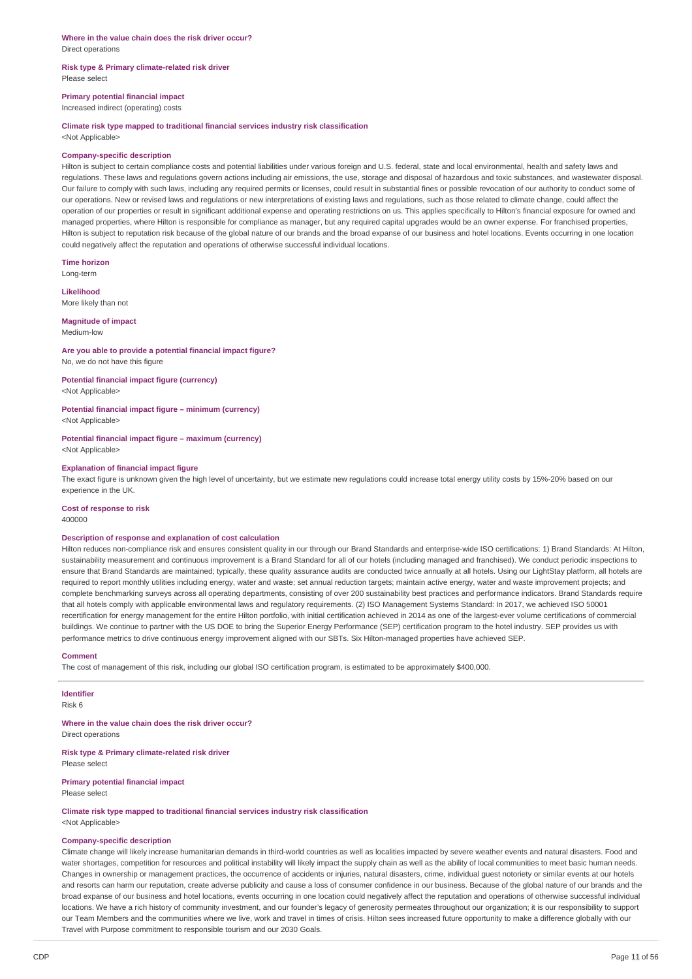### **Risk type & Primary climate-related risk driver** Please select

### **Primary potential financial impact**

Increased indirect (operating) costs

### **Climate risk type mapped to traditional financial services industry risk classification**

<Not Applicable>

#### **Company-specific description**

Hilton is subject to certain compliance costs and potential liabilities under various foreign and U.S. federal, state and local environmental, health and safety laws and regulations. These laws and regulations govern actions including air emissions, the use, storage and disposal of hazardous and toxic substances, and wastewater disposal. Our failure to comply with such laws, including any required permits or licenses, could result in substantial fines or possible revocation of our authority to conduct some of our operations. New or revised laws and regulations or new interpretations of existing laws and regulations, such as those related to climate change, could affect the operation of our properties or result in significant additional expense and operating restrictions on us. This applies specifically to Hilton's financial exposure for owned and managed properties, where Hilton is responsible for compliance as manager, but any required capital upgrades would be an owner expense. For franchised properties, Hilton is subject to reputation risk because of the global nature of our brands and the broad expanse of our business and hotel locations. Events occurring in one location could negatively affect the reputation and operations of otherwise successful individual locations.

**Time horizon** Long-term

**Likelihood** More likely than not

**Magnitude of impact**

Medium-low

## **Are you able to provide a potential financial impact figure?**

No, we do not have this figure

## **Potential financial impact figure (currency)**

<Not Applicable>

**Potential financial impact figure – minimum (currency)**

<Not Applicable>

**Potential financial impact figure – maximum (currency)** <Not Applicable>

### **Explanation of financial impact figure**

The exact figure is unknown given the high level of uncertainty, but we estimate new regulations could increase total energy utility costs by 15%-20% based on our experience in the UK.

## **Cost of response to risk**

400000

### **Description of response and explanation of cost calculation**

Hilton reduces non-compliance risk and ensures consistent quality in our through our Brand Standards and enterprise-wide ISO certifications: 1) Brand Standards: At Hilton, sustainability measurement and continuous improvement is a Brand Standard for all of our hotels (including managed and franchised). We conduct periodic inspections to ensure that Brand Standards are maintained; typically, these quality assurance audits are conducted twice annually at all hotels. Using our LightStay platform, all hotels are required to report monthly utilities including energy, water and waste; set annual reduction targets; maintain active energy, water and waste improvement projects; and complete benchmarking surveys across all operating departments, consisting of over 200 sustainability best practices and performance indicators. Brand Standards require that all hotels comply with applicable environmental laws and regulatory requirements. (2) ISO Management Systems Standard: In 2017, we achieved ISO 50001 recertification for energy management for the entire Hilton portfolio, with initial certification achieved in 2014 as one of the largest-ever volume certifications of commercial buildings. We continue to partner with the US DOE to bring the Superior Energy Performance (SEP) certification program to the hotel industry. SEP provides us with performance metrics to drive continuous energy improvement aligned with our SBTs. Six Hilton-managed properties have achieved SEP.

## **Comment**

The cost of management of this risk, including our global ISO certification program, is estimated to be approximately \$400,000.

**Identifier** Risk 6

**Where in the value chain does the risk driver occur?** Direct operations

**Risk type & Primary climate-related risk driver** Please select

**Primary potential financial impact** Please select

**Climate risk type mapped to traditional financial services industry risk classification** <Not Applicable>

#### **Company-specific description**

Climate change will likely increase humanitarian demands in third-world countries as well as localities impacted by severe weather events and natural disasters. Food and water shortages, competition for resources and political instability will likely impact the supply chain as well as the ability of local communities to meet basic human needs. Changes in ownership or management practices, the occurrence of accidents or injuries, natural disasters, crime, individual guest notoriety or similar events at our hotels and resorts can harm our reputation, create adverse publicity and cause a loss of consumer confidence in our business. Because of the global nature of our brands and the broad expanse of our business and hotel locations, events occurring in one location could negatively affect the reputation and operations of otherwise successful individual locations. We have a rich history of community investment, and our founder's legacy of generosity permeates throughout our organization; it is our responsibility to support our Team Members and the communities where we live, work and travel in times of crisis. Hilton sees increased future opportunity to make a difference globally with our Travel with Purpose commitment to responsible tourism and our 2030 Goals.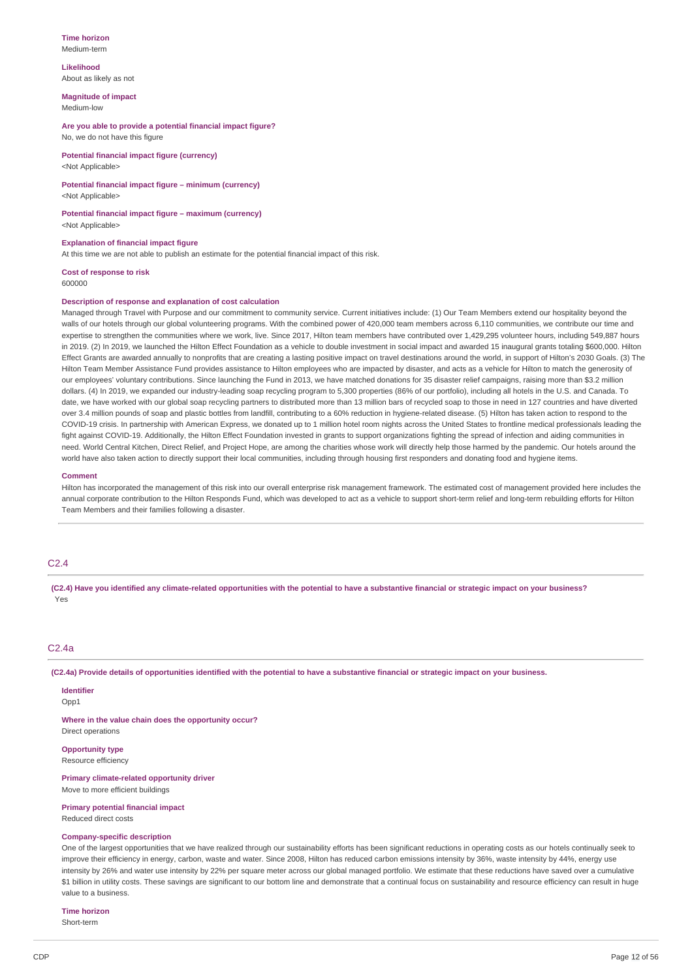#### **Time horizon** Medium-term

## **Likelihood** About as likely as not

**Magnitude of impact** Medium-low

**Are you able to provide a potential financial impact figure?** No, we do not have this figure

**Potential financial impact figure (currency)** <Not Applicable>

## **Potential financial impact figure – minimum (currency)**

<Not Applicable>

**Potential financial impact figure – maximum (currency)** <Not Applicable>

## **Explanation of financial impact figure**

At this time we are not able to publish an estimate for the potential financial impact of this risk.

**Cost of response to risk**

### 600000

### **Description of response and explanation of cost calculation**

Managed through Travel with Purpose and our commitment to community service. Current initiatives include: (1) Our Team Members extend our hospitality beyond the walls of our hotels through our global volunteering programs. With the combined power of 420,000 team members across 6,110 communities, we contribute our time and expertise to strengthen the communities where we work, live. Since 2017, Hilton team members have contributed over 1,429,295 volunteer hours, including 549,887 hours in 2019. (2) In 2019, we launched the Hilton Effect Foundation as a vehicle to double investment in social impact and awarded 15 inaugural grants totaling \$600,000. Hilton Effect Grants are awarded annually to nonprofits that are creating a lasting positive impact on travel destinations around the world, in support of Hilton's 2030 Goals. (3) The Hilton Team Member Assistance Fund provides assistance to Hilton employees who are impacted by disaster, and acts as a vehicle for Hilton to match the generosity of our employees' voluntary contributions. Since launching the Fund in 2013, we have matched donations for 35 disaster relief campaigns, raising more than \$3.2 million dollars. (4) In 2019, we expanded our industry-leading soap recycling program to 5,300 properties (86% of our portfolio), including all hotels in the U.S. and Canada. To date, we have worked with our global soap recycling partners to distributed more than 13 million bars of recycled soap to those in need in 127 countries and have diverted over 3.4 million pounds of soap and plastic bottles from landfill, contributing to a 60% reduction in hygiene-related disease. (5) Hilton has taken action to respond to the COVID-19 crisis. In partnership with American Express, we donated up to 1 million hotel room nights across the United States to frontline medical professionals leading the fight against COVID-19. Additionally, the Hilton Effect Foundation invested in grants to support organizations fighting the spread of infection and aiding communities in need. World Central Kitchen, Direct Relief, and Project Hope, are among the charities whose work will directly help those harmed by the pandemic. Our hotels around the world have also taken action to directly support their local communities, including through housing first responders and donating food and hygiene items.

### **Comment**

Hilton has incorporated the management of this risk into our overall enterprise risk management framework. The estimated cost of management provided here includes the annual corporate contribution to the Hilton Responds Fund, which was developed to act as a vehicle to support short-term relief and long-term rebuilding efforts for Hilton Team Members and their families following a disaster.

## C2.4

(C2.4) Have vou identified any climate-related opportunities with the potential to have a substantive financial or strategic impact on your business? Yes

## $C2Aa$

(C2.4a) Provide details of opportunities identified with the potential to have a substantive financial or strategic impact on your business.

**Identifier** Opp<sub>1</sub>

**Where in the value chain does the opportunity occur?** Direct operations

**Opportunity type**

Resource efficiency

**Primary climate-related opportunity driver** Move to more efficient buildings

### **Primary potential financial impact**

Reduced direct costs

## **Company-specific description**

One of the largest opportunities that we have realized through our sustainability efforts has been significant reductions in operating costs as our hotels continually seek to improve their efficiency in energy, carbon, waste and water. Since 2008, Hilton has reduced carbon emissions intensity by 36%, waste intensity by 44%, energy use intensity by 26% and water use intensity by 22% per square meter across our global managed portfolio. We estimate that these reductions have saved over a cumulative \$1 billion in utility costs. These savings are significant to our bottom line and demonstrate that a continual focus on sustainability and resource efficiency can result in huge value to a business.

## **Time horizon**

Short-term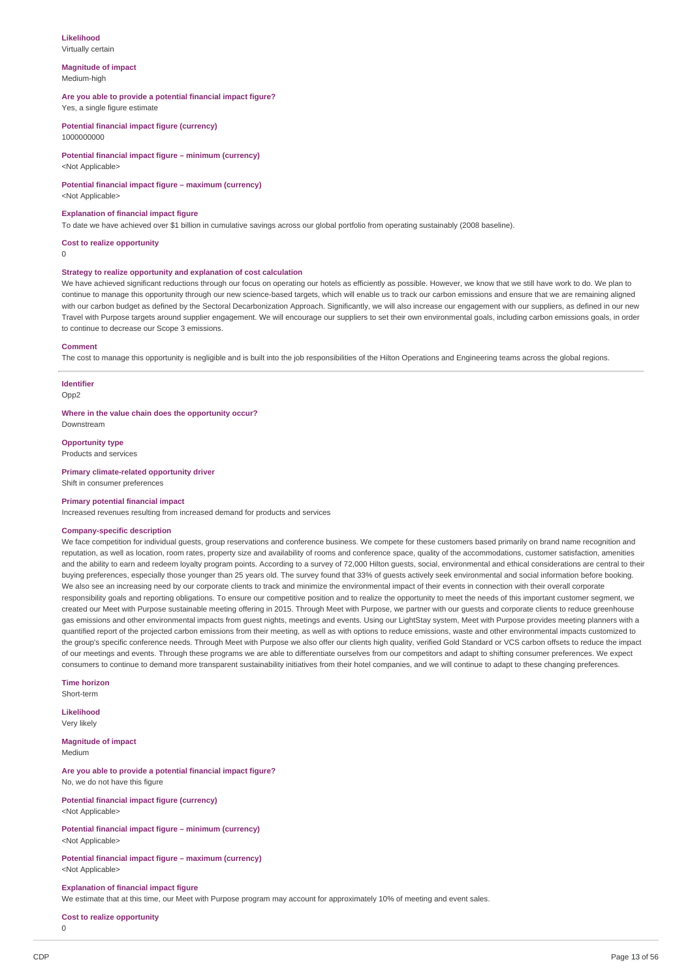## **Likelihood**

Virtually certain

#### **Magnitude of impact** Medium-high

### **Are you able to provide a potential financial impact figure?**

Yes, a single figure estimate

**Potential financial impact figure (currency)** 1000000000

### **Potential financial impact figure – minimum (currency)** <Not Applicable>

### **Potential financial impact figure – maximum (currency)**

<Not Applicable>

### **Explanation of financial impact figure**

To date we have achieved over \$1 billion in cumulative savings across our global portfolio from operating sustainably (2008 baseline).

#### **Cost to realize opportunity**

0

## **Strategy to realize opportunity and explanation of cost calculation**

We have achieved significant reductions through our focus on operating our hotels as efficiently as possible. However, we know that we still have work to do. We plan to continue to manage this opportunity through our new science-based targets, which will enable us to track our carbon emissions and ensure that we are remaining aligned with our carbon budget as defined by the Sectoral Decarbonization Approach. Significantly, we will also increase our engagement with our suppliers, as defined in our new Travel with Purpose targets around supplier engagement. We will encourage our suppliers to set their own environmental goals, including carbon emissions goals, in order to continue to decrease our Scope 3 emissions.

#### **Comment**

The cost to manage this opportunity is negligible and is built into the job responsibilities of the Hilton Operations and Engineering teams across the global regions.

## **Identifier**

Opp<sub>2</sub>

**Where in the value chain does the opportunity occur?** Downstream

## **Opportunity type**

Products and services

#### **Primary climate-related opportunity driver** Shift in consumer preferences

## **Primary potential financial impact**

Increased revenues resulting from increased demand for products and services

### **Company-specific description**

We face competition for individual guests, group reservations and conference business. We compete for these customers based primarily on brand name recognition and reputation, as well as location, room rates, property size and availability of rooms and conference space, quality of the accommodations, customer satisfaction, amenities and the ability to earn and redeem loyalty program points. According to a survey of 72,000 Hilton guests, social, environmental and ethical considerations are central to their buying preferences, especially those younger than 25 years old. The survey found that 33% of guests actively seek environmental and social information before booking. We also see an increasing need by our corporate clients to track and minimize the environmental impact of their events in connection with their overall corporate responsibility goals and reporting obligations. To ensure our competitive position and to realize the opportunity to meet the needs of this important customer segment, we created our Meet with Purpose sustainable meeting offering in 2015. Through Meet with Purpose, we partner with our guests and corporate clients to reduce greenhouse gas emissions and other environmental impacts from guest nights, meetings and events. Using our LightStay system, Meet with Purpose provides meeting planners with a quantified report of the projected carbon emissions from their meeting, as well as with options to reduce emissions, waste and other environmental impacts customized to the group's specific conference needs. Through Meet with Purpose we also offer our clients high quality, verified Gold Standard or VCS carbon offsets to reduce the impact of our meetings and events. Through these programs we are able to differentiate ourselves from our competitors and adapt to shifting consumer preferences. We expect consumers to continue to demand more transparent sustainability initiatives from their hotel companies, and we will continue to adapt to these changing preferences.

## **Time horizon**

Short-term

**Likelihood** Very likely

**Magnitude of impact** Medium

### **Are you able to provide a potential financial impact figure?** No, we do not have this figure

**Potential financial impact figure (currency)** <Not Applicable>

### **Potential financial impact figure – minimum (currency)** <Not Applicable>

**Potential financial impact figure – maximum (currency)** <Not Applicable>

### **Explanation of financial impact figure**

We estimate that at this time, our Meet with Purpose program may account for approximately 10% of meeting and event sales.

### **Cost to realize opportunity**

 $\Omega$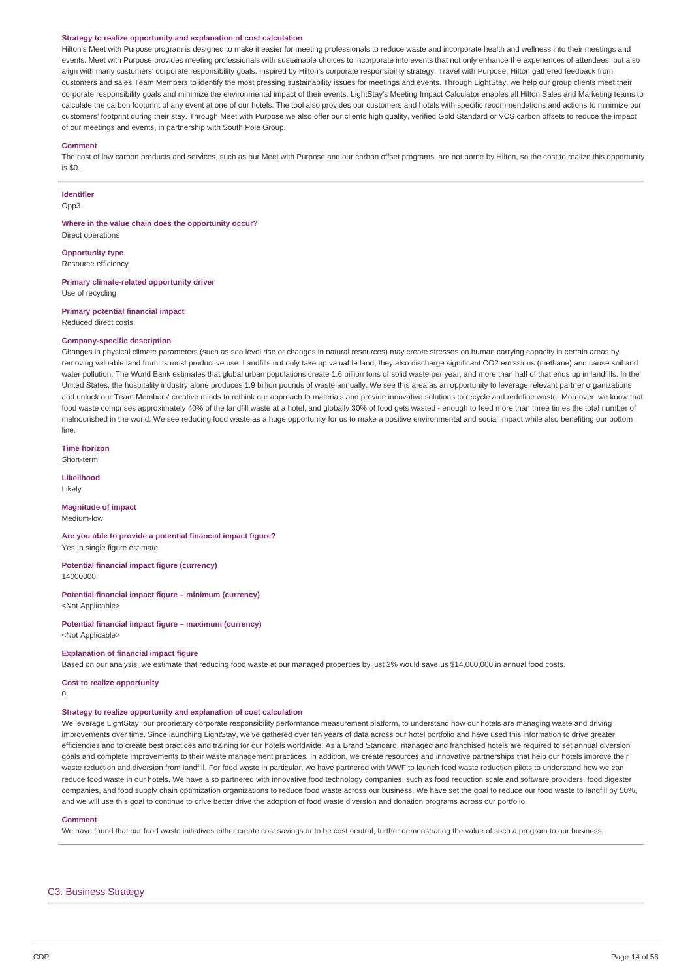#### **Strategy to realize opportunity and explanation of cost calculation**

Hilton's Meet with Purpose program is designed to make it easier for meeting professionals to reduce waste and incorporate health and wellness into their meetings and events. Meet with Purpose provides meeting professionals with sustainable choices to incorporate into events that not only enhance the experiences of attendees, but also align with many customers' corporate responsibility goals. Inspired by Hilton's corporate responsibility strategy, Travel with Purpose, Hilton gathered feedback from customers and sales Team Members to identify the most pressing sustainability issues for meetings and events. Through LightStay, we help our group clients meet their corporate responsibility goals and minimize the environmental impact of their events. LightStay's Meeting Impact Calculator enables all Hilton Sales and Marketing teams to calculate the carbon footprint of any event at one of our hotels. The tool also provides our customers and hotels with specific recommendations and actions to minimize our customers' footprint during their stay. Through Meet with Purpose we also offer our clients high quality, verified Gold Standard or VCS carbon offsets to reduce the impact of our meetings and events, in partnership with South Pole Group.

#### **Comment**

The cost of low carbon products and services, such as our Meet with Purpose and our carbon offset programs, are not borne by Hilton, so the cost to realize this opportunity is \$0.

### **Identifier**

Opp3

**Where in the value chain does the opportunity occur?** Direct operations

**Opportunity type** Resource efficiency

**Primary climate-related opportunity driver** Use of recycling

**Primary potential financial impact** Reduced direct costs

### **Company-specific description**

Changes in physical climate parameters (such as sea level rise or changes in natural resources) may create stresses on human carrying capacity in certain areas by removing valuable land from its most productive use. Landfills not only take up valuable land, they also discharge significant CO2 emissions (methane) and cause soil and water pollution. The World Bank estimates that global urban populations create 1.6 billion tons of solid waste per year, and more than half of that ends up in landfills. In the United States, the hospitality industry alone produces 1.9 billion pounds of waste annually. We see this area as an opportunity to leverage relevant partner organizations and unlock our Team Members' creative minds to rethink our approach to materials and provide innovative solutions to recycle and redefine waste. Moreover, we know that food waste comprises approximately 40% of the landfill waste at a hotel, and globally 30% of food gets wasted - enough to feed more than three times the total number of malnourished in the world. We see reducing food waste as a huge opportunity for us to make a positive environmental and social impact while also benefiting our bottom line

**Time horizon** Short-term

**Likelihood** Likely

**Magnitude of impact** Medium-low

**Are you able to provide a potential financial impact figure?** Yes, a single figure estimate

**Potential financial impact figure (currency)** 14000000

**Potential financial impact figure – minimum (currency)** <Not Applicable>

**Potential financial impact figure – maximum (currency)** <Not Applicable>

## **Explanation of financial impact figure**

Based on our analysis, we estimate that reducing food waste at our managed properties by just 2% would save us \$14,000,000 in annual food costs.

**Cost to realize opportunity**

 $\Omega$ 

### **Strategy to realize opportunity and explanation of cost calculation**

We leverage LightStay, our proprietary corporate responsibility performance measurement platform, to understand how our hotels are managing waste and driving improvements over time. Since launching LightStay, we've gathered over ten years of data across our hotel portfolio and have used this information to drive greater efficiencies and to create best practices and training for our hotels worldwide. As a Brand Standard, managed and franchised hotels are required to set annual diversion goals and complete improvements to their waste management practices. In addition, we create resources and innovative partnerships that help our hotels improve their waste reduction and diversion from landfill. For food waste in particular, we have partnered with WWF to launch food waste reduction pilots to understand how we can reduce food waste in our hotels. We have also partnered with innovative food technology companies, such as food reduction scale and software providers, food digester companies, and food supply chain optimization organizations to reduce food waste across our business. We have set the goal to reduce our food waste to landfill by 50%, and we will use this goal to continue to drive better drive the adoption of food waste diversion and donation programs across our portfolio.

### **Comment**

We have found that our food waste initiatives either create cost savings or to be cost neutral, further demonstrating the value of such a program to our business.

### C3. Business Strategy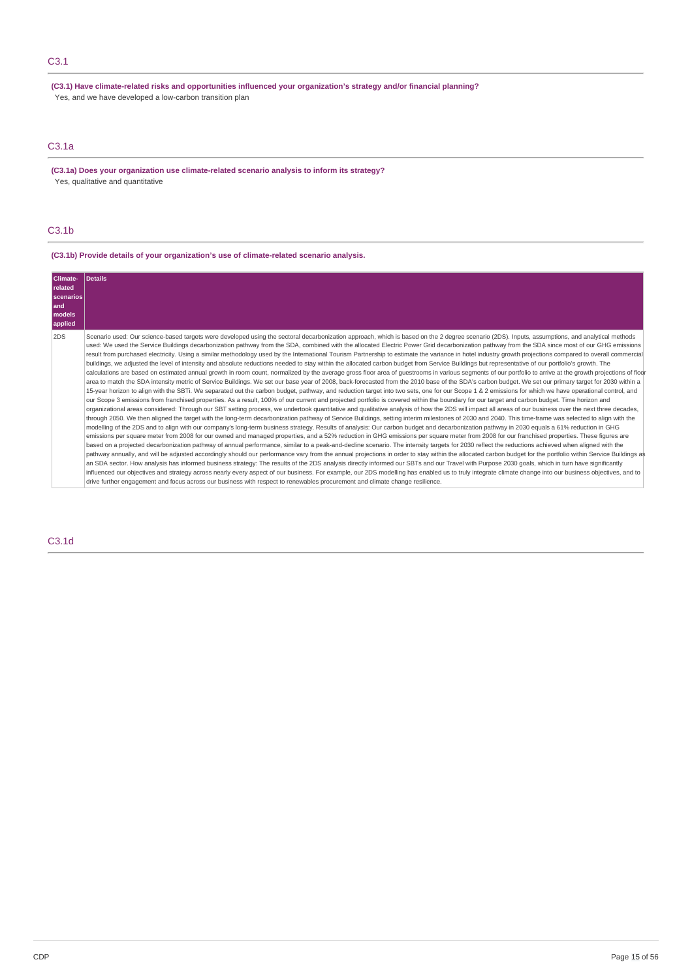## C3.1

**(C3.1) Have climate-related risks and opportunities influenced your organization's strategy and/or financial planning?** Yes, and we have developed a low-carbon transition plan

## C3.1a

**(C3.1a) Does your organization use climate-related scenario analysis to inform its strategy?** Yes, qualitative and quantitative

## C3.1b

## **(C3.1b) Provide details of your organization's use of climate-related scenario analysis.**

| Climate-<br>related<br>scenarios<br>and<br>models<br>applied | Details                                                                                                                                                                                                                                                                                                                                                                                                                                                                                                                                                                                                                                                                                                                                                                                                                                                                                                                                                                                                                                                                                                                                                                                                                                                                                                                                                                                                                                                                                                                                                                                                                                                                                                                                                                                                                                                                                                                                                                                                                                                                                                                                                                                                                                                                                                                                                                                                                                                                                                                                                                                                                                                                                                                                                                                                                                                                                                                                                                                                                                                                                                                                                                                                                                                                                                                                                                                                                               |
|--------------------------------------------------------------|---------------------------------------------------------------------------------------------------------------------------------------------------------------------------------------------------------------------------------------------------------------------------------------------------------------------------------------------------------------------------------------------------------------------------------------------------------------------------------------------------------------------------------------------------------------------------------------------------------------------------------------------------------------------------------------------------------------------------------------------------------------------------------------------------------------------------------------------------------------------------------------------------------------------------------------------------------------------------------------------------------------------------------------------------------------------------------------------------------------------------------------------------------------------------------------------------------------------------------------------------------------------------------------------------------------------------------------------------------------------------------------------------------------------------------------------------------------------------------------------------------------------------------------------------------------------------------------------------------------------------------------------------------------------------------------------------------------------------------------------------------------------------------------------------------------------------------------------------------------------------------------------------------------------------------------------------------------------------------------------------------------------------------------------------------------------------------------------------------------------------------------------------------------------------------------------------------------------------------------------------------------------------------------------------------------------------------------------------------------------------------------------------------------------------------------------------------------------------------------------------------------------------------------------------------------------------------------------------------------------------------------------------------------------------------------------------------------------------------------------------------------------------------------------------------------------------------------------------------------------------------------------------------------------------------------------------------------------------------------------------------------------------------------------------------------------------------------------------------------------------------------------------------------------------------------------------------------------------------------------------------------------------------------------------------------------------------------------------------------------------------------------------------------------------------------|
| 2DS                                                          | Scenario used: Our science-based targets were developed using the sectoral decarbonization approach, which is based on the 2 degree scenario (2DS). Inputs, assumptions, and analytical methods<br>used: We used the Service Buildings decarbonization pathway from the SDA, combined with the allocated Electric Power Grid decarbonization pathway from the SDA since most of our GHG emissions<br>result from purchased electricity. Using a similar methodology used by the International Tourism Partnership to estimate the variance in hotel industry growth projections compared to overall commercial<br>buildings, we adjusted the level of intensity and absolute reductions needed to stay within the allocated carbon budget from Service Buildings but representative of our portfolio's growth. The<br>calculations are based on estimated annual growth in room count, normalized by the average gross floor area of guestrooms in various segments of our portfolio to arrive at the growth projections of floor<br>area to match the SDA intensity metric of Service Buildings. We set our base year of 2008, back-forecasted from the 2010 base of the SDA's carbon budget. We set our primary target for 2030 within a<br>15-year horizon to align with the SBTi. We separated out the carbon budget, pathway, and reduction target into two sets, one for our Scope 1 & 2 emissions for which we have operational control, and<br>our Scope 3 emissions from franchised properties. As a result, 100% of our current and projected portfolio is covered within the boundary for our target and carbon budget. Time horizon and<br>organizational areas considered: Through our SBT setting process, we undertook quantitative and qualitative analysis of how the 2DS will impact all areas of our business over the next three decades,<br>through 2050. We then aligned the target with the long-term decarbonization pathway of Service Buildings, setting interim milestones of 2030 and 2040. This time-frame was selected to align with the<br>modelling of the 2DS and to align with our company's long-term business strategy. Results of analysis: Our carbon budget and decarbonization pathway in 2030 equals a 61% reduction in GHG<br>emissions per square meter from 2008 for our owned and managed properties, and a 52% reduction in GHG emissions per square meter from 2008 for our franchised properties. These figures are<br>based on a projected decarbonization pathway of annual performance, similar to a peak-and-decline scenario. The intensity targets for 2030 reflect the reductions achieved when aligned with the<br>pathway annually, and will be adjusted accordingly should our performance vary from the annual projections in order to stay within the allocated carbon budget for the portfolio within Service Buildings as<br>an SDA sector. How analysis has informed business strategy: The results of the 2DS analysis directly informed our SBTs and our Travel with Purpose 2030 goals, which in turn have significantly<br>influenced our objectives and strategy across nearly every aspect of our business. For example, our 2DS modelling has enabled us to truly integrate climate change into our business objectives, and to<br>drive further engagement and focus across our business with respect to renewables procurement and climate change resilience. |

## C3.1d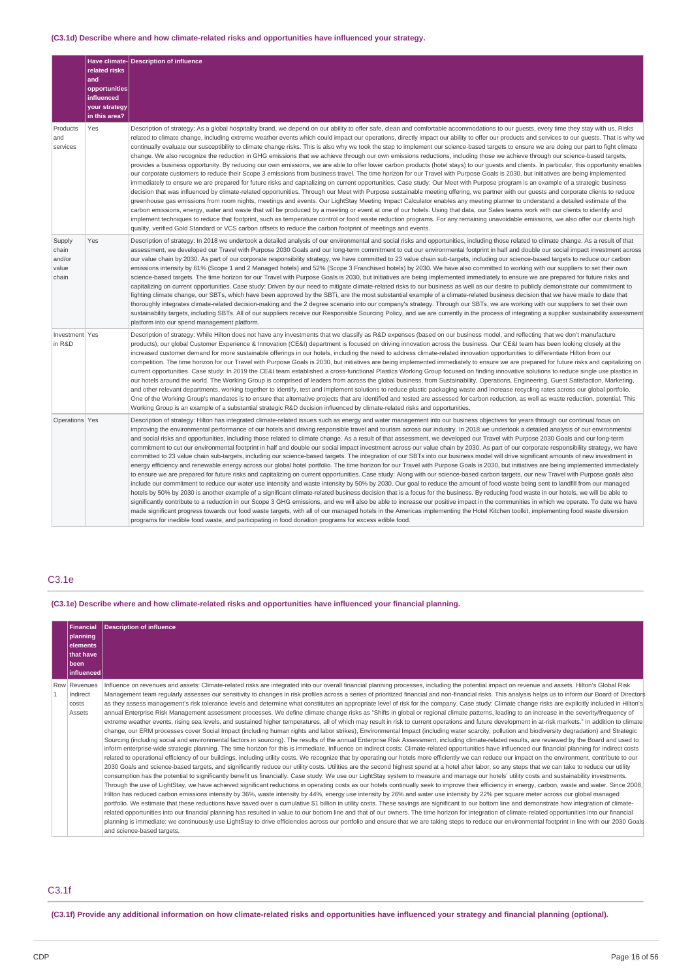## **(C3.1d) Describe where and how climate-related risks and opportunities have influenced your strategy.**

|                                             | related risks<br>and<br>opportunities<br>influenced<br>your strategy<br>in this area? | Have climate- Description of influence                                                                                                                                                                                                                                                                                                                                                                                                                                                                                                                                                                                                                                                                                                                                                                                                                                                                                                                                                                                                                                                                                                                                                                                                                                                                                                                                                                                                                                                                                                                                                                                                                                                                                                                                                                                                                                                                                                                                                                                                                                                                                                                                                                               |
|---------------------------------------------|---------------------------------------------------------------------------------------|----------------------------------------------------------------------------------------------------------------------------------------------------------------------------------------------------------------------------------------------------------------------------------------------------------------------------------------------------------------------------------------------------------------------------------------------------------------------------------------------------------------------------------------------------------------------------------------------------------------------------------------------------------------------------------------------------------------------------------------------------------------------------------------------------------------------------------------------------------------------------------------------------------------------------------------------------------------------------------------------------------------------------------------------------------------------------------------------------------------------------------------------------------------------------------------------------------------------------------------------------------------------------------------------------------------------------------------------------------------------------------------------------------------------------------------------------------------------------------------------------------------------------------------------------------------------------------------------------------------------------------------------------------------------------------------------------------------------------------------------------------------------------------------------------------------------------------------------------------------------------------------------------------------------------------------------------------------------------------------------------------------------------------------------------------------------------------------------------------------------------------------------------------------------------------------------------------------------|
| Products<br>and<br>services                 | Yes                                                                                   | Description of strategy: As a global hospitality brand, we depend on our ability to offer safe, clean and comfortable accommodations to our quests, every time they stay with us. Risks<br>related to climate change, including extreme weather events which could impact our operations, directly impact our ability to offer our products and services to our guests. That is why we<br>continually evaluate our susceptibility to climate change risks. This is also why we took the step to implement our science-based targets to ensure we are doing our part to fight climate<br>change. We also recognize the reduction in GHG emissions that we achieve through our own emissions reductions, including those we achieve through our science-based targets,<br>provides a business opportunity. By reducing our own emissions, we are able to offer lower carbon products (hotel stays) to our guests and clients. In particular, this opportunity enables<br>our corporate customers to reduce their Scope 3 emissions from business travel. The time horizon for our Travel with Purpose Goals is 2030, but initiatives are being implemented<br>immediately to ensure we are prepared for future risks and capitalizing on current opportunities. Case study: Our Meet with Purpose program is an example of a strategic business<br>decision that was influenced by climate-related opportunities. Through our Meet with Purpose sustainable meeting offering, we partner with our quests and corporate clients to reduce<br>greenhouse gas emissions from room nights, meetings and events. Our LightStay Meeting Impact Calculator enables any meeting planner to understand a detailed estimate of the<br>carbon emissions, energy, water and waste that will be produced by a meeting or event at one of our hotels. Using that data, our Sales teams work with our clients to identify and<br>implement techniques to reduce that footprint, such as temperature control or food waste reduction programs. For any remaining unavoidable emissions, we also offer our clients high<br>quality, verified Gold Standard or VCS carbon offsets to reduce the carbon footprint of meetings and events. |
| Supply<br>chain<br>and/or<br>value<br>chain | Yes                                                                                   | Description of strategy: In 2018 we undertook a detailed analysis of our environmental and social risks and opportunities, including those related to climate change. As a result of that<br>assessment, we developed our Travel with Purpose 2030 Goals and our long-term commitment to cut our environmental footprint in half and double our social impact investment across<br>our value chain by 2030. As part of our corporate responsibility strategy, we have committed to 23 value chain sub-targets, including our science-based targets to reduce our carbon<br>emissions intensity by 61% (Scope 1 and 2 Managed hotels) and 52% (Scope 3 Franchised hotels) by 2030. We have also committed to working with our suppliers to set their own<br>science-based targets. The time horizon for our Travel with Purpose Goals is 2030, but initiatives are being implemented immediately to ensure we are prepared for future risks and<br>capitalizing on current opportunities. Case study: Driven by our need to mitigate climate-related risks to our business as well as our desire to publicly demonstrate our commitment to<br>fighting climate change, our SBTs, which have been approved by the SBTi, are the most substantial example of a climate-related business decision that we have made to date that<br>thoroughly integrates climate-related decision-making and the 2 degree scenario into our company's strategy. Through our SBTs, we are working with our suppliers to set their own<br>sustainability targets, including SBTs. All of our suppliers receive our Responsible Sourcing Policy, and we are currently in the process of integrating a supplier sustainability assessment<br>platform into our spend management platform.                                                                                                                                                                                                                                                                                                                                                                                                                                                   |
| Investment Yes<br>in R&D                    |                                                                                       | Description of strategy: While Hilton does not have any investments that we classify as R&D expenses (based on our business model, and reflecting that we don't manufacture<br>products), our global Customer Experience & Innovation (CE&I) department is focused on driving innovation across the business. Our CE&I team has been looking closely at the<br>increased customer demand for more sustainable offerings in our hotels, including the need to address climate-related innovation opportunities to differentiate Hilton from our<br>competition. The time horizon for our Travel with Purpose Goals is 2030, but initiatives are being implemented immediately to ensure we are prepared for future risks and capitalizing on<br>current opportunities. Case study: In 2019 the CE&I team established a cross-functional Plastics Working Group focused on finding innovative solutions to reduce single use plastics in<br>our hotels around the world. The Working Group is comprised of leaders from across the global business, from Sustainability, Operations, Engineering, Guest Satisfaction, Marketing,<br>and other relevant departments, working together to identify, test and implement solutions to reduce plastic packaging waste and increase recycling rates across our global portfolio.<br>One of the Working Group's mandates is to ensure that alternative projects that are identified and tested are assessed for carbon reduction, as well as waste reduction, potential. This<br>Working Group is an example of a substantial strategic R&D decision influenced by climate-related risks and opportunities.                                                                                                                                                                                                                                                                                                                                                                                                                                                                                                                                                                   |
| Operations Yes                              |                                                                                       | Description of strategy: Hilton has integrated climate-related issues such as energy and water management into our business objectives for years through our continual focus on<br>improving the environmental performance of our hotels and driving responsible travel and tourism across our industry. In 2018 we undertook a detailed analysis of our environmental<br>and social risks and opportunities, including those related to climate change. As a result of that assessment, we developed our Travel with Purpose 2030 Goals and our long-term<br>commitment to cut our environmental footprint in half and double our social impact investment across our value chain by 2030. As part of our corporate responsibility strategy, we have<br>committed to 23 value chain sub-targets, including our science-based targets. The integration of our SBTs into our business model will drive significant amounts of new investment in<br>energy efficiency and renewable energy across our global hotel portfolio. The time horizon for our Travel with Purpose Goals is 2030, but initiatives are being implemented immediately<br>to ensure we are prepared for future risks and capitalizing on current opportunities. Case study: Along with our science-based carbon targets, our new Travel with Purpose goals also<br>include our commitment to reduce our water use intensity and waste intensity by 50% by 2030. Our goal to reduce the amount of food waste being sent to landfill from our managed<br>hotels by 50% by 2030 is another example of a significant climate-related business decision that is a focus for the business. By reducing food waste in our hotels, we will be able to<br>significantly contribute to a reduction in our Scope 3 GHG emissions, and we will also be able to increase our positive impact in the communities in which we operate. To date we have<br>made significant progress towards our food waste targets, with all of our managed hotels in the Americas implementing the Hotel Kitchen toolkit, implementing food waste diversion<br>programs for inedible food waste, and participating in food donation programs for excess edible food.            |

## C3.1e

## **(C3.1e) Describe where and how climate-related risks and opportunities have influenced your financial planning.**

| <b>Financial</b><br>planning<br>lelements<br>that have<br>l been<br>l influenced l | Description of influence                                                                                                                                                                                                                                                                                                                                                                                                                                                                                                                                                                                                                                                                                                                                                                                                                                                                                                                                                                                                                                                                                                                                                                                                                                                                                                                                                                                                                                                                                                                                                                                                                                                                                                                                                                                                                                                                                                                                                                                                                                                                                                                                                                                                                                                                                                                                                                                                                                                                                                                                                                                                                                                                                                                                                                                                                                                                                                                                                                                                                                                                                                                                                                                                                                                                                                      |
|------------------------------------------------------------------------------------|-------------------------------------------------------------------------------------------------------------------------------------------------------------------------------------------------------------------------------------------------------------------------------------------------------------------------------------------------------------------------------------------------------------------------------------------------------------------------------------------------------------------------------------------------------------------------------------------------------------------------------------------------------------------------------------------------------------------------------------------------------------------------------------------------------------------------------------------------------------------------------------------------------------------------------------------------------------------------------------------------------------------------------------------------------------------------------------------------------------------------------------------------------------------------------------------------------------------------------------------------------------------------------------------------------------------------------------------------------------------------------------------------------------------------------------------------------------------------------------------------------------------------------------------------------------------------------------------------------------------------------------------------------------------------------------------------------------------------------------------------------------------------------------------------------------------------------------------------------------------------------------------------------------------------------------------------------------------------------------------------------------------------------------------------------------------------------------------------------------------------------------------------------------------------------------------------------------------------------------------------------------------------------------------------------------------------------------------------------------------------------------------------------------------------------------------------------------------------------------------------------------------------------------------------------------------------------------------------------------------------------------------------------------------------------------------------------------------------------------------------------------------------------------------------------------------------------------------------------------------------------------------------------------------------------------------------------------------------------------------------------------------------------------------------------------------------------------------------------------------------------------------------------------------------------------------------------------------------------------------------------------------------------------------------------------------------------|
| Row Revenues<br>Indirect<br>costs<br>Assets                                        | Influence on revenues and assets: Climate-related risks are integrated into our overall financial planning processes, including the potential impact on revenue and assets. Hilton's Global Risk<br>Management team regularly assesses our sensitivity to changes in risk profiles across a series of prioritized financial and non-financial risks. This analysis helps us to inform our Board of Directors<br>as they assess management's risk tolerance levels and determine what constitutes an appropriate level of risk for the company. Case study: Climate change risks are explicitly included in Hilton's<br>annual Enterprise Risk Management assessment processes. We define climate change risks as "Shifts in global or regional climate patterns, leading to an increase in the severity/frequency of<br>extreme weather events, rising sea levels, and sustained higher temperatures, all of which may result in risk to current operations and future development in at-risk markets." In addition to climate<br>change, our ERM processes cover Social Impact (including human rights and labor strikes), Environmental Impact (including water scarcity, pollution and biodiversity degradation) and Strategic<br>Sourcing (including social and environmental factors in sourcing). The results of the annual Enterprise Risk Assessment, including climate-related results, are reviewed by the Board and used to<br>inform enterprise-wide strategic planning. The time horizon for this is immediate. Influence on indirect costs: Climate-related opportunities have influenced our financial planning for indirect costs<br>related to operational efficiency of our buildings, including utility costs. We recognize that by operating our hotels more efficiently we can reduce our impact on the environment, contribute to our<br>2030 Goals and science-based targets, and significantly reduce our utility costs. Utilities are the second highest spend at a hotel after labor, so any steps that we can take to reduce our utility<br>consumption has the potential to significantly benefit us financially. Case study: We use our LightStay system to measure and manage our hotels' utility costs and sustainability investments.<br>Through the use of LightStay, we have achieved significant reductions in operating costs as our hotels continually seek to improve their efficiency in energy, carbon, waste and water. Since 2008,<br>Hilton has reduced carbon emissions intensity by 36%, waste intensity by 44%, energy use intensity by 26% and water use intensity by 22% per square meter across our global managed<br>portfolio. We estimate that these reductions have saved over a cumulative \$1 billion in utility costs. These savings are significant to our bottom line and demonstrate how integration of climate-<br>related opportunities into our financial planning has resulted in value to our bottom line and that of our owners. The time horizon for integration of climate-related opportunities into our financial<br>planning is immediate: we continuously use LightStay to drive efficiencies across our portfolio and ensure that we are taking steps to reduce our environmental footprint in line with our 2030 Goals<br>and science-based targets. |

## C3.1f

(C3.1f) Provide any additional information on how climate-related risks and opportunities have influenced your strategy and financial planning (optional).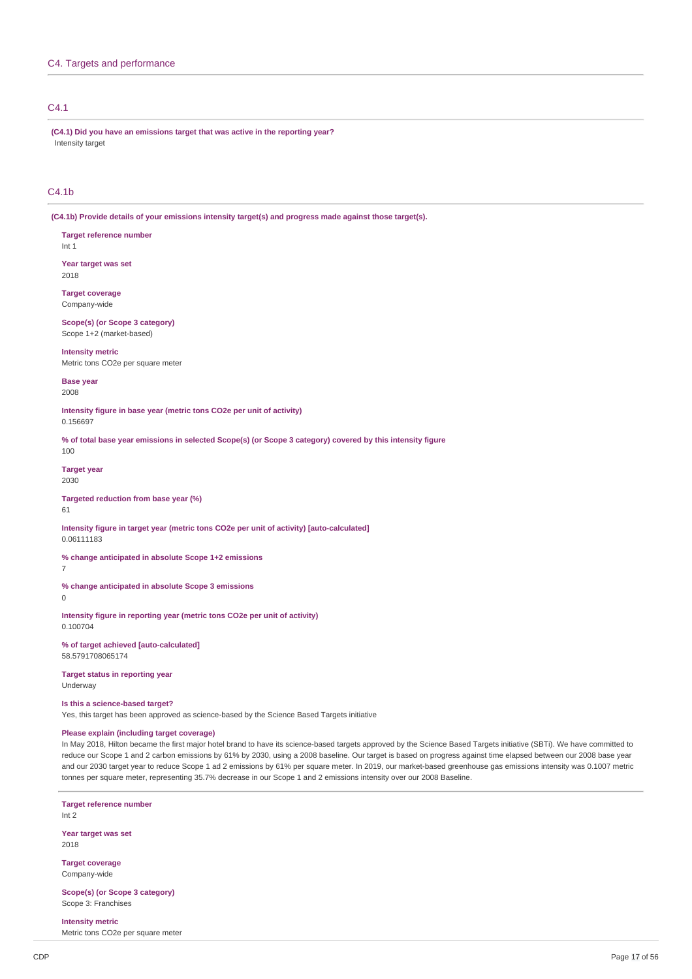## C4. Targets and performance

## C4.1

**(C4.1) Did you have an emissions target that was active in the reporting year?** Intensity target

## C4.1b

**(C4.1b) Provide details of your emissions intensity target(s) and progress made against those target(s).**

**Target reference number** Int 1

**Year target was set** 2018

**Target coverage** Company-wide

**Scope(s) (or Scope 3 category)** Scope 1+2 (market-based)

**Intensity metric** Metric tons CO2e per square meter

**Base year** 2008

**Intensity figure in base year (metric tons CO2e per unit of activity)** 0.156697

% of total base year emissions in selected Scope(s) (or Scope 3 category) covered by this intensity figure 100

**Target year** 2030

**Targeted reduction from base year (%)** 61

**Intensity figure in target year (metric tons CO2e per unit of activity) [auto-calculated]** 0.06111183

**% change anticipated in absolute Scope 1+2 emissions**

**% change anticipated in absolute Scope 3 emissions**

 $\Omega$ 

7

**Intensity figure in reporting year (metric tons CO2e per unit of activity)** 0.100704

**% of target achieved [auto-calculated]** 58.5791708065174

**Target status in reporting year** Underway

#### **Is this a science-based target?**

Yes, this target has been approved as science-based by the Science Based Targets initiative

## **Please explain (including target coverage)**

In May 2018, Hilton became the first major hotel brand to have its science-based targets approved by the Science Based Targets initiative (SBTi). We have committed to reduce our Scope 1 and 2 carbon emissions by 61% by 2030, using a 2008 baseline. Our target is based on progress against time elapsed between our 2008 base year and our 2030 target year to reduce Scope 1 ad 2 emissions by 61% per square meter. In 2019, our market-based greenhouse gas emissions intensity was 0.1007 metric tonnes per square meter, representing 35.7% decrease in our Scope 1 and 2 emissions intensity over our 2008 Baseline.

**Target reference number** Int 2

**Year target was set** 2018

**Target coverage** Company-wide

**Scope(s) (or Scope 3 category)** Scope 3: Franchises

**Intensity metric** Metric tons CO2e per square meter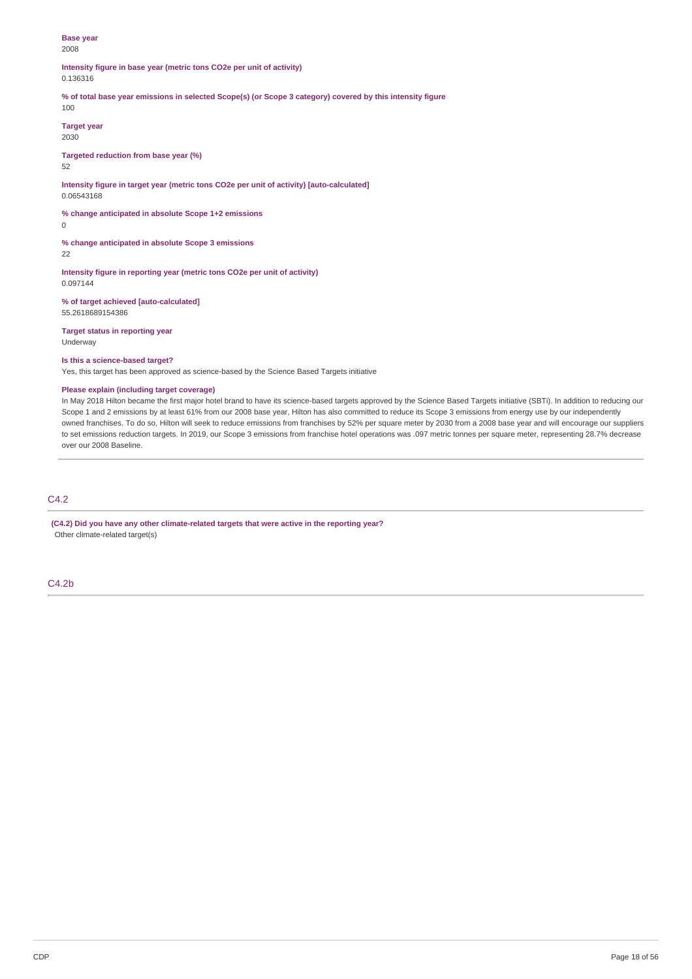### **Base year** 2008

**Intensity figure in base year (metric tons CO2e per unit of activity)** 0.136316

% of total base year emissions in selected Scope(s) (or Scope 3 category) covered by this intensity figure

100

**Target year** 2030

**Targeted reduction from base year (%)**

52

**Intensity figure in target year (metric tons CO2e per unit of activity) [auto-calculated]** 0.06543168

**% change anticipated in absolute Scope 1+2 emissions**

 $\overline{0}$ 

**% change anticipated in absolute Scope 3 emissions**

22

**Intensity figure in reporting year (metric tons CO2e per unit of activity)** 0.097144

**% of target achieved [auto-calculated]** 55.2618689154386

**Target status in reporting year** Underway

### **Is this a science-based target?**

Yes, this target has been approved as science-based by the Science Based Targets initiative

## **Please explain (including target coverage)**

In May 2018 Hilton became the first major hotel brand to have its science-based targets approved by the Science Based Targets initiative (SBTi). In addition to reducing our Scope 1 and 2 emissions by at least 61% from our 2008 base year, Hilton has also committed to reduce its Scope 3 emissions from energy use by our independently owned franchises. To do so, Hilton will seek to reduce emissions from franchises by 52% per square meter by 2030 from a 2008 base year and will encourage our suppliers to set emissions reduction targets. In 2019, our Scope 3 emissions from franchise hotel operations was .097 metric tonnes per square meter, representing 28.7% decrease over our 2008 Baseline.

## C4.2

**(C4.2) Did you have any other climate-related targets that were active in the reporting year?** Other climate-related target(s)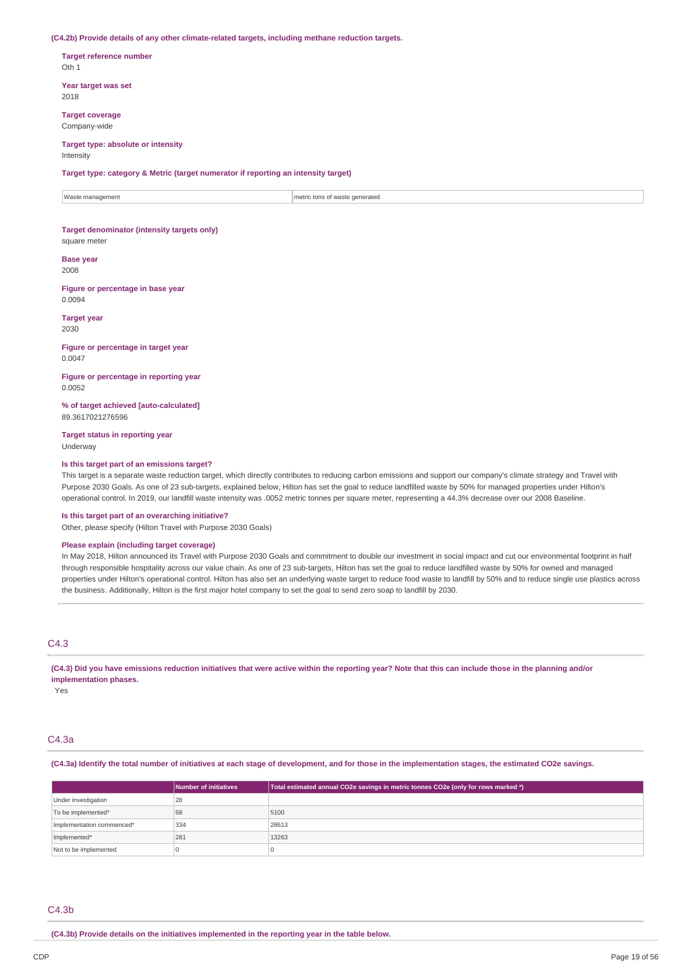#### **(C4.2b) Provide details of any other climate-related targets, including methane reduction targets.**

**Target reference number** Oth 1

**Year target was set** 2018

**Target coverage** Company-wide

### **Target type: absolute or intensity** Intensity

**Target type: category & Metric (target numerator if reporting an intensity target)**

Waste management metric tons of waste generated

## **Target denominator (intensity targets only)** square meter

**Base year**

2008

**Figure or percentage in base year** 0.0094

**Target year** 2030

**Figure or percentage in target year** 0.0047

**Figure or percentage in reporting year** 0.0052

**% of target achieved [auto-calculated]** 89.3617021276596

**Target status in reporting year** Underway

### **Is this target part of an emissions target?**

This target is a separate waste reduction target, which directly contributes to reducing carbon emissions and support our company's climate strategy and Travel with Purpose 2030 Goals. As one of 23 sub-targets, explained below, Hilton has set the goal to reduce landfilled waste by 50% for managed properties under Hilton's operational control. In 2019, our landfill waste intensity was .0052 metric tonnes per square meter, representing a 44.3% decrease over our 2008 Baseline.

### **Is this target part of an overarching initiative?**

Other, please specify (Hilton Travel with Purpose 2030 Goals)

## **Please explain (including target coverage)**

In May 2018, Hilton announced its Travel with Purpose 2030 Goals and commitment to double our investment in social impact and cut our environmental footprint in half through responsible hospitality across our value chain. As one of 23 sub-targets, Hilton has set the goal to reduce landfilled waste by 50% for owned and managed properties under Hilton's operational control. Hilton has also set an underlying waste target to reduce food waste to landfill by 50% and to reduce single use plastics across the business. Additionally, Hilton is the first major hotel company to set the goal to send zero soap to landfill by 2030.

## C4.3

(C4.3) Did you have emissions reduction initiatives that were active within the reporting year? Note that this can include those in the planning and/or **implementation phases.**

Yes

## C4.3a

(C4.3a) Identify the total number of initiatives at each stage of development, and for those in the implementation stages, the estimated CO2e savings.

|                           | Number of initiatives | Total estimated annual CO2e savings in metric tonnes CO2e (only for rows marked *) |
|---------------------------|-----------------------|------------------------------------------------------------------------------------|
| Under investigation       | 28                    |                                                                                    |
| To be implemented*        | 68                    | 5100                                                                               |
| Implementation commenced* | 334                   | 28613                                                                              |
| Implemented*              | 281                   | 13263                                                                              |
| Not to be implemented     |                       |                                                                                    |

### C4.3b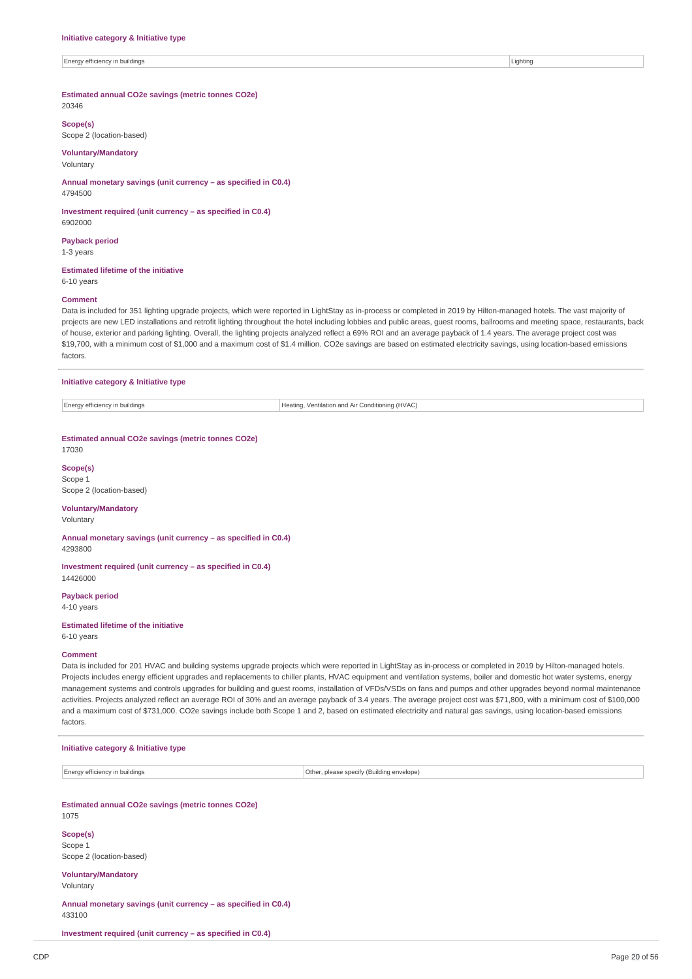Energy efficiency in buildings and the contract of the contract of the contract of the contract of the contract of the contract of the contract of the contract of the contract of the contract of the contract of the contrac

**Estimated annual CO2e savings (metric tonnes CO2e)**

20346

**Scope(s)**

Scope 2 (location-based)

**Voluntary/Mandatory** Voluntary

**Annual monetary savings (unit currency – as specified in C0.4)** 4794500

**Investment required (unit currency – as specified in C0.4)** 6902000

**Payback period** 1-3 years

### **Estimated lifetime of the initiative**

6-10 years

## **Comment**

Data is included for 351 lighting upgrade projects, which were reported in LightStay as in-process or completed in 2019 by Hilton-managed hotels. The vast majority of projects are new LED installations and retrofit lighting throughout the hotel including lobbies and public areas, guest rooms, ballrooms and meeting space, restaurants, back of house, exterior and parking lighting. Overall, the lighting projects analyzed reflect a 69% ROI and an average payback of 1.4 years. The average project cost was \$19,700, with a minimum cost of \$1,000 and a maximum cost of \$1.4 million. CO2e savings are based on estimated electricity savings, using location-based emissions factors.

## **Initiative category & Initiative type**

Energy efficiency in buildings **Heating, Ventilation and Air Conditioning (HVAC)** 

**Estimated annual CO2e savings (metric tonnes CO2e)** 17030

**Scope(s)**

Scope 1 Scope 2 (location-based)

## **Voluntary/Mandatory**

Voluntary

**Annual monetary savings (unit currency – as specified in C0.4)** 4293800

**Investment required (unit currency – as specified in C0.4)** 14426000

**Payback period** 4-10 years

## **Estimated lifetime of the initiative**

6-10 years

### **Comment**

Data is included for 201 HVAC and building systems upgrade projects which were reported in LightStay as in-process or completed in 2019 by Hilton-managed hotels. Projects includes energy efficient upgrades and replacements to chiller plants, HVAC equipment and ventilation systems, boiler and domestic hot water systems, energy management systems and controls upgrades for building and guest rooms, installation of VFDs/VSDs on fans and pumps and other upgrades beyond normal maintenance activities. Projects analyzed reflect an average ROI of 30% and an average payback of 3.4 years. The average project cost was \$71,800, with a minimum cost of \$100,000 and a maximum cost of \$731,000. CO2e savings include both Scope 1 and 2, based on estimated electricity and natural gas savings, using location-based emissions factors.

### **Initiative category & Initiative type**

Energy efficiency in buildings Other, please specify (Building envelope)

**Estimated annual CO2e savings (metric tonnes CO2e)** 1075

**Scope(s)** Scope 1 Scope 2 (location-based)

#### **Voluntary/Mandatory** Voluntary

**Annual monetary savings (unit currency – as specified in C0.4)** 433100

**Investment required (unit currency – as specified in C0.4)**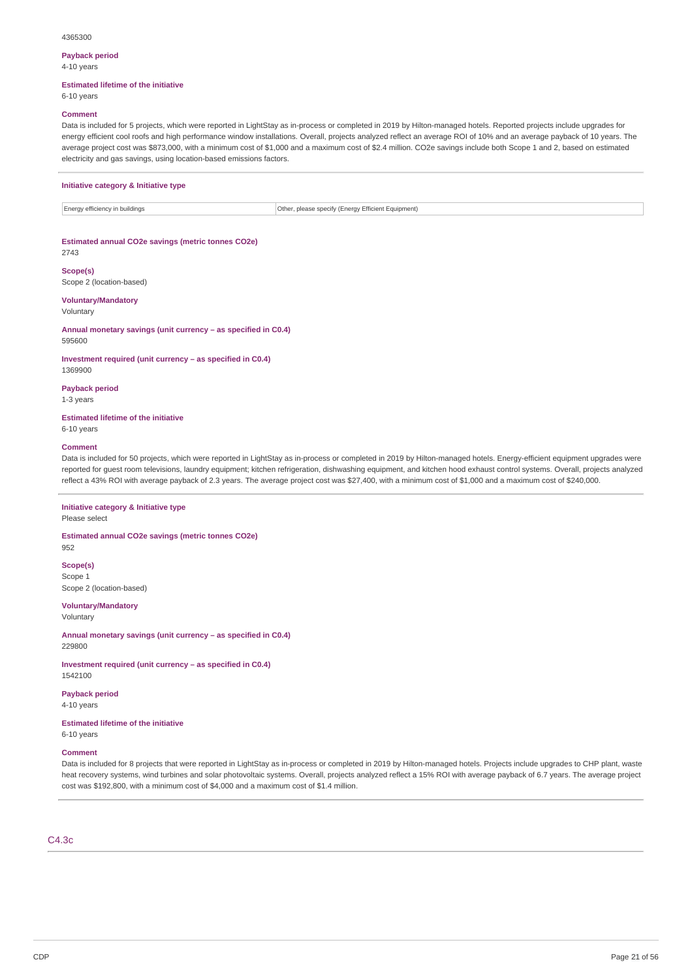#### 4365300

## **Payback period**

4-10 years

### **Estimated lifetime of the initiative**

6-10 years

### **Comment**

Data is included for 5 projects, which were reported in LightStay as in-process or completed in 2019 by Hilton-managed hotels. Reported projects include upgrades for energy efficient cool roofs and high performance window installations. Overall, projects analyzed reflect an average ROI of 10% and an average payback of 10 years. The average project cost was \$873,000, with a minimum cost of \$1,000 and a maximum cost of \$2.4 million. CO2e savings include both Scope 1 and 2, based on estimated electricity and gas savings, using location-based emissions factors.

### **Initiative category & Initiative type**

Energy efficiency in buildings **Other, please specify (Energy Efficient Equipment)** Other, please specify (Energy Efficient Equipment)

### **Estimated annual CO2e savings (metric tonnes CO2e)**

**Scope(s)** Scope 2 (location-based)

## **Voluntary/Mandatory**

Voluntary

2743

**Annual monetary savings (unit currency – as specified in C0.4)** 595600

**Investment required (unit currency – as specified in C0.4)** 1369900

**Payback period** 1-3 years

**Estimated lifetime of the initiative** 6-10 years

### **Comment**

Data is included for 50 projects, which were reported in LightStay as in-process or completed in 2019 by Hilton-managed hotels. Energy-efficient equipment upgrades were reported for guest room televisions, laundry equipment; kitchen refrigeration, dishwashing equipment, and kitchen hood exhaust control systems. Overall, projects analyzed reflect a 43% ROI with average payback of 2.3 years. The average project cost was \$27,400, with a minimum cost of \$1,000 and a maximum cost of \$240,000.

## **Initiative category & Initiative type**

Please select

952

**Estimated annual CO2e savings (metric tonnes CO2e)**

**Scope(s)** Scope 1 Scope 2 (location-based)

**Voluntary/Mandatory**

Voluntary

**Annual monetary savings (unit currency – as specified in C0.4)** 229800

**Investment required (unit currency – as specified in C0.4)** 1542100

**Payback period**

4-10 years

**Estimated lifetime of the initiative** 6-10 years

#### **Comment**

Data is included for 8 projects that were reported in LightStay as in-process or completed in 2019 by Hilton-managed hotels. Projects include upgrades to CHP plant, waste heat recovery systems, wind turbines and solar photovoltaic systems. Overall, projects analyzed reflect a 15% ROI with average payback of 6.7 years. The average project cost was \$192,800, with a minimum cost of \$4,000 and a maximum cost of \$1.4 million.

## C4.3c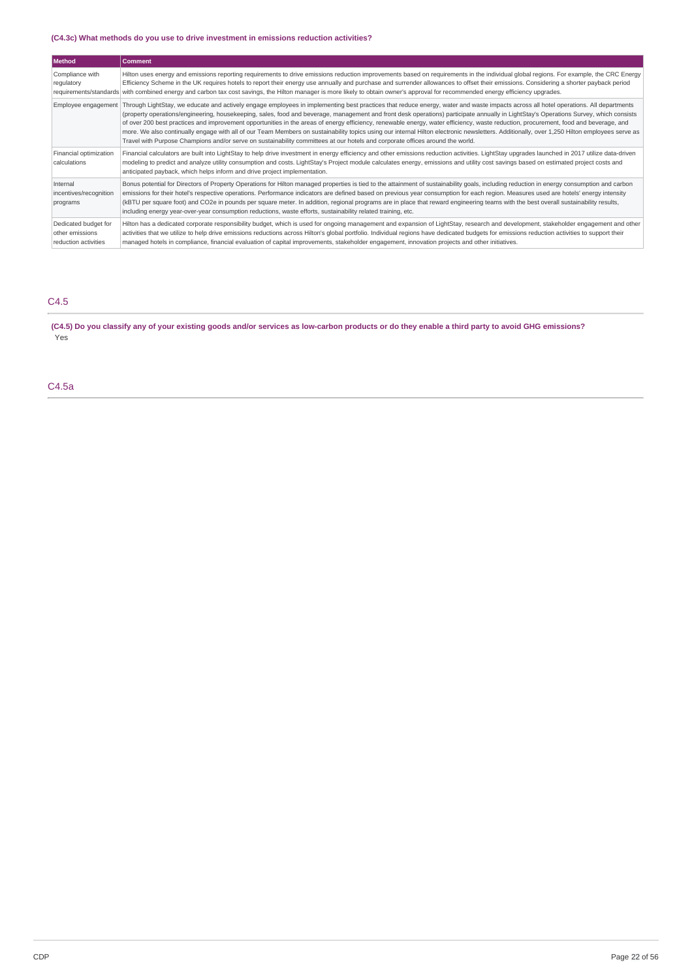## **(C4.3c) What methods do you use to drive investment in emissions reduction activities?**

| Method                                                          | <b>Comment</b>                                                                                                                                                                                                                                                                                                                                                                                                                                                                                                                                                                                                                                                                                                                                                                                                                                                                                       |
|-----------------------------------------------------------------|------------------------------------------------------------------------------------------------------------------------------------------------------------------------------------------------------------------------------------------------------------------------------------------------------------------------------------------------------------------------------------------------------------------------------------------------------------------------------------------------------------------------------------------------------------------------------------------------------------------------------------------------------------------------------------------------------------------------------------------------------------------------------------------------------------------------------------------------------------------------------------------------------|
| Compliance with<br>regulatory                                   | Hilton uses energy and emissions reporting requirements to drive emissions reduction improvements based on requirements in the individual global regions. For example, the CRC Energy<br>Efficiency Scheme in the UK requires hotels to report their energy use annually and purchase and surrender allowances to offset their emissions. Considering a shorter payback period<br>requirements/standards with combined energy and carbon tax cost savings, the Hilton manager is more likely to obtain owner's approval for recommended energy efficiency upgrades.                                                                                                                                                                                                                                                                                                                                  |
| Employee engagement                                             | Through LightStay, we educate and actively engage employees in implementing best practices that reduce energy, water and waste impacts across all hotel operations. All departments<br>(property operations/engineering, housekeeping, sales, food and beverage, management and front desk operations) participate annually in LightStay's Operations Survey, which consists<br>of over 200 best practices and improvement opportunities in the areas of energy efficiency, renewable energy, water efficiency, waste reduction, procurement, food and beverage, and<br>more. We also continually engage with all of our Team Members on sustainability topics using our internal Hilton electronic newsletters. Additionally, over 1,250 Hilton employees serve as<br>Travel with Purpose Champions and/or serve on sustainability committees at our hotels and corporate offices around the world. |
| Financial optimization<br>calculations                          | Financial calculators are built into LightStay to help drive investment in energy efficiency and other emissions reduction activities. LightStay upgrades launched in 2017 utilize data-driven<br>modeling to predict and analyze utility consumption and costs. LightStay's Project module calculates energy, emissions and utility cost savings based on estimated project costs and<br>anticipated payback, which helps inform and drive project implementation.                                                                                                                                                                                                                                                                                                                                                                                                                                  |
| Internal<br>incentives/recognition<br>programs                  | Bonus potential for Directors of Property Operations for Hilton managed properties is tied to the attainment of sustainability goals, including reduction in energy consumption and carbon<br>emissions for their hotel's respective operations. Performance indicators are defined based on previous year consumption for each region. Measures used are hotels' energy intensity<br>(kBTU per square foot) and CO2e in pounds per square meter. In addition, regional programs are in place that reward engineering teams with the best overall sustainability results,<br>including energy year-over-year consumption reductions, waste efforts, sustainability related training, etc.                                                                                                                                                                                                            |
| Dedicated budget for<br>other emissions<br>reduction activities | Hilton has a dedicated corporate responsibility budget, which is used for ongoing management and expansion of LightStay, research and development, stakeholder engagement and other<br>activities that we utilize to help drive emissions reductions across Hilton's global portfolio. Individual regions have dedicated budgets for emissions reduction activities to support their<br>managed hotels in compliance, financial evaluation of capital improvements, stakeholder engagement, innovation projects and other initiatives.                                                                                                                                                                                                                                                                                                                                                               |

## C4.5

(C4.5) Do you classify any of your existing goods and/or services as low-carbon products or do they enable a third party to avoid GHG emissions? Yes

C4.5a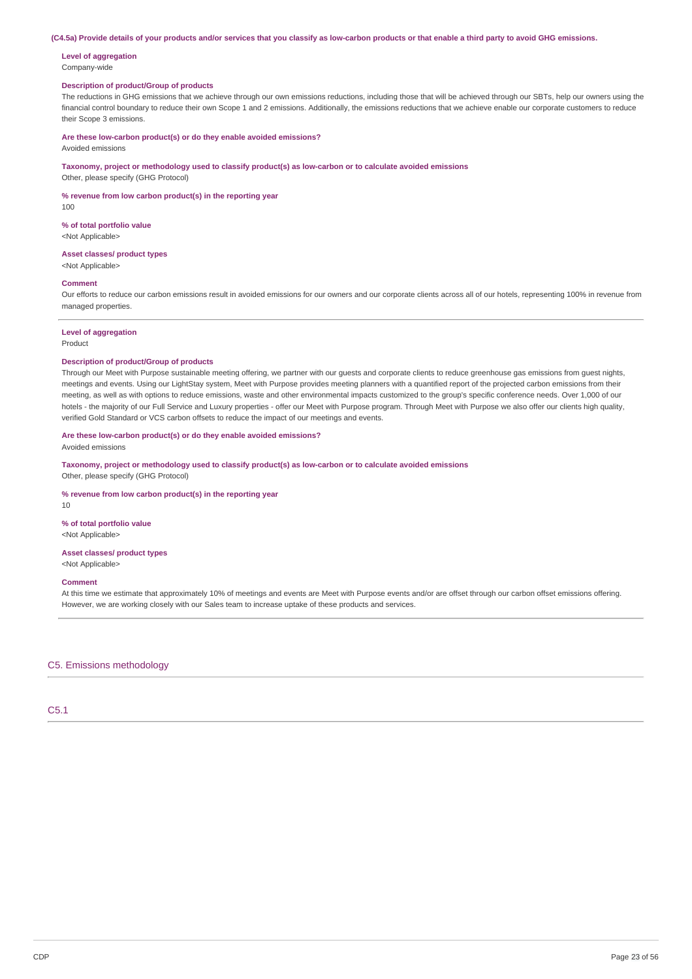#### (C4.5a) Provide details of your products and/or services that you classify as low-carbon products or that enable a third party to avoid GHG emissions.

### **Level of aggregation** Company-wide

## **Description of product/Group of products**

The reductions in GHG emissions that we achieve through our own emissions reductions, including those that will be achieved through our SBTs, help our owners using the financial control boundary to reduce their own Scope 1 and 2 emissions. Additionally, the emissions reductions that we achieve enable our corporate customers to reduce their Scope 3 emissions.

**Are these low-carbon product(s) or do they enable avoided emissions?**

Avoided emissions

**Taxonomy, project or methodology used to classify product(s) as low-carbon or to calculate avoided emissions**

## Other, please specify (GHG Protocol)

**% revenue from low carbon product(s) in the reporting year**

100

**% of total portfolio value** <Not Applicable>

## **Asset classes/ product types**

<Not Applicable>

## **Comment**

Our efforts to reduce our carbon emissions result in avoided emissions for our owners and our corporate clients across all of our hotels, representing 100% in revenue from managed properties.

## **Level of aggregation**

Product

## **Description of product/Group of products**

Through our Meet with Purpose sustainable meeting offering, we partner with our guests and corporate clients to reduce greenhouse gas emissions from guest nights, meetings and events. Using our LightStay system, Meet with Purpose provides meeting planners with a quantified report of the projected carbon emissions from their meeting, as well as with options to reduce emissions, waste and other environmental impacts customized to the group's specific conference needs. Over 1,000 of our hotels - the majority of our Full Service and Luxury properties - offer our Meet with Purpose program. Through Meet with Purpose we also offer our clients high quality, verified Gold Standard or VCS carbon offsets to reduce the impact of our meetings and events.

## **Are these low-carbon product(s) or do they enable avoided emissions?**

Avoided emissions

**Taxonomy, project or methodology used to classify product(s) as low-carbon or to calculate avoided emissions** Other, please specify (GHG Protocol)

#### **% revenue from low carbon product(s) in the reporting year**

10

#### **% of total portfolio value**

<Not Applicable>

### **Asset classes/ product types** <Not Applicable>

#### **Comment**

At this time we estimate that approximately 10% of meetings and events are Meet with Purpose events and/or are offset through our carbon offset emissions offering. However, we are working closely with our Sales team to increase uptake of these products and services.

C5. Emissions methodology

C5.1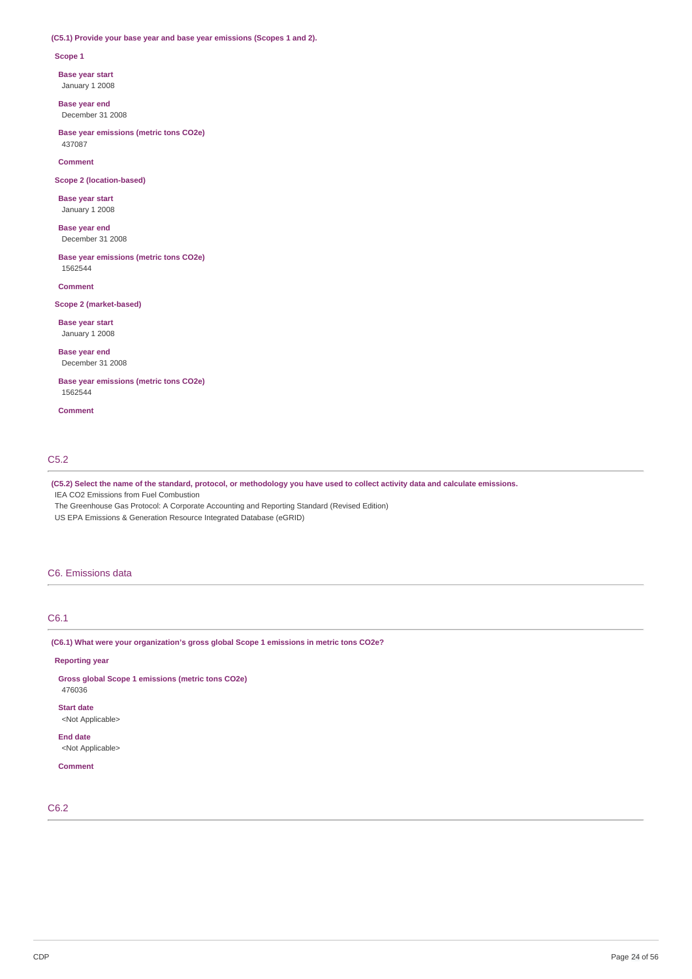## **(C5.1) Provide your base year and base year emissions (Scopes 1 and 2).**

### **Scope 1**

**Base year start**

January 1 2008

**Base year end** December 31 2008

**Base year emissions (metric tons CO2e)** 437087

**Comment**

**Scope 2 (location-based)**

**Base year start** January 1 2008

**Base year end** December 31 2008

**Base year emissions (metric tons CO2e)** 1562544

**Comment**

## **Scope 2 (market-based)**

**Base year start** January 1 2008

**Base year end** December 31 2008

**Base year emissions (metric tons CO2e)** 1562544

**Comment**

## C5.2

(C5.2) Select the name of the standard, protocol, or methodology you have used to collect activity data and calculate emissions.

IEA CO2 Emissions from Fuel Combustion

The Greenhouse Gas Protocol: A Corporate Accounting and Reporting Standard (Revised Edition) US EPA Emissions & Generation Resource Integrated Database (eGRID)

## C6. Emissions data

## C6.1

**(C6.1) What were your organization's gross global Scope 1 emissions in metric tons CO2e?**

**Reporting year**

**Gross global Scope 1 emissions (metric tons CO2e)** 476036

**Start date** <Not Applicable>

**End date** <Not Applicable>

**Comment**

C6.2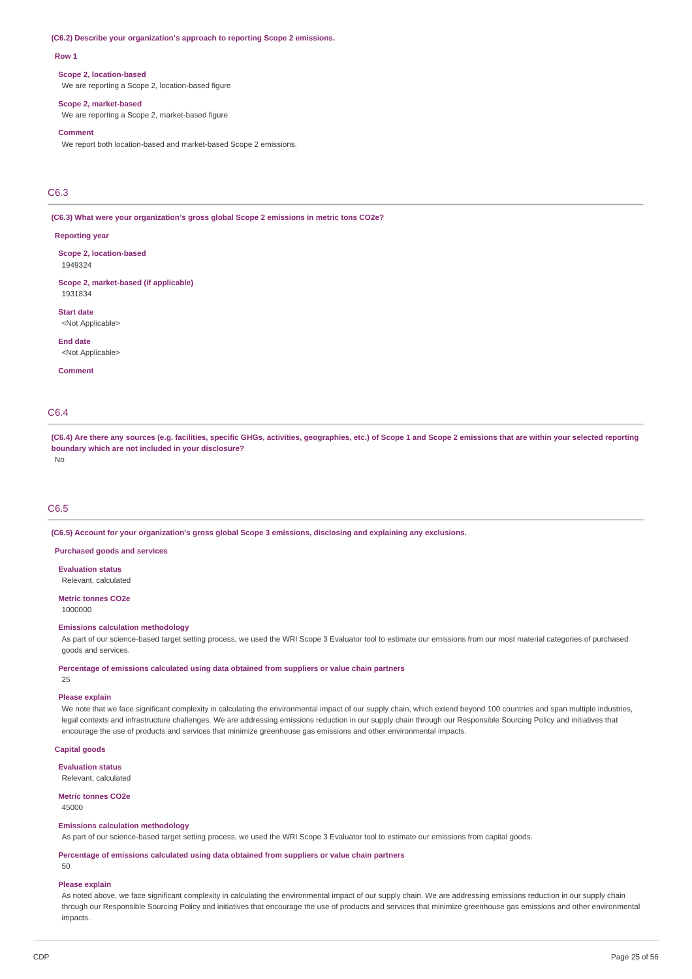#### **(C6.2) Describe your organization's approach to reporting Scope 2 emissions.**

#### **Row 1**

#### **Scope 2, location-based**

We are reporting a Scope 2, location-based figure

#### **Scope 2, market-based**

We are reporting a Scope 2, market-based figure

### **Comment**

We report both location-based and market-based Scope 2 emissions.

## C6.3

**(C6.3) What were your organization's gross global Scope 2 emissions in metric tons CO2e?**

### **Reporting year**

**Scope 2, location-based** 1949324

### **Scope 2, market-based (if applicable)** 1931834

**Start date** <Not Applicable>

**End date**

<Not Applicable>

**Comment**

## C6.4

(C6.4) Are there any sources (e.g. facilities, specific GHGs, activities, geographies, etc.) of Scope 1 and Scope 2 emissions that are within your selected reporting **boundary which are not included in your disclosure?**

No

### C6.5

**(C6.5) Account for your organization's gross global Scope 3 emissions, disclosing and explaining any exclusions.**

**Purchased goods and services**

**Evaluation status** Relevant, calculated

#### **Metric tonnes CO2e** 1000000

## **Emissions calculation methodology**

As part of our science-based target setting process, we used the WRI Scope 3 Evaluator tool to estimate our emissions from our most material categories of purchased goods and services.

### **Percentage of emissions calculated using data obtained from suppliers or value chain partners**

25

## **Please explain**

We note that we face significant complexity in calculating the environmental impact of our supply chain, which extend beyond 100 countries and span multiple industries, legal contexts and infrastructure challenges. We are addressing emissions reduction in our supply chain through our Responsible Sourcing Policy and initiatives that encourage the use of products and services that minimize greenhouse gas emissions and other environmental impacts.

## **Capital goods**

**Evaluation status**

Relevant, calculated

## **Metric tonnes CO2e**

45000

### **Emissions calculation methodology**

As part of our science-based target setting process, we used the WRI Scope 3 Evaluator tool to estimate our emissions from capital goods.

**Percentage of emissions calculated using data obtained from suppliers or value chain partners**

 $50$ 

## **Please explain**

As noted above, we face significant complexity in calculating the environmental impact of our supply chain. We are addressing emissions reduction in our supply chain through our Responsible Sourcing Policy and initiatives that encourage the use of products and services that minimize greenhouse gas emissions and other environmental impacts.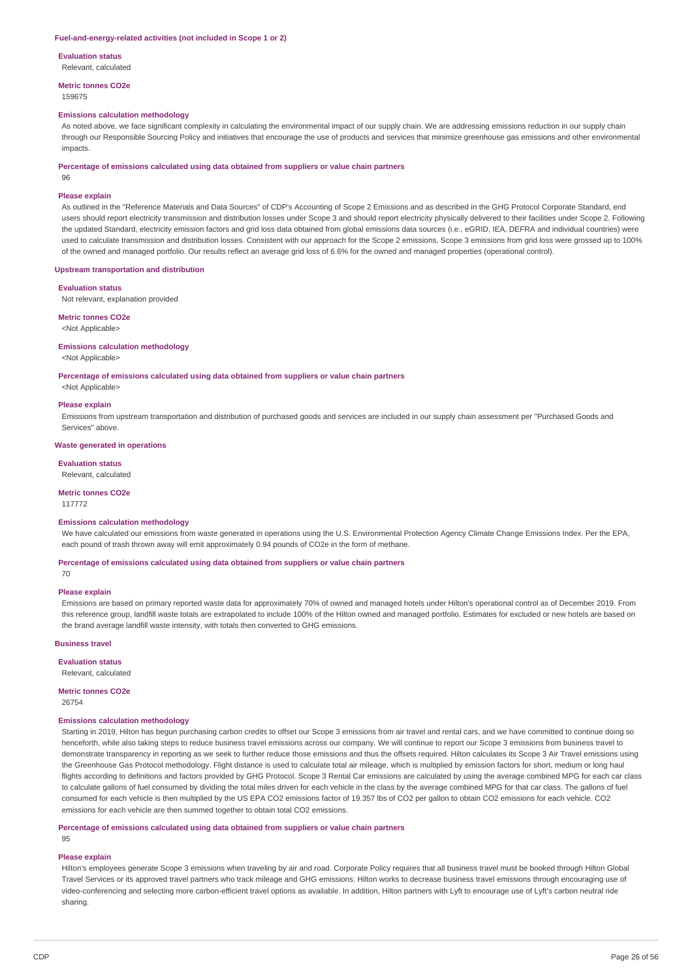#### **Fuel-and-energy-related activities (not included in Scope 1 or 2)**

**Evaluation status** Relevant, calculated

**Metric tonnes CO2e**

## 159675

### **Emissions calculation methodology**

As noted above, we face significant complexity in calculating the environmental impact of our supply chain. We are addressing emissions reduction in our supply chain through our Responsible Sourcing Policy and initiatives that encourage the use of products and services that minimize greenhouse gas emissions and other environmental impacts.

#### **Percentage of emissions calculated using data obtained from suppliers or value chain partners**

## **Please explain**

96

As outlined in the "Reference Materials and Data Sources" of CDP's Accounting of Scope 2 Emissions and as described in the GHG Protocol Corporate Standard, end users should report electricity transmission and distribution losses under Scope 3 and should report electricity physically delivered to their facilities under Scope 2. Following the updated Standard, electricity emission factors and grid loss data obtained from global emissions data sources (i.e., eGRID, IEA, DEFRA and individual countries) were used to calculate transmission and distribution losses. Consistent with our approach for the Scope 2 emissions, Scope 3 emissions from grid loss were grossed up to 100% of the owned and managed portfolio. Our results reflect an average grid loss of 6.6% for the owned and managed properties (operational control).

#### **Upstream transportation and distribution**

#### **Evaluation status**

Not relevant, explanation provided

### **Metric tonnes CO2e**

<Not Applicable>

#### **Emissions calculation methodology**

<Not Applicable>

**Percentage of emissions calculated using data obtained from suppliers or value chain partners**

## <Not Applicable>

### **Please explain**

Emissions from upstream transportation and distribution of purchased goods and services are included in our supply chain assessment per "Purchased Goods and Services" above.

#### **Waste generated in operations**

### **Evaluation status**

Relevant, calculated

### **Metric tonnes CO2e**

117772

### **Emissions calculation methodology**

We have calculated our emissions from waste generated in operations using the U.S. Environmental Protection Agency Climate Change Emissions Index. Per the EPA, each pound of trash thrown away will emit approximately 0.94 pounds of CO2e in the form of methane.

### **Percentage of emissions calculated using data obtained from suppliers or value chain partners**

70

### **Please explain**

Emissions are based on primary reported waste data for approximately 70% of owned and managed hotels under Hilton's operational control as of December 2019. From this reference group, landfill waste totals are extrapolated to include 100% of the Hilton owned and managed portfolio. Estimates for excluded or new hotels are based on the brand average landfill waste intensity, with totals then converted to GHG emissions.

#### **Business travel**

**Evaluation status**

## Relevant, calculated

**Metric tonnes CO2e**

26754

### **Emissions calculation methodology**

Starting in 2019, Hilton has begun purchasing carbon credits to offset our Scope 3 emissions from air travel and rental cars, and we have committed to continue doing so henceforth, while also taking steps to reduce business travel emissions across our company. We will continue to report our Scope 3 emissions from business travel to demonstrate transparency in reporting as we seek to further reduce those emissions and thus the offsets required. Hilton calculates its Scope 3 Air Travel emissions using the Greenhouse Gas Protocol methodology. Flight distance is used to calculate total air mileage, which is multiplied by emission factors for short, medium or long haul flights according to definitions and factors provided by GHG Protocol. Scope 3 Rental Car emissions are calculated by using the average combined MPG for each car class to calculate gallons of fuel consumed by dividing the total miles driven for each vehicle in the class by the average combined MPG for that car class. The gallons of fuel consumed for each vehicle is then multiplied by the US EPA CO2 emissions factor of 19.357 lbs of CO2 per gallon to obtain CO2 emissions for each vehicle. CO2 emissions for each vehicle are then summed together to obtain total CO2 emissions.

### **Percentage of emissions calculated using data obtained from suppliers or value chain partners**

95

## **Please explain**

Hilton's employees generate Scope 3 emissions when traveling by air and road. Corporate Policy requires that all business travel must be booked through Hilton Global Travel Services or its approved travel partners who track mileage and GHG emissions. Hilton works to decrease business travel emissions through encouraging use of video-conferencing and selecting more carbon-efficient travel options as available. In addition, Hilton partners with Lyft to encourage use of Lyft's carbon neutral ride sharing.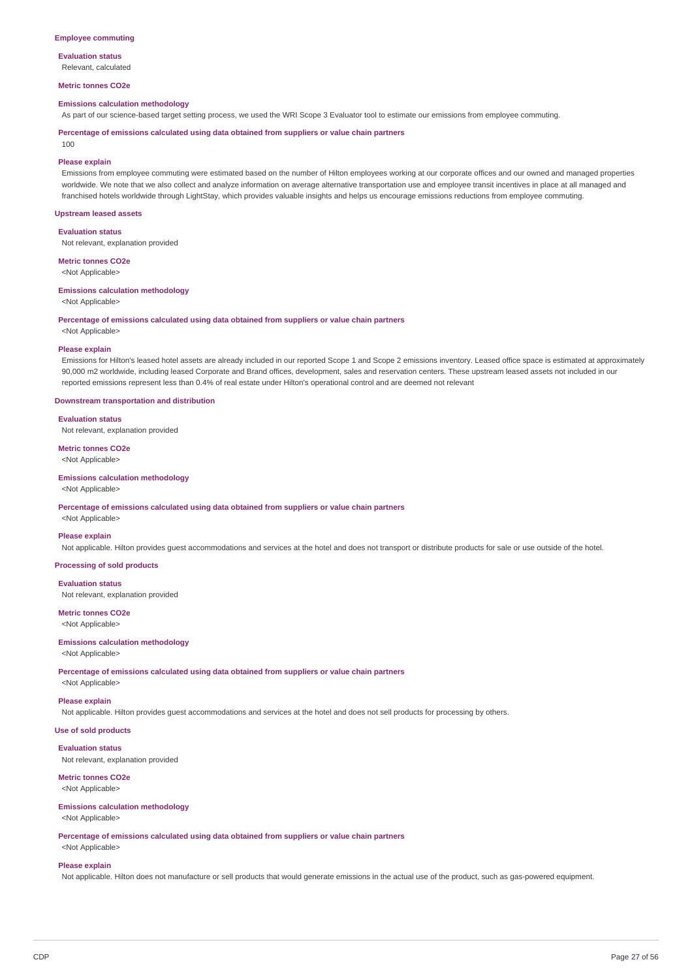### **Employee commuting**

**Evaluation status** Relevant, calculated

### **Metric tonnes CO2e**

#### **Emissions calculation methodology**

As part of our science-based target setting process, we used the WRI Scope 3 Evaluator tool to estimate our emissions from employee commuting.

### **Percentage of emissions calculated using data obtained from suppliers or value chain partners** 100

#### **Please explain**

Emissions from employee commuting were estimated based on the number of Hilton employees working at our corporate offices and our owned and managed properties worldwide. We note that we also collect and analyze information on average alternative transportation use and employee transit incentives in place at all managed and franchised hotels worldwide through LightStay, which provides valuable insights and helps us encourage emissions reductions from employee commuting.

### **Upstream leased assets**

**Evaluation status**

Not relevant, explanation provided

**Metric tonnes CO2e**

<Not Applicable>

## **Emissions calculation methodology**

<Not Applicable>

**Percentage of emissions calculated using data obtained from suppliers or value chain partners**

<Not Applicable>

### **Please explain**

Emissions for Hilton's leased hotel assets are already included in our reported Scope 1 and Scope 2 emissions inventory. Leased office space is estimated at approximately 90,000 m2 worldwide, including leased Corporate and Brand offices, development, sales and reservation centers. These upstream leased assets not included in our reported emissions represent less than 0.4% of real estate under Hilton's operational control and are deemed not relevant

## **Downstream transportation and distribution**

**Evaluation status**

Not relevant, explanation provided

### **Metric tonnes CO2e** <Not Applicable>

## **Emissions calculation methodology**

## <Not Applicable>

**Percentage of emissions calculated using data obtained from suppliers or value chain partners**

<Not Applicable>

### **Please explain**

Not applicable. Hilton provides guest accommodations and services at the hotel and does not transport or distribute products for sale or use outside of the hotel.

**Processing of sold products**

### **Evaluation status**

Not relevant, explanation provided

## **Metric tonnes CO2e**

<Not Applicable>

## **Emissions calculation methodology**

### <Not Applicable>

**Percentage of emissions calculated using data obtained from suppliers or value chain partners**

<Not Applicable>

## **Please explain**

Not applicable. Hilton provides guest accommodations and services at the hotel and does not sell products for processing by others.

## **Use of sold products**

**Evaluation status**

Not relevant, explanation provided

## **Metric tonnes CO2e**

<Not Applicable>

## **Emissions calculation methodology**

<Not Applicable>

**Percentage of emissions calculated using data obtained from suppliers or value chain partners**

<Not Applicable>

## **Please explain**

Not applicable. Hilton does not manufacture or sell products that would generate emissions in the actual use of the product, such as gas-powered equipment.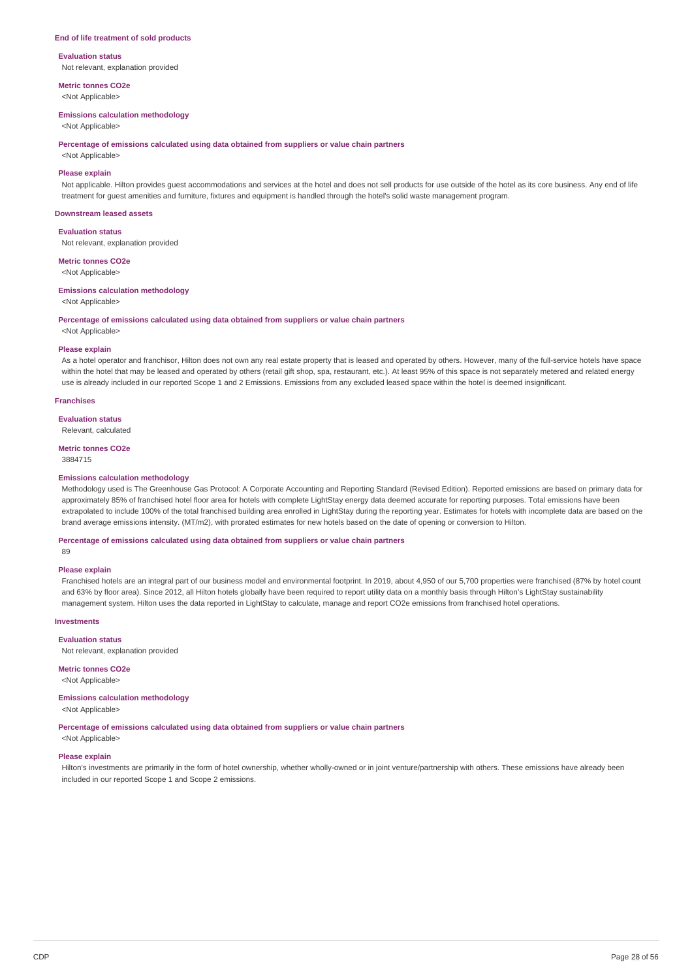### **End of life treatment of sold products**

**Evaluation status** Not relevant, explanation provided

**Metric tonnes CO2e**

<Not Applicable>

## **Emissions calculation methodology**

<Not Applicable>

**Percentage of emissions calculated using data obtained from suppliers or value chain partners**

<Not Applicable>

## **Please explain**

Not applicable. Hilton provides guest accommodations and services at the hotel and does not sell products for use outside of the hotel as its core business. Any end of life treatment for guest amenities and furniture, fixtures and equipment is handled through the hotel's solid waste management program.

#### **Downstream leased assets**

**Evaluation status**

Not relevant, explanation provided

**Metric tonnes CO2e**

<Not Applicable>

## **Emissions calculation methodology**

<Not Applicable>

**Percentage of emissions calculated using data obtained from suppliers or value chain partners**

<Not Applicable>

### **Please explain**

As a hotel operator and franchisor, Hilton does not own any real estate property that is leased and operated by others. However, many of the full-service hotels have space within the hotel that may be leased and operated by others (retail gift shop, spa, restaurant, etc.). At least 95% of this space is not separately metered and related energy use is already included in our reported Scope 1 and 2 Emissions. Emissions from any excluded leased space within the hotel is deemed insignificant.

### **Franchises**

#### **Evaluation status**

Relevant, calculated

#### **Metric tonnes CO2e**

3884715

### **Emissions calculation methodology**

Methodology used is The Greenhouse Gas Protocol: A Corporate Accounting and Reporting Standard (Revised Edition). Reported emissions are based on primary data for approximately 85% of franchised hotel floor area for hotels with complete LightStay energy data deemed accurate for reporting purposes. Total emissions have been extrapolated to include 100% of the total franchised building area enrolled in LightStay during the reporting year. Estimates for hotels with incomplete data are based on the brand average emissions intensity. (MT/m2), with prorated estimates for new hotels based on the date of opening or conversion to Hilton.

### **Percentage of emissions calculated using data obtained from suppliers or value chain partners**

89

## **Please explain**

Franchised hotels are an integral part of our business model and environmental footprint. In 2019, about 4,950 of our 5,700 properties were franchised (87% by hotel count and 63% by floor area). Since 2012, all Hilton hotels globally have been required to report utility data on a monthly basis through Hilton's LightStay sustainability management system. Hilton uses the data reported in LightStay to calculate, manage and report CO2e emissions from franchised hotel operations.

### **Investments**

**Evaluation status**

Not relevant, explanation provided

## **Metric tonnes CO2e**

<Not Applicable>

## **Emissions calculation methodology**

<Not Applicable>

**Percentage of emissions calculated using data obtained from suppliers or value chain partners**

<Not Applicable>

## **Please explain**

Hilton's investments are primarily in the form of hotel ownership, whether wholly-owned or in joint venture/partnership with others. These emissions have already been included in our reported Scope 1 and Scope 2 emissions.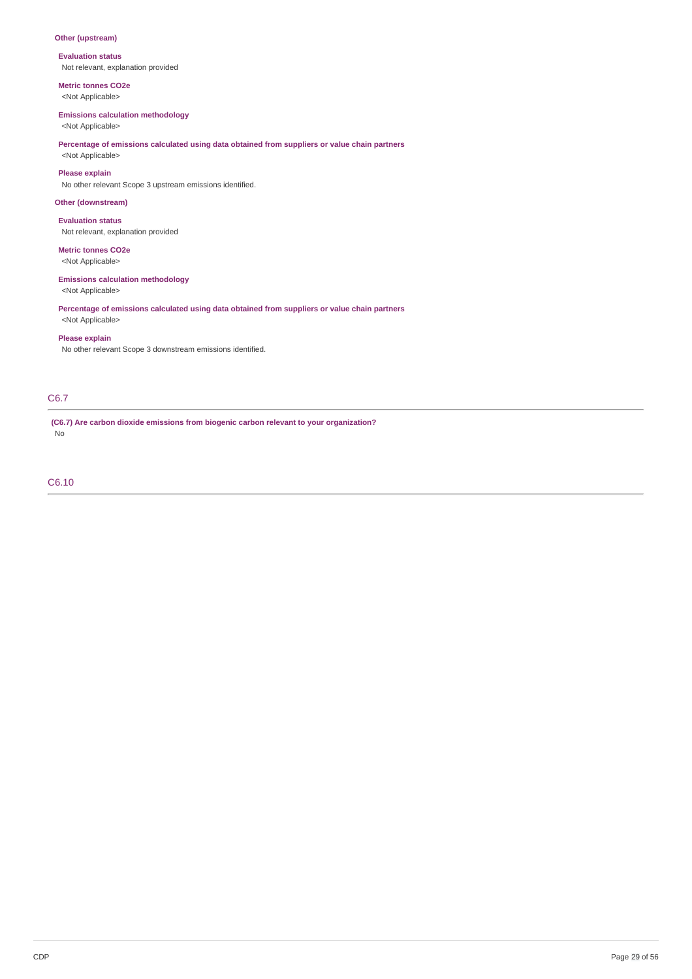## **Other (upstream)**

**Evaluation status** Not relevant, explanation provided

**Metric tonnes CO2e** <Not Applicable>

## **Emissions calculation methodology**

<Not Applicable>

## **Percentage of emissions calculated using data obtained from suppliers or value chain partners**

<Not Applicable>

## **Please explain**

No other relevant Scope 3 upstream emissions identified.

## **Other (downstream)**

**Evaluation status** Not relevant, explanation provided

## **Metric tonnes CO2e**

<Not Applicable>

## **Emissions calculation methodology**

<Not Applicable>

## **Percentage of emissions calculated using data obtained from suppliers or value chain partners**

<Not Applicable>

## **Please explain**

No other relevant Scope 3 downstream emissions identified.

## C6.7

**(C6.7) Are carbon dioxide emissions from biogenic carbon relevant to your organization?** No

## C6.10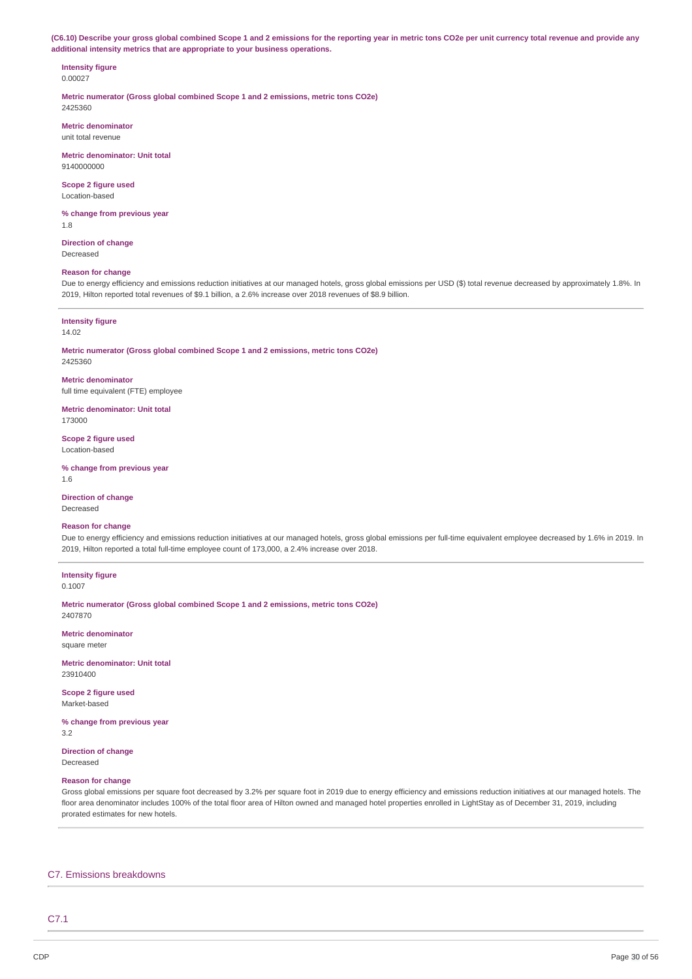(C6.10) Describe your gross global combined Scope 1 and 2 emissions for the reporting year in metric tons CO2e per unit currency total revenue and provide any **additional intensity metrics that are appropriate to your business operations.**

### **Intensity figure** 0.00027

**Metric numerator (Gross global combined Scope 1 and 2 emissions, metric tons CO2e)** 2425360

**Metric denominator** unit total revenue

**Metric denominator: Unit total** 9140000000

**Scope 2 figure used** Location-based

**% change from previous year** 1.8

**Direction of change** Decreased

### **Reason for change**

Due to energy efficiency and emissions reduction initiatives at our managed hotels, gross global emissions per USD (\$) total revenue decreased by approximately 1.8%. In 2019, Hilton reported total revenues of \$9.1 billion, a 2.6% increase over 2018 revenues of \$8.9 billion.

### **Intensity figure**

14.02

**Metric numerator (Gross global combined Scope 1 and 2 emissions, metric tons CO2e)** 2425360

**Metric denominator** full time equivalent (FTE) employee

**Metric denominator: Unit total** 173000

**Scope 2 figure used** Location-based

**% change from previous year** 1.6

**Direction of change** Decreased

## **Reason for change**

Due to energy efficiency and emissions reduction initiatives at our managed hotels, gross global emissions per full-time equivalent employee decreased by 1.6% in 2019. In 2019, Hilton reported a total full-time employee count of 173,000, a 2.4% increase over 2018.

### **Intensity figure** 0.1007

**Metric numerator (Gross global combined Scope 1 and 2 emissions, metric tons CO2e)** 2407870

**Metric denominator** square meter

**Metric denominator: Unit total** 23910400

**Scope 2 figure used** Market-based

**% change from previous year** 3.2

**Direction of change** Decreased

## **Reason for change**

Gross global emissions per square foot decreased by 3.2% per square foot in 2019 due to energy efficiency and emissions reduction initiatives at our managed hotels. The floor area denominator includes 100% of the total floor area of Hilton owned and managed hotel properties enrolled in LightStay as of December 31, 2019, including prorated estimates for new hotels.

## C7. Emissions breakdowns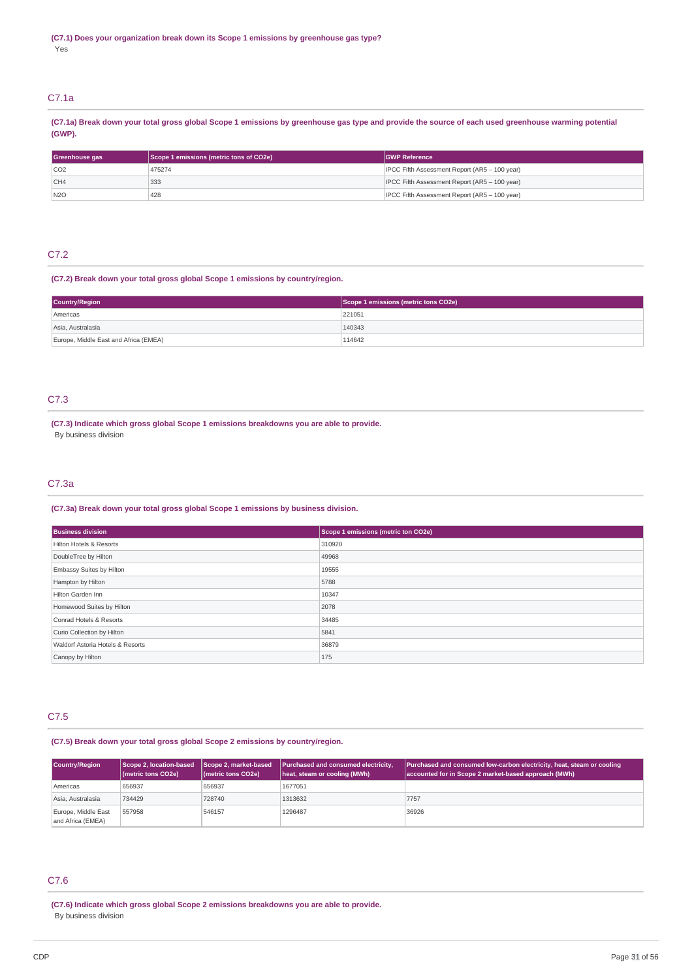## C7.1a

(C7.1a) Break down your total gross global Scope 1 emissions by greenhouse gas type and provide the source of each used greenhouse warming potential **(GWP).**

| Greenhouse gas | Scope 1 emissions (metric tons of CO2e) | <b>GWP Reference</b>                          |
|----------------|-----------------------------------------|-----------------------------------------------|
| CO2            | 475274                                  | IPCC Fifth Assessment Report (AR5 - 100 year) |
| CH4            | 333                                     | IPCC Fifth Assessment Report (AR5 - 100 year) |
| N2O            | 428                                     | IPCC Fifth Assessment Report (AR5 - 100 year) |

## C7.2

## **(C7.2) Break down your total gross global Scope 1 emissions by country/region.**

| <b>Country/Region</b>                 | Scope 1 emissions (metric tons CO2e) |  |
|---------------------------------------|--------------------------------------|--|
| Americas                              | 221051                               |  |
| Asia, Australasia                     | 140343                               |  |
| Europe, Middle East and Africa (EMEA) | 114642                               |  |

## C7.3

**(C7.3) Indicate which gross global Scope 1 emissions breakdowns you are able to provide.** By business division

## C7.3a

## **(C7.3a) Break down your total gross global Scope 1 emissions by business division.**

| <b>Business division</b>         | Scope 1 emissions (metric ton CO2e) |
|----------------------------------|-------------------------------------|
| Hilton Hotels & Resorts          | 310920                              |
| DoubleTree by Hilton             | 49968                               |
| Embassy Suites by Hilton         | 19555                               |
| Hampton by Hilton                | 5788                                |
| Hilton Garden Inn                | 10347                               |
| Homewood Suites by Hilton        | 2078                                |
| Conrad Hotels & Resorts          | 34485                               |
| Curio Collection by Hilton       | 5841                                |
| Waldorf Astoria Hotels & Resorts | 36879                               |
| Canopy by Hilton                 | 175                                 |

## C7.5

## **(C7.5) Break down your total gross global Scope 2 emissions by country/region.**

| <b>Country/Region</b>                    | Scope 2, location-based<br>(metric tons CO2e) | Scope 2, market-based<br>(metric tons CO2e) | Purchased and consumed electricity,<br>heat, steam or cooling (MWh) | <b>Purchased and consumed low-carbon electricity, heat, steam or cooling</b><br>accounted for in Scope 2 market-based approach (MWh) |
|------------------------------------------|-----------------------------------------------|---------------------------------------------|---------------------------------------------------------------------|--------------------------------------------------------------------------------------------------------------------------------------|
| Americas                                 | 656937                                        | 656937                                      | 1677051                                                             |                                                                                                                                      |
| Asia, Australasia                        | 734429                                        | 728740                                      | 1313632                                                             | 7757                                                                                                                                 |
| Europe, Middle East<br>and Africa (EMEA) | 557958                                        | 546157                                      | 1296487                                                             | 36926                                                                                                                                |

## C7.6

**(C7.6) Indicate which gross global Scope 2 emissions breakdowns you are able to provide.** By business division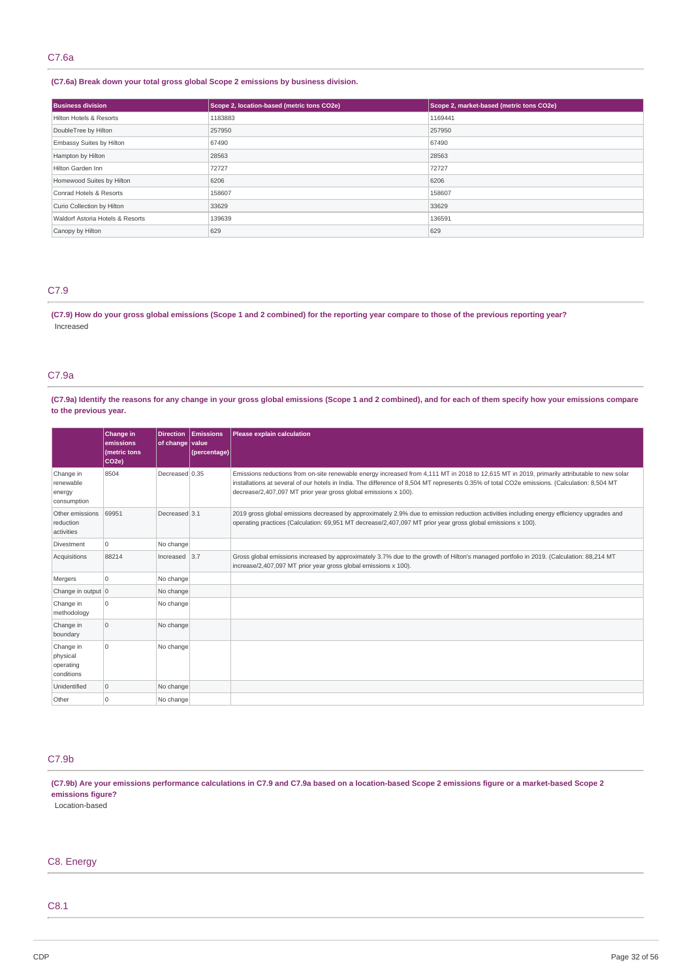## **(C7.6a) Break down your total gross global Scope 2 emissions by business division.**

| <b>Business division</b>         | Scope 2, location-based (metric tons CO2e) | Scope 2, market-based (metric tons CO2e) |
|----------------------------------|--------------------------------------------|------------------------------------------|
| Hilton Hotels & Resorts          | 1183883                                    | 1169441                                  |
| DoubleTree by Hilton             | 257950                                     | 257950                                   |
| Embassy Suites by Hilton         | 67490                                      | 67490                                    |
| Hampton by Hilton                | 28563                                      | 28563                                    |
| Hilton Garden Inn                | 72727                                      | 72727                                    |
| Homewood Suites by Hilton        | 6206                                       | 6206                                     |
| Conrad Hotels & Resorts          | 158607                                     | 158607                                   |
| Curio Collection by Hilton       | 33629                                      | 33629                                    |
| Waldorf Astoria Hotels & Resorts | 139639                                     | 136591                                   |
| Canopy by Hilton                 | 629                                        | 629                                      |

## C7.9

(C7.9) How do your gross global emissions (Scope 1 and 2 combined) for the reporting year compare to those of the previous reporting year? Increased

## C7.9a

(C7.9a) Identify the reasons for any change in your gross global emissions (Scope 1 and 2 combined), and for each of them specify how your emissions compare **to the previous year.**

|                                                  | Change in<br>emissions<br>(metric tons<br>CO <sub>2e</sub> ) | <b>Direction</b><br>of change value | <b>Emissions</b><br>(percentage) | Please explain calculation                                                                                                                                                                                                                                                                                                                                      |
|--------------------------------------------------|--------------------------------------------------------------|-------------------------------------|----------------------------------|-----------------------------------------------------------------------------------------------------------------------------------------------------------------------------------------------------------------------------------------------------------------------------------------------------------------------------------------------------------------|
| Change in<br>renewable<br>energy<br>consumption  | 8504                                                         | Decreased 0.35                      |                                  | Emissions reductions from on-site renewable energy increased from 4,111 MT in 2018 to 12,615 MT in 2019, primarily attributable to new solar<br>installations at several of our hotels in India. The difference of 8,504 MT represents 0.35% of total CO2e emissions. (Calculation: 8,504 MT<br>decrease/2,407,097 MT prior year gross global emissions x 100). |
| Other emissions<br>reduction<br>activities       | 69951                                                        | Decreased 3.1                       |                                  | 2019 gross global emissions decreased by approximately 2.9% due to emission reduction activities including energy efficiency upgrades and<br>operating practices (Calculation: 69,951 MT decrease/2,407,097 MT prior year gross global emissions x 100).                                                                                                        |
| Divestment                                       | 0                                                            | No change                           |                                  |                                                                                                                                                                                                                                                                                                                                                                 |
| Acquisitions                                     | 88214                                                        | Increased $ 3.7$                    |                                  | Gross global emissions increased by approximately 3.7% due to the growth of Hilton's managed portfolio in 2019. (Calculation: 88,214 MT<br>increase/2,407,097 MT prior year gross global emissions x 100).                                                                                                                                                      |
| Mergers                                          | 0                                                            | No change                           |                                  |                                                                                                                                                                                                                                                                                                                                                                 |
| Change in output 0                               |                                                              | No change                           |                                  |                                                                                                                                                                                                                                                                                                                                                                 |
| Change in<br>methodology                         | 0                                                            | No change                           |                                  |                                                                                                                                                                                                                                                                                                                                                                 |
| Change in<br>boundary                            | $\mathbf 0$                                                  | No change                           |                                  |                                                                                                                                                                                                                                                                                                                                                                 |
| Change in<br>physical<br>operating<br>conditions | $\mathbf 0$                                                  | No change                           |                                  |                                                                                                                                                                                                                                                                                                                                                                 |
| Unidentified                                     | 0                                                            | No change                           |                                  |                                                                                                                                                                                                                                                                                                                                                                 |
| Other                                            | 0                                                            | No change                           |                                  |                                                                                                                                                                                                                                                                                                                                                                 |

## C7.9b

(C7.9b) Are your emissions performance calculations in C7.9 and C7.9a based on a location-based Scope 2 emissions figure or a market-based Scope 2 **emissions figure?**

Location-based

## C8. Energy

## C8.1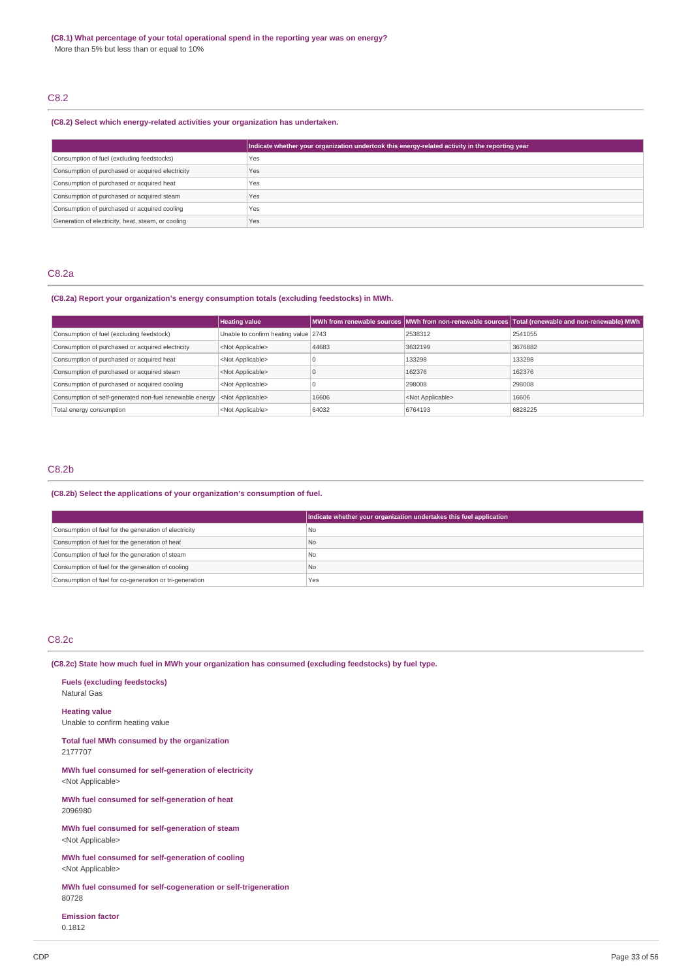## C8.2

## **(C8.2) Select which energy-related activities your organization has undertaken.**

|                                                    | Indicate whether your organization undertook this energy-related activity in the reporting year |
|----------------------------------------------------|-------------------------------------------------------------------------------------------------|
| Consumption of fuel (excluding feedstocks)         | Yes                                                                                             |
| Consumption of purchased or acquired electricity   | Yes                                                                                             |
| Consumption of purchased or acquired heat          | Yes                                                                                             |
| Consumption of purchased or acquired steam         | Yes                                                                                             |
| Consumption of purchased or acquired cooling       | Yes                                                                                             |
| Generation of electricity, heat, steam, or cooling | Yes                                                                                             |

## C8.2a

## **(C8.2a) Report your organization's energy consumption totals (excluding feedstocks) in MWh.**

|                                                         | <b>Heating value</b>                 |       |                           | MWh from renewable sources MWh from non-renewable sources Total (renewable and non-renewable) MWh |
|---------------------------------------------------------|--------------------------------------|-------|---------------------------|---------------------------------------------------------------------------------------------------|
| Consumption of fuel (excluding feedstock)               | Unable to confirm heating value 2743 |       | 2538312                   | 2541055                                                                                           |
| Consumption of purchased or acquired electricity        | <not applicable=""></not>            | 44683 | 3632199                   | 3676882                                                                                           |
| Consumption of purchased or acquired heat               | <not applicable=""></not>            |       | 133298                    | 133298                                                                                            |
| Consumption of purchased or acquired steam              | <not applicable=""></not>            |       | 162376                    | 162376                                                                                            |
| Consumption of purchased or acquired cooling            | <not applicable=""></not>            |       | 298008                    | 298008                                                                                            |
| Consumption of self-generated non-fuel renewable energy | <not applicable=""></not>            | 16606 | <not applicable=""></not> | 16606                                                                                             |
| Total energy consumption                                | <not applicable=""></not>            | 64032 | 6764193                   | 6828225                                                                                           |

## C8.2b

## **(C8.2b) Select the applications of your organization's consumption of fuel.**

|                                                         | Indicate whether your organization undertakes this fuel application |
|---------------------------------------------------------|---------------------------------------------------------------------|
| Consumption of fuel for the generation of electricity   | l No                                                                |
| Consumption of fuel for the generation of heat          | No                                                                  |
| Consumption of fuel for the generation of steam         | I No                                                                |
| Consumption of fuel for the generation of cooling       | No                                                                  |
| Consumption of fuel for co-generation or tri-generation | Yes                                                                 |

## C8.2c

**(C8.2c) State how much fuel in MWh your organization has consumed (excluding feedstocks) by fuel type.**

**Fuels (excluding feedstocks)** Natural Gas **Heating value**

Unable to confirm heating value

**Total fuel MWh consumed by the organization** 2177707

**MWh fuel consumed for self-generation of electricity** <Not Applicable>

**MWh fuel consumed for self-generation of heat** 2096980

**MWh fuel consumed for self-generation of steam** <Not Applicable>

**MWh fuel consumed for self-generation of cooling** <Not Applicable>

**MWh fuel consumed for self-cogeneration or self-trigeneration** 80728

**Emission factor** 0.1812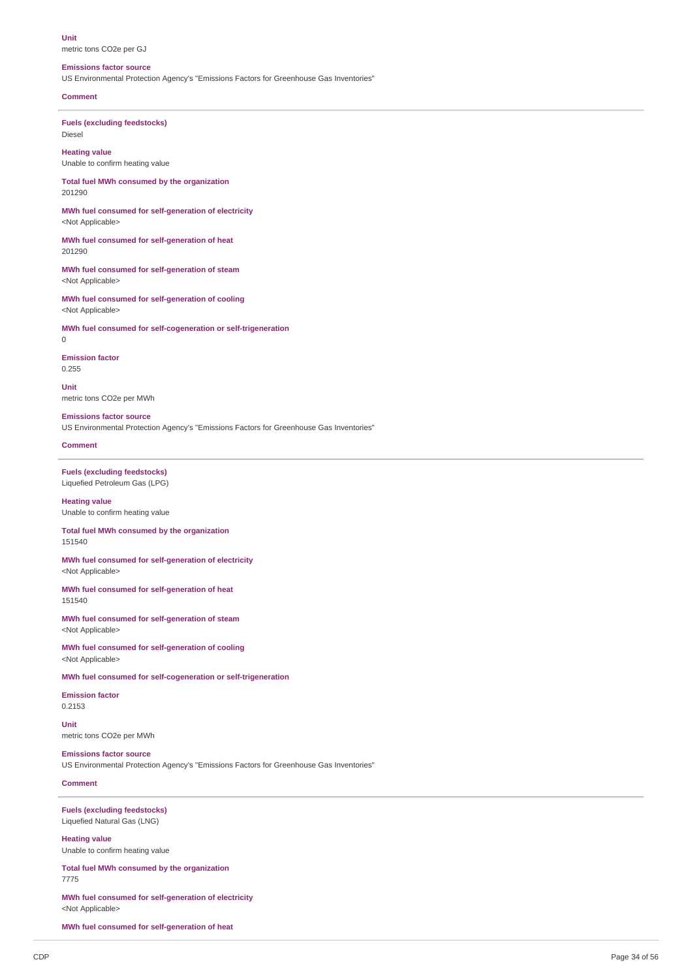**Unit**

## metric tons CO2e per GJ

## **Emissions factor source**

US Environmental Protection Agency's "Emissions Factors for Greenhouse Gas Inventories"

### **Comment**

**Fuels (excluding feedstocks)** Diesel

**Heating value** Unable to confirm heating value

**Total fuel MWh consumed by the organization** 201290

**MWh fuel consumed for self-generation of electricity** <Not Applicable>

**MWh fuel consumed for self-generation of heat** 201290

**MWh fuel consumed for self-generation of steam** <Not Applicable>

**MWh fuel consumed for self-generation of cooling** <Not Applicable>

**MWh fuel consumed for self-cogeneration or self-trigeneration** 0

**Emission factor** 0.255

**Unit** metric tons CO2e per MWh

**Emissions factor source** US Environmental Protection Agency's "Emissions Factors for Greenhouse Gas Inventories"

**Comment**

**Fuels (excluding feedstocks)** Liquefied Petroleum Gas (LPG)

**Heating value** Unable to confirm heating value

**Total fuel MWh consumed by the organization** 151540

**MWh fuel consumed for self-generation of electricity** <Not Applicable>

**MWh fuel consumed for self-generation of heat** 151540

**MWh fuel consumed for self-generation of steam** <Not Applicable>

**MWh fuel consumed for self-generation of cooling** <Not Applicable>

**MWh fuel consumed for self-cogeneration or self-trigeneration**

**Emission factor** 0.2153

**Unit** metric tons CO2e per MWh

**Emissions factor source** US Environmental Protection Agency's "Emissions Factors for Greenhouse Gas Inventories"

**Comment**

**Fuels (excluding feedstocks)** Liquefied Natural Gas (LNG)

**Heating value** Unable to confirm heating value

**Total fuel MWh consumed by the organization** 7775

**MWh fuel consumed for self-generation of electricity** <Not Applicable>

**MWh fuel consumed for self-generation of heat**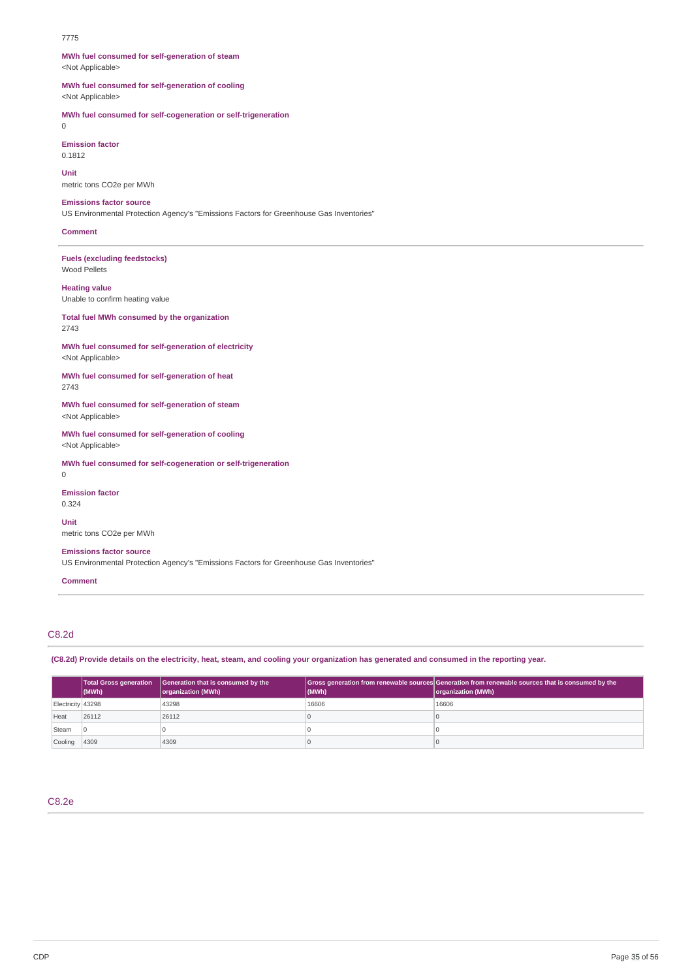### 7775

**MWh fuel consumed for self-generation of steam** <Not Applicable>

**MWh fuel consumed for self-generation of cooling** <Not Applicable>

**MWh fuel consumed for self-cogeneration or self-trigeneration**

0

**Emission factor** 0.1812

**Unit** metric tons CO2e per MWh

**Emissions factor source**

US Environmental Protection Agency's "Emissions Factors for Greenhouse Gas Inventories"

### **Comment**

**Fuels (excluding feedstocks)** Wood Pellets

### **Heating value**

Unable to confirm heating value

## **Total fuel MWh consumed by the organization**

2743

**MWh fuel consumed for self-generation of electricity** <Not Applicable>

**MWh fuel consumed for self-generation of heat** 2743

**MWh fuel consumed for self-generation of steam** <Not Applicable>

**MWh fuel consumed for self-generation of cooling** <Not Applicable>

**MWh fuel consumed for self-cogeneration or self-trigeneration** 0

**Emission factor** 0.324

**Unit** metric tons CO2e per MWh

**Emissions factor source**

US Environmental Protection Agency's "Emissions Factors for Greenhouse Gas Inventories"

### **Comment**

## C8.2d

(C8.2d) Provide details on the electricity, heat, steam, and cooling your organization has generated and consumed in the reporting year.

|                   | $ $ (MWh) | Total Gross generation Generation that is consumed by the<br>organization (MWh) | $ $ (MWh) | Gross generation from renewable sources Generation from renewable sources that is consumed by the<br>organization (MWh) |
|-------------------|-----------|---------------------------------------------------------------------------------|-----------|-------------------------------------------------------------------------------------------------------------------------|
| Electricity 43298 |           | 43298                                                                           | 16606     | 16606                                                                                                                   |
| Heat              | 26112     | 26112                                                                           |           |                                                                                                                         |
| Steam             |           |                                                                                 |           |                                                                                                                         |
| Cooling           | 4309      | 4309                                                                            |           |                                                                                                                         |

C8.2e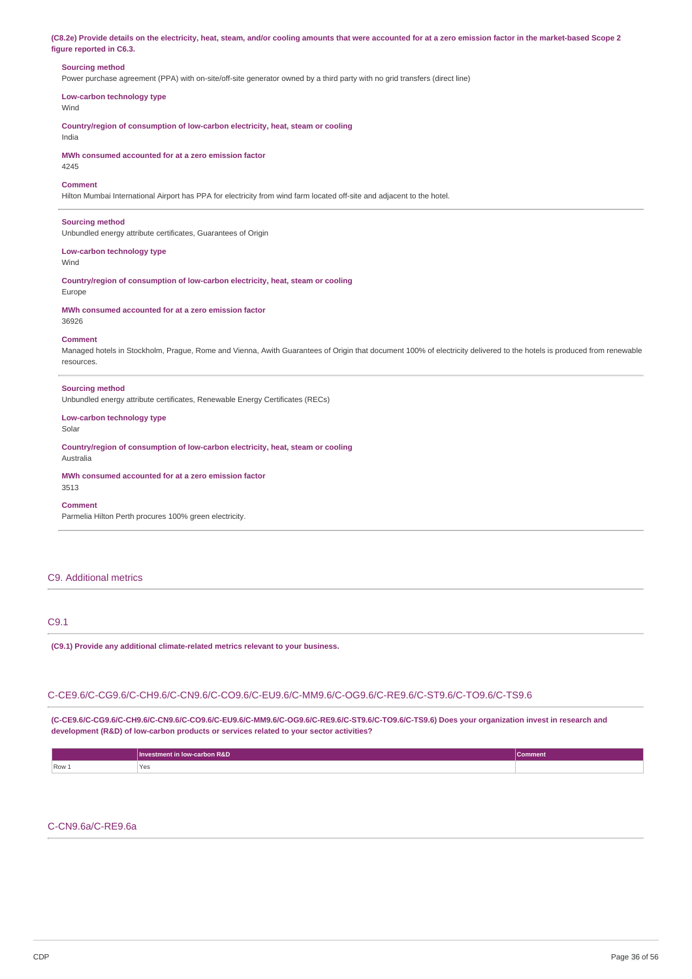(C8.2e) Provide details on the electricity, heat, steam, and/or cooling amounts that were accounted for at a zero emission factor in the market-based Scope 2 **figure reported in C6.3.**

## **Sourcing method**

Power purchase agreement (PPA) with on-site/off-site generator owned by a third party with no grid transfers (direct line)

**Low-carbon technology type**

Wind

**Country/region of consumption of low-carbon electricity, heat, steam or cooling** India

**MWh consumed accounted for at a zero emission factor** 4245

### **Comment**

Hilton Mumbai International Airport has PPA for electricity from wind farm located off-site and adjacent to the hotel.

### **Sourcing method**

Unbundled energy attribute certificates, Guarantees of Origin

### **Low-carbon technology type** Wind

**Country/region of consumption of low-carbon electricity, heat, steam or cooling** Europe

**MWh consumed accounted for at a zero emission factor** 36926

### **Comment**

Managed hotels in Stockholm, Prague, Rome and Vienna, Awith Guarantees of Origin that document 100% of electricity delivered to the hotels is produced from renewable resources.

### **Sourcing method**

Unbundled energy attribute certificates, Renewable Energy Certificates (RECs)

## **Low-carbon technology type**

Solar

Australia

**Country/region of consumption of low-carbon electricity, heat, steam or cooling**

**MWh consumed accounted for at a zero emission factor** 3513

### **Comment**

Parmelia Hilton Perth procures 100% green electricity.

## C9. Additional metrics

## C9.1

**(C9.1) Provide any additional climate-related metrics relevant to your business.**

## C-CE9.6/C-CG9.6/C-CH9.6/C-CN9.6/C-CO9.6/C-EU9.6/C-MM9.6/C-OG9.6/C-RE9.6/C-ST9.6/C-TO9.6/C-TS9.6

**(C-CE9.6/C-CG9.6/C-CH9.6/C-CN9.6/C-CO9.6/C-EU9.6/C-MM9.6/C-OG9.6/C-RE9.6/C-ST9.6/C-TO9.6/C-TS9.6) Does your organization invest in research and development (R&D) of low-carbon products or services related to your sector activities?**

|         | Investment in low-carbon R&D | Comment |
|---------|------------------------------|---------|
| $Row_1$ | 'Yes<br>$\sim$ $\sim$        |         |

## C-CN9.6a/C-RE9.6a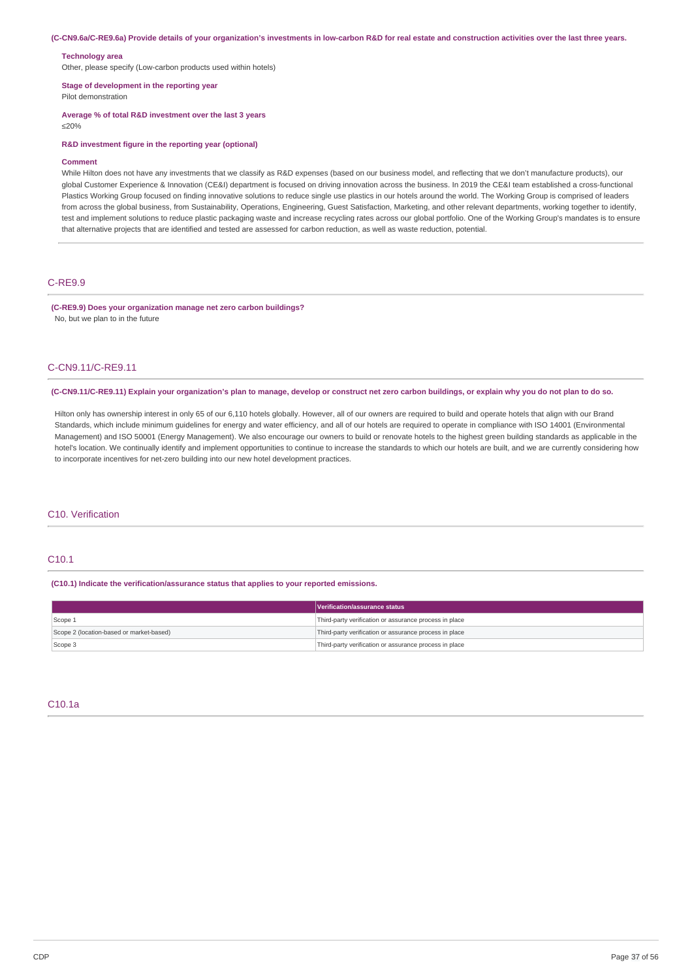#### (C-CN9.6a/C-RE9.6a) Provide details of your organization's investments in low-carbon R&D for real estate and construction activities over the last three years.

### **Technology area**

Other, please specify (Low-carbon products used within hotels)

### **Stage of development in the reporting year**

Pilot demonstration

**Average % of total R&D investment over the last 3 years**

≤20%

### **R&D investment figure in the reporting year (optional)**

### **Comment**

While Hilton does not have any investments that we classify as R&D expenses (based on our business model, and reflecting that we don't manufacture products), our global Customer Experience & Innovation (CE&I) department is focused on driving innovation across the business. In 2019 the CE&I team established a cross-functional Plastics Working Group focused on finding innovative solutions to reduce single use plastics in our hotels around the world. The Working Group is comprised of leaders from across the global business, from Sustainability, Operations, Engineering, Guest Satisfaction, Marketing, and other relevant departments, working together to identify, test and implement solutions to reduce plastic packaging waste and increase recycling rates across our global portfolio. One of the Working Group's mandates is to ensure that alternative projects that are identified and tested are assessed for carbon reduction, as well as waste reduction, potential.

### C-RE9.9

### **(C-RE9.9) Does your organization manage net zero carbon buildings?** No, but we plan to in the future

## C-CN9.11/C-RE9.11

(C-CN9.11/C-RE9.11) Explain your organization's plan to manage, develop or construct net zero carbon buildings, or explain why you do not plan to do so.

Hilton only has ownership interest in only 65 of our 6,110 hotels globally. However, all of our owners are required to build and operate hotels that align with our Brand Standards, which include minimum guidelines for energy and water efficiency, and all of our hotels are required to operate in compliance with ISO 14001 (Environmental Management) and ISO 50001 (Energy Management). We also encourage our owners to build or renovate hotels to the highest green building standards as applicable in the hotel's location. We continually identify and implement opportunities to continue to increase the standards to which our hotels are built, and we are currently considering how to incorporate incentives for net-zero building into our new hotel development practices.

## C10. Verification

## C10.1

### **(C10.1) Indicate the verification/assurance status that applies to your reported emissions.**

|                                          | Verification/assurance status                          |
|------------------------------------------|--------------------------------------------------------|
| Scope 1                                  | Third-party verification or assurance process in place |
| Scope 2 (location-based or market-based) | Third-party verification or assurance process in place |
| Scope 3                                  | Third-party verification or assurance process in place |

## C10.1a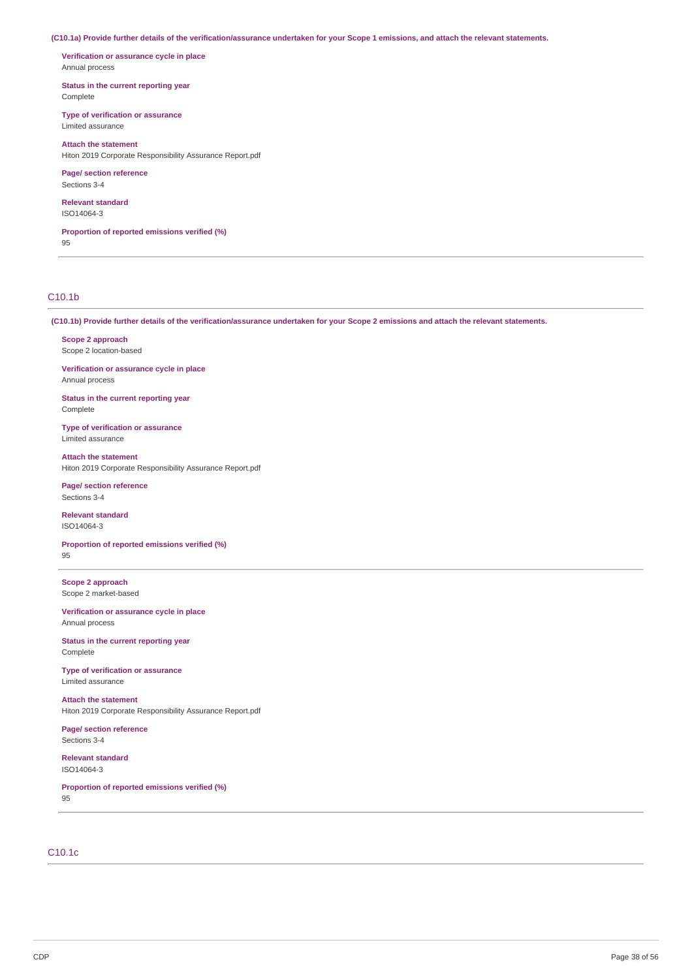(C10.1a) Provide further details of the verification/assurance undertaken for your Scope 1 emissions, and attach the relevant statements.

**Verification or assurance cycle in place** Annual process

**Status in the current reporting year** Complete

**Type of verification or assurance** Limited assurance

**Attach the statement** Hiton 2019 Corporate Responsibility Assurance Report.pdf

**Page/ section reference** Sections 3-4

**Relevant standard** ISO14064-3

**Proportion of reported emissions verified (%)** 95

## C10.1b

(C10.1b) Provide further details of the verification/assurance undertaken for your Scope 2 emissions and attach the relevant statements.

**Scope 2 approach** Scope 2 location-based

**Verification or assurance cycle in place** Annual process

**Status in the current reporting year** Complete

**Type of verification or assurance** Limited assurance

**Attach the statement** Hiton 2019 Corporate Responsibility Assurance Report.pdf

**Page/ section reference** Sections 3-4

**Relevant standard** ISO14064-3

**Proportion of reported emissions verified (%)** 95

**Scope 2 approach** Scope 2 market-based

**Verification or assurance cycle in place** Annual process

**Status in the current reporting year** Complete

**Type of verification or assurance** Limited assurance

**Attach the statement** Hiton 2019 Corporate Responsibility Assurance Report.pdf

**Page/ section reference** Sections 3-4

**Relevant standard** ISO14064-3

**Proportion of reported emissions verified (%)**  $Q5$ 

## C10.1c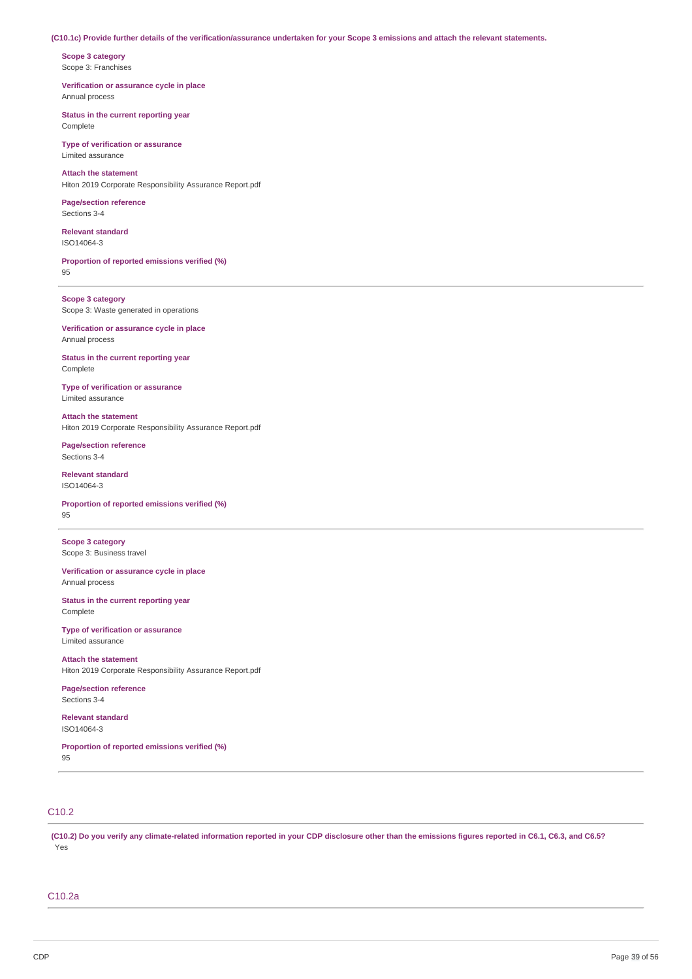### (C10.1c) Provide further details of the verification/assurance undertaken for your Scope 3 emissions and attach the relevant statements.

**Scope 3 category** Scope 3: Franchises

**Verification or assurance cycle in place** Annual process

**Status in the current reporting year** Complete

**Type of verification or assurance** Limited assurance

**Attach the statement** Hiton 2019 Corporate Responsibility Assurance Report.pdf

**Page/section reference** Sections 3-4

**Relevant standard** ISO14064-3

**Proportion of reported emissions verified (%)** 95

**Scope 3 category** Scope 3: Waste generated in operations

**Verification or assurance cycle in place** Annual process

**Status in the current reporting year** Complete

**Type of verification or assurance** Limited assurance

**Attach the statement** Hiton 2019 Corporate Responsibility Assurance Report.pdf

**Page/section reference** Sections 3-4

**Relevant standard** ISO14064-3

**Proportion of reported emissions verified (%)** 95

**Scope 3 category** Scope 3: Business travel

**Verification or assurance cycle in place** Annual process

**Status in the current reporting year** Complete

**Type of verification or assurance** Limited assurance

**Attach the statement** Hiton 2019 Corporate Responsibility Assurance Report.pdf

**Page/section reference** Sections 3-4

**Relevant standard** ISO14064-3

**Proportion of reported emissions verified (%)** 95

## C10.2

(C10.2) Do you verify any climate-related information reported in your CDP disclosure other than the emissions figures reported in C6.1, C6.3, and C6.5? Yes

## C10.2a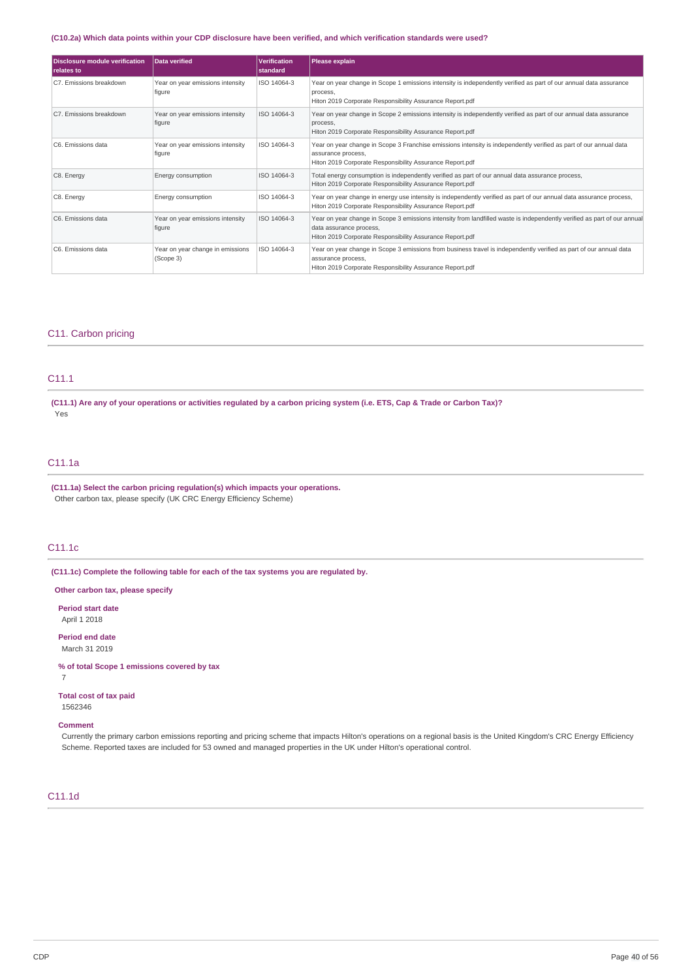## (C10.2a) Which data points within your CDP disclosure have been verified, and which verification standards were used?

| <b>Disclosure module verification</b><br>relates to | Data verified                                 | <b>Verification</b><br>standard | <b>Please explain</b>                                                                                                                                                                                           |  |
|-----------------------------------------------------|-----------------------------------------------|---------------------------------|-----------------------------------------------------------------------------------------------------------------------------------------------------------------------------------------------------------------|--|
| C7. Emissions breakdown                             | Year on year emissions intensity<br>figure    | ISO 14064-3                     | Year on year change in Scope 1 emissions intensity is independently verified as part of our annual data assurance<br>process,<br>Hiton 2019 Corporate Responsibility Assurance Report.pdf                       |  |
| C7. Emissions breakdown                             | Year on year emissions intensity<br>figure    | ISO 14064-3                     | Year on year change in Scope 2 emissions intensity is independently verified as part of our annual data assurance<br>process,<br>Hiton 2019 Corporate Responsibility Assurance Report.pdf                       |  |
| C6. Emissions data                                  | Year on year emissions intensity<br>figure    | ISO 14064-3                     | Year on year change in Scope 3 Franchise emissions intensity is independently verified as part of our annual data<br>assurance process,<br>Hiton 2019 Corporate Responsibility Assurance Report.pdf             |  |
| C8. Energy                                          | Energy consumption                            | ISO 14064-3                     | Total energy consumption is independently verified as part of our annual data assurance process,<br>Hiton 2019 Corporate Responsibility Assurance Report.pdf                                                    |  |
| C8. Energy                                          | Energy consumption                            | ISO 14064-3                     | Year on year change in energy use intensity is independently verified as part of our annual data assurance process,<br>Hiton 2019 Corporate Responsibility Assurance Report.pdf                                 |  |
| C6. Emissions data                                  | Year on year emissions intensity<br>figure    | ISO 14064-3                     | Year on year change in Scope 3 emissions intensity from landfilled waste is independently verified as part of our annual<br>data assurance process,<br>Hiton 2019 Corporate Responsibility Assurance Report.pdf |  |
| C6. Emissions data                                  | Year on year change in emissions<br>(Scope 3) | ISO 14064-3                     | Year on year change in Scope 3 emissions from business travel is independently verified as part of our annual data<br>assurance process,<br>Hiton 2019 Corporate Responsibility Assurance Report.pdf            |  |

## C11. Carbon pricing

## C11.1

(C11.1) Are any of your operations or activities regulated by a carbon pricing system (i.e. ETS, Cap & Trade or Carbon Tax)? Yes

## C11.1a

**(C11.1a) Select the carbon pricing regulation(s) which impacts your operations.** Other carbon tax, please specify (UK CRC Energy Efficiency Scheme)

## C11.1c

**(C11.1c) Complete the following table for each of the tax systems you are regulated by.**

**Other carbon tax, please specify**

**Period start date** April 1 2018

**Period end date** March 31 2019

**% of total Scope 1 emissions covered by tax** 7

**Total cost of tax paid** 1562346

### **Comment**

Currently the primary carbon emissions reporting and pricing scheme that impacts Hilton's operations on a regional basis is the United Kingdom's CRC Energy Efficiency Scheme. Reported taxes are included for 53 owned and managed properties in the UK under Hilton's operational control.

## C11.1d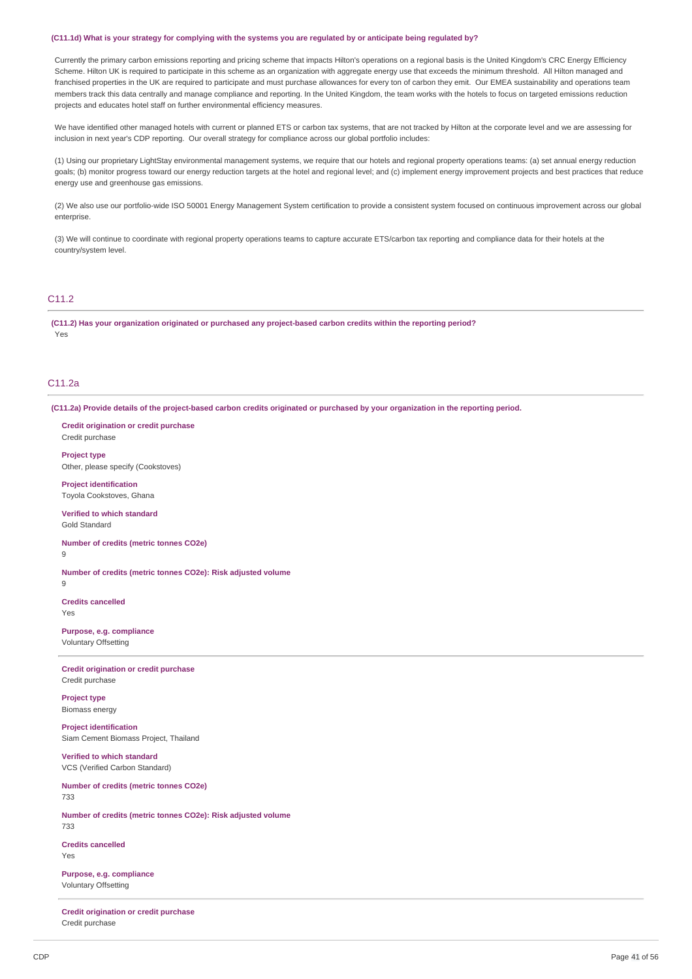#### (C11.1d) What is your strategy for complying with the systems you are regulated by or anticipate being regulated by?

Currently the primary carbon emissions reporting and pricing scheme that impacts Hilton's operations on a regional basis is the United Kingdom's CRC Energy Efficiency Scheme. Hilton UK is required to participate in this scheme as an organization with aggregate energy use that exceeds the minimum threshold. All Hilton managed and franchised properties in the UK are required to participate and must purchase allowances for every ton of carbon they emit. Our EMEA sustainability and operations team members track this data centrally and manage compliance and reporting. In the United Kingdom, the team works with the hotels to focus on targeted emissions reduction projects and educates hotel staff on further environmental efficiency measures.

We have identified other managed hotels with current or planned ETS or carbon tax systems, that are not tracked by Hilton at the corporate level and we are assessing for inclusion in next year's CDP reporting. Our overall strategy for compliance across our global portfolio includes:

(1) Using our proprietary LightStay environmental management systems, we require that our hotels and regional property operations teams: (a) set annual energy reduction goals; (b) monitor progress toward our energy reduction targets at the hotel and regional level; and (c) implement energy improvement projects and best practices that reduce energy use and greenhouse gas emissions.

(2) We also use our portfolio-wide ISO 50001 Energy Management System certification to provide a consistent system focused on continuous improvement across our global enterprise.

(3) We will continue to coordinate with regional property operations teams to capture accurate ETS/carbon tax reporting and compliance data for their hotels at the country/system level.

## C11.2

**(C11.2) Has your organization originated or purchased any project-based carbon credits within the reporting period?** Yes

## C11.2a

(C11.2a) Provide details of the project-based carbon credits originated or purchased by your organization in the reporting period.

**Credit origination or credit purchase** Credit purchase **Project type** Other, please specify (Cookstoves)

**Project identification** Toyola Cookstoves, Ghana

**Verified to which standard** Gold Standard

**Number of credits (metric tonnes CO2e)** 9

9

**Number of credits (metric tonnes CO2e): Risk adjusted volume**

**Credits cancelled** Yes

**Purpose, e.g. compliance** Voluntary Offsetting

**Credit origination or credit purchase** Credit purchase

**Project type** Biomass energy

**Project identification** Siam Cement Biomass Project, Thailand

**Verified to which standard** VCS (Verified Carbon Standard)

**Number of credits (metric tonnes CO2e)** 733

**Number of credits (metric tonnes CO2e): Risk adjusted volume** 733

**Credits cancelled** Yes

**Purpose, e.g. compliance** Voluntary Offsetting

**Credit origination or credit purchase** Credit purchase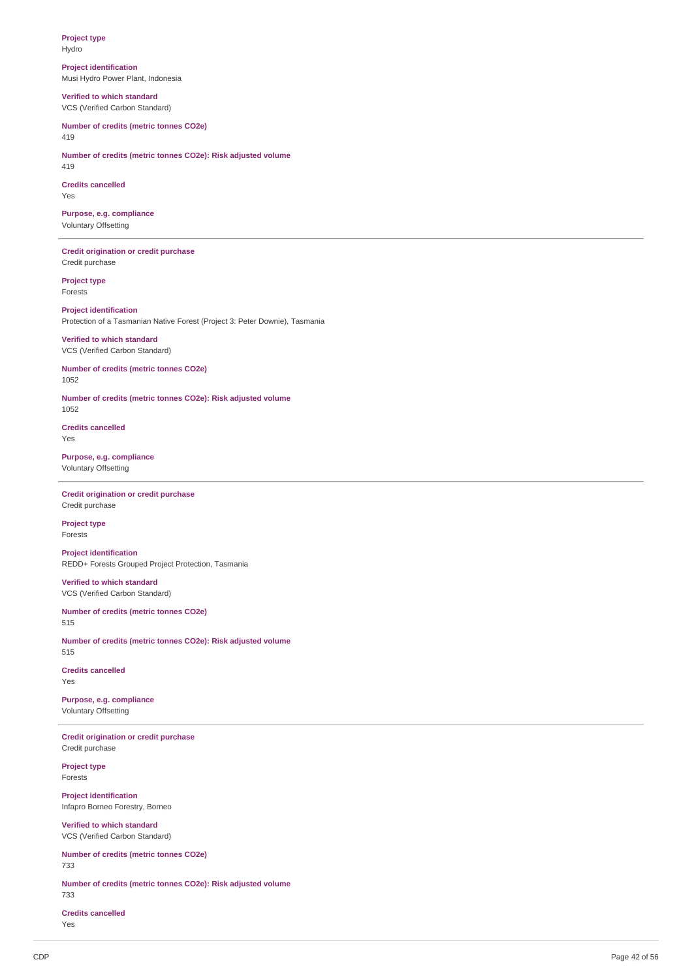**Project type** Hydro

**Project identification** Musi Hydro Power Plant, Indonesia

**Verified to which standard** VCS (Verified Carbon Standard)

**Number of credits (metric tonnes CO2e)** 419

**Number of credits (metric tonnes CO2e): Risk adjusted volume** 419

**Credits cancelled** Yes

**Purpose, e.g. compliance** Voluntary Offsetting

**Credit origination or credit purchase** Credit purchase

**Project type** Forests

**Project identification** Protection of a Tasmanian Native Forest (Project 3: Peter Downie), Tasmania

**Verified to which standard** VCS (Verified Carbon Standard)

**Number of credits (metric tonnes CO2e)** 1052

**Number of credits (metric tonnes CO2e): Risk adjusted volume** 1052

**Credits cancelled** Yes

**Purpose, e.g. compliance** Voluntary Offsetting

**Credit origination or credit purchase** Credit purchase

**Project type** Forests

**Project identification** REDD+ Forests Grouped Project Protection, Tasmania

**Verified to which standard** VCS (Verified Carbon Standard)

**Number of credits (metric tonnes CO2e)** 515

**Number of credits (metric tonnes CO2e): Risk adjusted volume** 515

**Credits cancelled** Yes

**Purpose, e.g. compliance** Voluntary Offsetting

**Credit origination or credit purchase** Credit purchase

**Project type** Forests

**Project identification** Infapro Borneo Forestry, Borneo

**Verified to which standard** VCS (Verified Carbon Standard)

**Number of credits (metric tonnes CO2e)** 733

**Number of credits (metric tonnes CO2e): Risk adjusted volume** 733

**Credits cancelled** Yes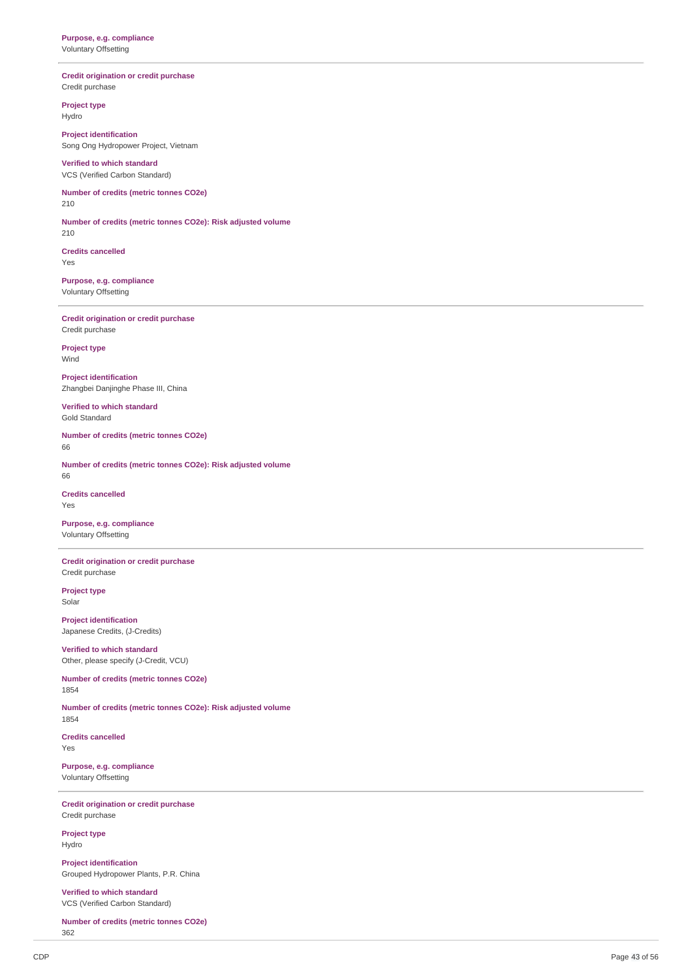### **credit origination or credit purchase** Credit purchase

**P r o je c t t y p e**

Hydro

**Project identification** Song Ong Hydropower Project, Vietnam

### **Verified to which standard** VCS (Verified Carbon Standard)

Number of credits (metric tonnes CO2e) 2 1 0

Number of credits (metric tonnes CO2e): Risk adjusted volume 2 1 0

**C r e dit s c a n c elle d** Y e s

**Purpose, e.g. compliance** Voluntary Offsetting

**credit origination or credit purchase** Credit purchase

**P r o je c t t y p e** Win d

**Project identification** Zhangbei Danjinghe Phase III, China

**Verified to which standard** Gold Standard

Number of credits (metric tonnes CO2e) 6 6

Number of credits (metric tonnes CO2e): Risk adjusted volume 6 6

**c c dits cancelled** Y e s

**Purpose, e.g. compliance** Voluntary Offsetting

**credit origination or credit purchase** Credit purchase

**P r o je c t t y p e** Solar

**Project identification** Japanese Credits, (J-Credits)

**Verified to which standard** Other, please specify (J-Credit, VCU)

Number of credits (metric tonnes CO2e) 1 8 5 4

Number of credits (metric tonnes CO2e): Risk adjusted volume 1 8 5 4

**c redits cancelled** Y e s

**Purpose, e.g. compliance** Voluntary Offsetting

**credit origination or credit purchase** Credit purchase

**P r o je c t t y p e** Hydro

**Project identification** Grouped Hydropower Plants, P.R. China

**Verified to which standard** VCS (Verified Carbon Standard)

**Number of credits (metric tonnes CO2e)** 3 6 2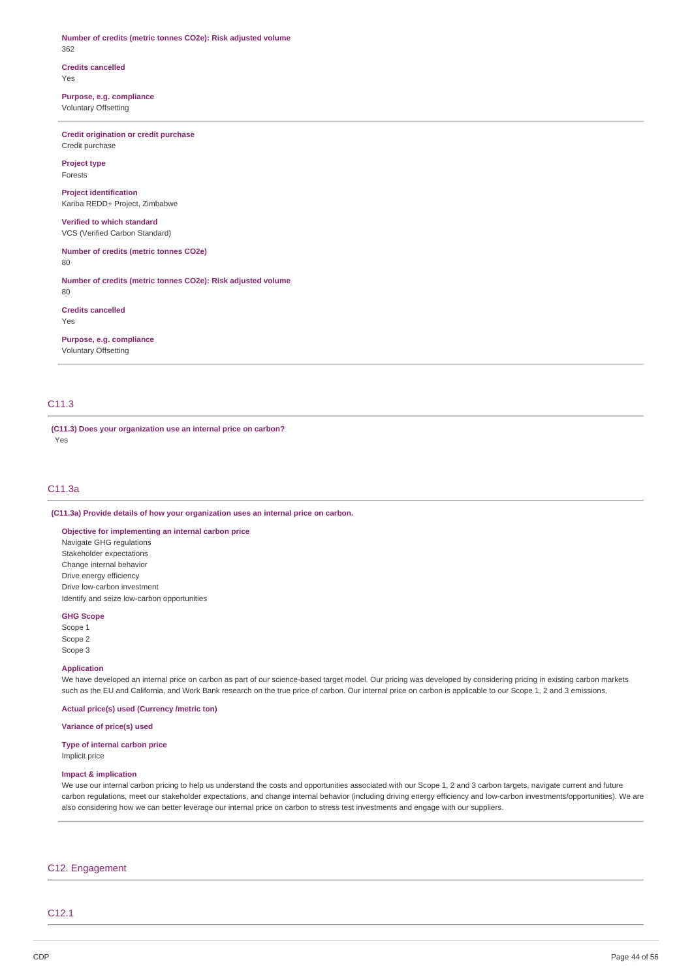### **Number of credits (metric tonnes CO2e): Risk adjusted volume** 362

### **Credits cancelled** Yes

**Purpose, e.g. compliance** Voluntary Offsetting

## **Credit origination or credit purchase** Credit purchase

**Project type** Forests

**Project identification** Kariba REDD+ Project, Zimbabwe

### **Verified to which standard** VCS (Verified Carbon Standard)

**Number of credits (metric tonnes CO2e)** 80

**Number of credits (metric tonnes CO2e): Risk adjusted volume** 80

**Credits cancelled** Yes

**Purpose, e.g. compliance** Voluntary Offsetting

## C11.3

**(C11.3) Does your organization use an internal price on carbon?** Yes

## C11.3a

**(C11.3a) Provide details of how your organization uses an internal price on carbon.**

## **Objective for implementing an internal carbon price**

Navigate GHG regulations Stakeholder expectations Change internal behavior Drive energy efficiency Drive low-carbon investment Identify and seize low-carbon opportunities

### **GHG Scope**

Scope 1 Scope 2 Scope 3

### **Application**

We have developed an internal price on carbon as part of our science-based target model. Our pricing was developed by considering pricing in existing carbon markets such as the EU and California, and Work Bank research on the true price of carbon. Our internal price on carbon is applicable to our Scope 1, 2 and 3 emissions.

**Actual price(s) used (Currency /metric ton)**

### **Variance of price(s) used**

## **Type of internal carbon price**

Implicit price

## **Impact & implication**

We use our internal carbon pricing to help us understand the costs and opportunities associated with our Scope 1, 2 and 3 carbon targets, navigate current and future carbon regulations, meet our stakeholder expectations, and change internal behavior (including driving energy efficiency and low-carbon investments/opportunities). We are also considering how we can better leverage our internal price on carbon to stress test investments and engage with our suppliers.

### C12. Engagement

## C12.1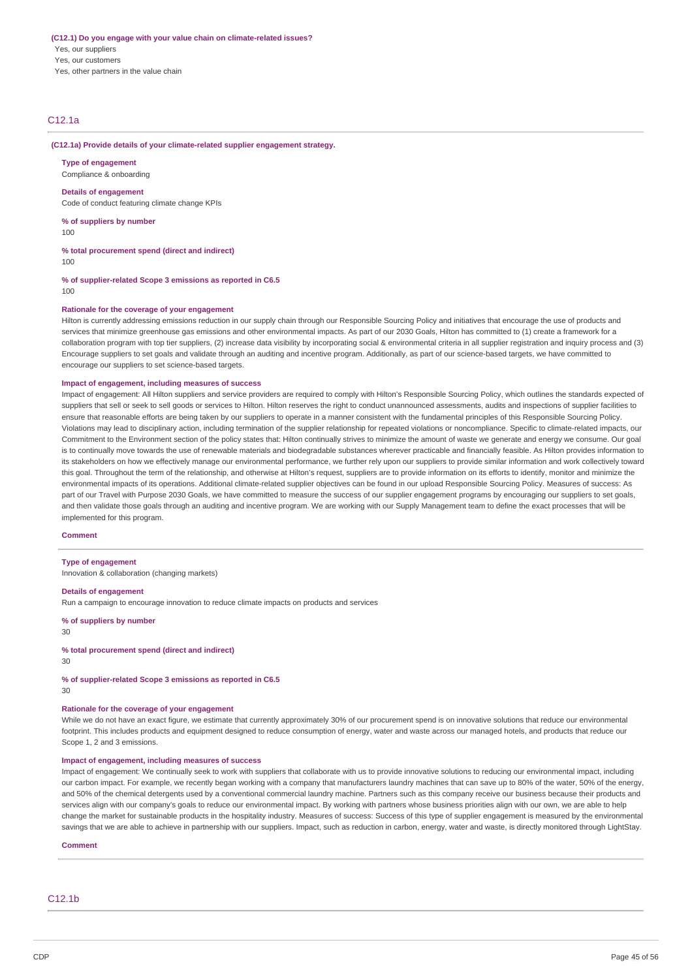## **(C12.1) Do you engage with your value chain on climate-related issues?** Yes, our suppliers Yes, our customers

Yes, other partners in the value chain

## C12.1a

### **(C12.1a) Provide details of your climate-related supplier engagement strategy.**

**Type of engagement** Compliance & onboarding

### **Details of engagement**

Code of conduct featuring climate change KPIs

**% of suppliers by number**

100

**% total procurement spend (direct and indirect)**

 $100$ 

**% of supplier-related Scope 3 emissions as reported in C6.5** 100

## **Rationale for the coverage of your engagement**

Hilton is currently addressing emissions reduction in our supply chain through our Responsible Sourcing Policy and initiatives that encourage the use of products and services that minimize greenhouse gas emissions and other environmental impacts. As part of our 2030 Goals, Hilton has committed to (1) create a framework for a collaboration program with top tier suppliers, (2) increase data visibility by incorporating social & environmental criteria in all supplier registration and inquiry process and (3) Encourage suppliers to set goals and validate through an auditing and incentive program. Additionally, as part of our science-based targets, we have committed to encourage our suppliers to set science-based targets.

### **Impact of engagement, including measures of success**

Impact of engagement: All Hilton suppliers and service providers are required to comply with Hilton's Responsible Sourcing Policy, which outlines the standards expected of suppliers that sell or seek to sell goods or services to Hilton. Hilton reserves the right to conduct unannounced assessments, audits and inspections of supplier facilities to ensure that reasonable efforts are being taken by our suppliers to operate in a manner consistent with the fundamental principles of this Responsible Sourcing Policy. Violations may lead to disciplinary action, including termination of the supplier relationship for repeated violations or noncompliance. Specific to climate-related impacts, our Commitment to the Environment section of the policy states that: Hilton continually strives to minimize the amount of waste we generate and energy we consume. Our goal is to continually move towards the use of renewable materials and biodegradable substances wherever practicable and financially feasible. As Hilton provides information to its stakeholders on how we effectively manage our environmental performance, we further rely upon our suppliers to provide similar information and work collectively toward this goal. Throughout the term of the relationship, and otherwise at Hilton's request, suppliers are to provide information on its efforts to identify, monitor and minimize the environmental impacts of its operations. Additional climate-related supplier objectives can be found in our upload Responsible Sourcing Policy. Measures of success: As part of our Travel with Purpose 2030 Goals, we have committed to measure the success of our supplier engagement programs by encouraging our suppliers to set goals, and then validate those goals through an auditing and incentive program. We are working with our Supply Management team to define the exact processes that will be implemented for this program.

### **Comment**

### **Type of engagement**

Innovation & collaboration (changing markets)

### **Details of engagement**

Run a campaign to encourage innovation to reduce climate impacts on products and services

**% of suppliers by number**

30

#### **% total procurement spend (direct and indirect)**

30

**% of supplier-related Scope 3 emissions as reported in C6.5**

30

## **Rationale for the coverage of your engagement**

While we do not have an exact figure, we estimate that currently approximately 30% of our procurement spend is on innovative solutions that reduce our environmental footprint. This includes products and equipment designed to reduce consumption of energy, water and waste across our managed hotels, and products that reduce our Scope 1, 2 and 3 emissions.

## **Impact of engagement, including measures of success**

Impact of engagement: We continually seek to work with suppliers that collaborate with us to provide innovative solutions to reducing our environmental impact, including our carbon impact. For example, we recently began working with a company that manufacturers laundry machines that can save up to 80% of the water, 50% of the energy, and 50% of the chemical detergents used by a conventional commercial laundry machine. Partners such as this company receive our business because their products and services align with our company's goals to reduce our environmental impact. By working with partners whose business priorities align with our own, we are able to help change the market for sustainable products in the hospitality industry. Measures of success: Success of this type of supplier engagement is measured by the environmental savings that we are able to achieve in partnership with our suppliers. Impact, such as reduction in carbon, energy, water and waste, is directly monitored through LightStay.

### **Comment**

C<sub>12</sub>.1<sub>b</sub>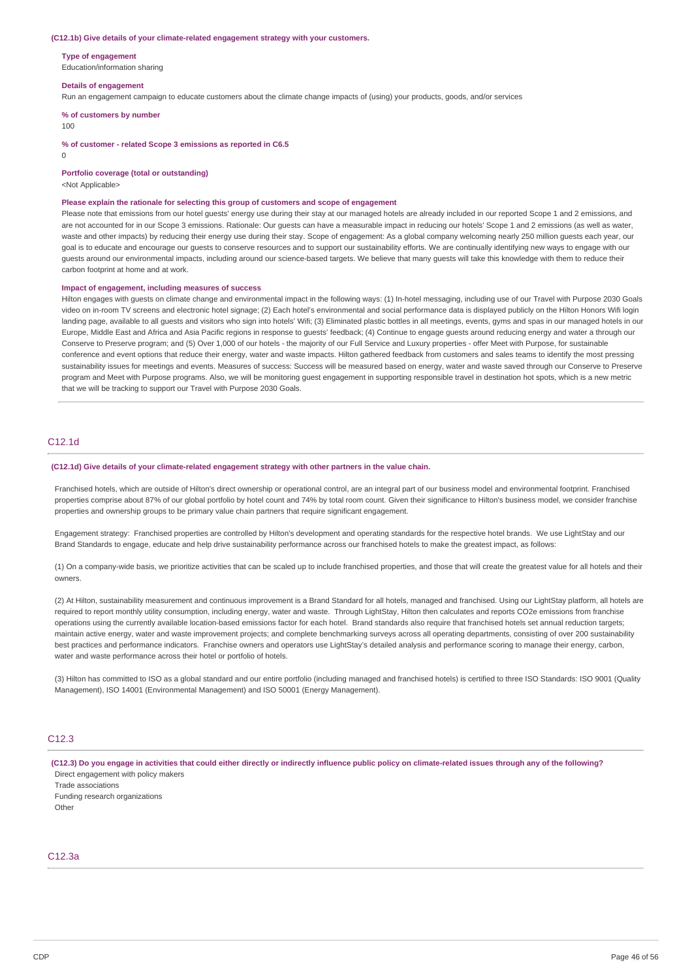#### **(C12.1b) Give details of your climate-related engagement strategy with your customers.**

### **Type of engagement**

Education/information sharing

#### **Details of engagement**

Run an engagement campaign to educate customers about the climate change impacts of (using) your products, goods, and/or services

#### **% of customers by number**

#### 100

**% of customer - related Scope 3 emissions as reported in C6.5**

 $\Omega$ 

**Portfolio coverage (total or outstanding)**

<Not Applicable>

#### **Please explain the rationale for selecting this group of customers and scope of engagement**

Please note that emissions from our hotel guests' energy use during their stay at our managed hotels are already included in our reported Scope 1 and 2 emissions, and are not accounted for in our Scope 3 emissions. Rationale: Our guests can have a measurable impact in reducing our hotels' Scope 1 and 2 emissions (as well as water, waste and other impacts) by reducing their energy use during their stay. Scope of engagement: As a global company welcoming nearly 250 million guests each year, our goal is to educate and encourage our guests to conserve resources and to support our sustainability efforts. We are continually identifying new ways to engage with our guests around our environmental impacts, including around our science-based targets. We believe that many guests will take this knowledge with them to reduce their carbon footprint at home and at work.

### **Impact of engagement, including measures of success**

Hilton engages with guests on climate change and environmental impact in the following ways: (1) In-hotel messaging, including use of our Travel with Purpose 2030 Goals video on in-room TV screens and electronic hotel signage; (2) Each hotel's environmental and social performance data is displayed publicly on the Hilton Honors Wifi login landing page, available to all quests and visitors who sign into hotels' Wifi; (3) Eliminated plastic bottles in all meetings, events, gyms and spas in our managed hotels in our Europe, Middle East and Africa and Asia Pacific regions in response to guests' feedback; (4) Continue to engage guests around reducing energy and water a through our Conserve to Preserve program; and (5) Over 1,000 of our hotels - the majority of our Full Service and Luxury properties - offer Meet with Purpose, for sustainable conference and event options that reduce their energy, water and waste impacts. Hilton gathered feedback from customers and sales teams to identify the most pressing sustainability issues for meetings and events. Measures of success: Success will be measured based on energy, water and waste saved through our Conserve to Preserve program and Meet with Purpose programs. Also, we will be monitoring guest engagement in supporting responsible travel in destination hot spots, which is a new metric that we will be tracking to support our Travel with Purpose 2030 Goals.

## C12.1d

### **(C12.1d) Give details of your climate-related engagement strategy with other partners in the value chain.**

Franchised hotels, which are outside of Hilton's direct ownership or operational control, are an integral part of our business model and environmental footprint. Franchised properties comprise about 87% of our global portfolio by hotel count and 74% by total room count. Given their significance to Hilton's business model, we consider franchise properties and ownership groups to be primary value chain partners that require significant engagement.

Engagement strategy: Franchised properties are controlled by Hilton's development and operating standards for the respective hotel brands. We use LightStay and our Brand Standards to engage, educate and help drive sustainability performance across our franchised hotels to make the greatest impact, as follows:

(1) On a company-wide basis, we prioritize activities that can be scaled up to include franchised properties, and those that will create the greatest value for all hotels and their owners.

(2) At Hilton, sustainability measurement and continuous improvement is a Brand Standard for all hotels, managed and franchised. Using our LightStay platform, all hotels are required to report monthly utility consumption, including energy, water and waste. Through LightStay, Hilton then calculates and reports CO2e emissions from franchise operations using the currently available location-based emissions factor for each hotel. Brand standards also require that franchised hotels set annual reduction targets; maintain active energy, water and waste improvement projects; and complete benchmarking surveys across all operating departments, consisting of over 200 sustainability best practices and performance indicators. Franchise owners and operators use LightStay's detailed analysis and performance scoring to manage their energy, carbon, water and waste performance across their hotel or portfolio of hotels.

(3) Hilton has committed to ISO as a global standard and our entire portfolio (including managed and franchised hotels) is certified to three ISO Standards: ISO 9001 (Quality Management), ISO 14001 (Environmental Management) and ISO 50001 (Energy Management).

## C12.3

(C12.3) Do you engage in activities that could either directly or indirectly influence public policy on climate-related issues through any of the following? Direct engagement with policy makers

Trade associations Funding research organizations **Other** 

## C12.3a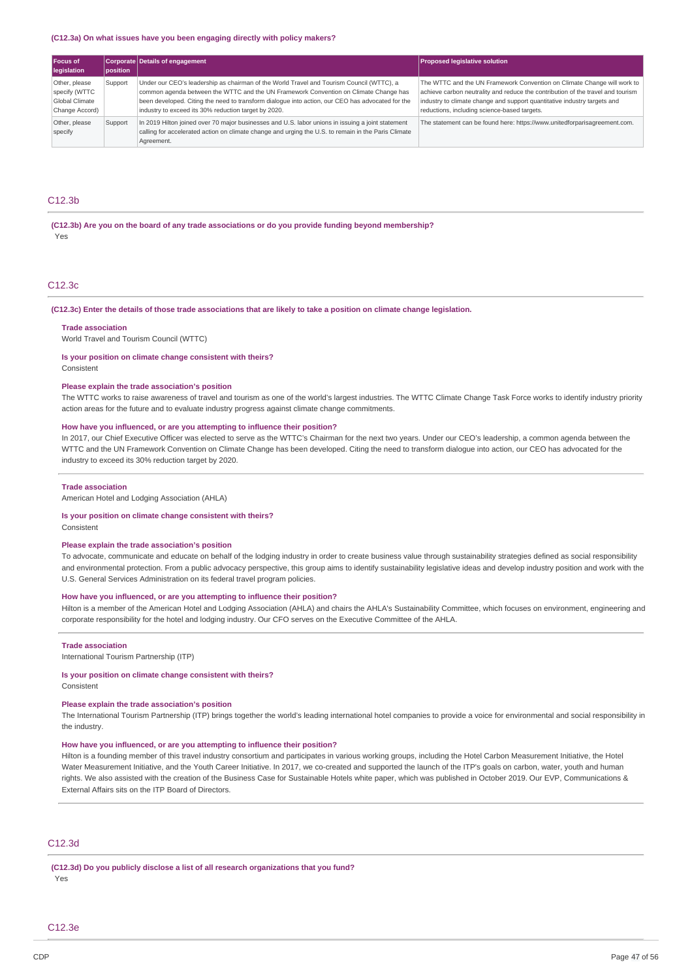#### **(C12.3a) On what issues have you been engaging directly with policy makers?**

| Focus of<br>legislation                                            | position | <b>Corporate Details of engagement</b>                                                                                                                                                                                                                                                                                                       | <b>Proposed legislative solution</b>                                                                                                                                                                                                                                                   |
|--------------------------------------------------------------------|----------|----------------------------------------------------------------------------------------------------------------------------------------------------------------------------------------------------------------------------------------------------------------------------------------------------------------------------------------------|----------------------------------------------------------------------------------------------------------------------------------------------------------------------------------------------------------------------------------------------------------------------------------------|
| Other, please<br>specify (WTTC<br>Global Climate<br>Change Accord) | Support  | Under our CEO's leadership as chairman of the World Travel and Tourism Council (WTTC), a<br>common agenda between the WTTC and the UN Framework Convention on Climate Change has<br>been developed. Citing the need to transform dialogue into action, our CEO has advocated for the<br>industry to exceed its 30% reduction target by 2020. | The WTTC and the UN Framework Convention on Climate Change will work to<br>achieve carbon neutrality and reduce the contribution of the travel and tourism<br>industry to climate change and support quantitative industry targets and<br>reductions, including science-based targets. |
| Other, please<br>specify                                           | Support  | In 2019 Hilton joined over 70 major businesses and U.S. labor unions in issuing a joint statement<br>calling for accelerated action on climate change and urging the U.S. to remain in the Paris Climate<br>Agreement.                                                                                                                       | The statement can be found here: https://www.unitedforparisagreement.com.                                                                                                                                                                                                              |

## C<sub>12.3h</sub>

**(C12.3b) Are you on the board of any trade associations or do you provide funding beyond membership?** Yes

## C12.3c

#### (C12.3c) Enter the details of those trade associations that are likely to take a position on climate change legislation.

#### **Trade association**

World Travel and Tourism Council (WTTC)

## **Is your position on climate change consistent with theirs?**

## Consistent

### **Please explain the trade association's position**

The WTTC works to raise awareness of travel and tourism as one of the world's largest industries. The WTTC Climate Change Task Force works to identify industry priority action areas for the future and to evaluate industry progress against climate change commitments.

### **How have you influenced, or are you attempting to influence their position?**

In 2017, our Chief Executive Officer was elected to serve as the WTTC's Chairman for the next two years. Under our CEO's leadership, a common agenda between the WTTC and the UN Framework Convention on Climate Change has been developed. Citing the need to transform dialogue into action, our CEO has advocated for the industry to exceed its 30% reduction target by 2020.

### **Trade association**

American Hotel and Lodging Association (AHLA)

### **Is your position on climate change consistent with theirs?**

Consistent

### **Please explain the trade association's position**

To advocate, communicate and educate on behalf of the lodging industry in order to create business value through sustainability strategies defined as social responsibility and environmental protection. From a public advocacy perspective, this group aims to identify sustainability legislative ideas and develop industry position and work with the U.S. General Services Administration on its federal travel program policies.

### **How have you influenced, or are you attempting to influence their position?**

Hilton is a member of the American Hotel and Lodging Association (AHLA) and chairs the AHLA's Sustainability Committee, which focuses on environment, engineering and corporate responsibility for the hotel and lodging industry. Our CFO serves on the Executive Committee of the AHLA.

### **Trade association**

International Tourism Partnership (ITP)

### **Is your position on climate change consistent with theirs?**

Consistent

## **Please explain the trade association's position**

The International Tourism Partnership (ITP) brings together the world's leading international hotel companies to provide a voice for environmental and social responsibility in the industry.

## **How have you influenced, or are you attempting to influence their position?**

Hilton is a founding member of this travel industry consortium and participates in various working groups, including the Hotel Carbon Measurement Initiative, the Hotel Water Measurement Initiative, and the Youth Career Initiative. In 2017, we co-created and supported the launch of the ITP's goals on carbon, water, youth and human rights. We also assisted with the creation of the Business Case for Sustainable Hotels white paper, which was published in October 2019. Our EVP, Communications & External Affairs sits on the ITP Board of Directors.

### C12.3d

**(C12.3d) Do you publicly disclose a list of all research organizations that you fund?** Yes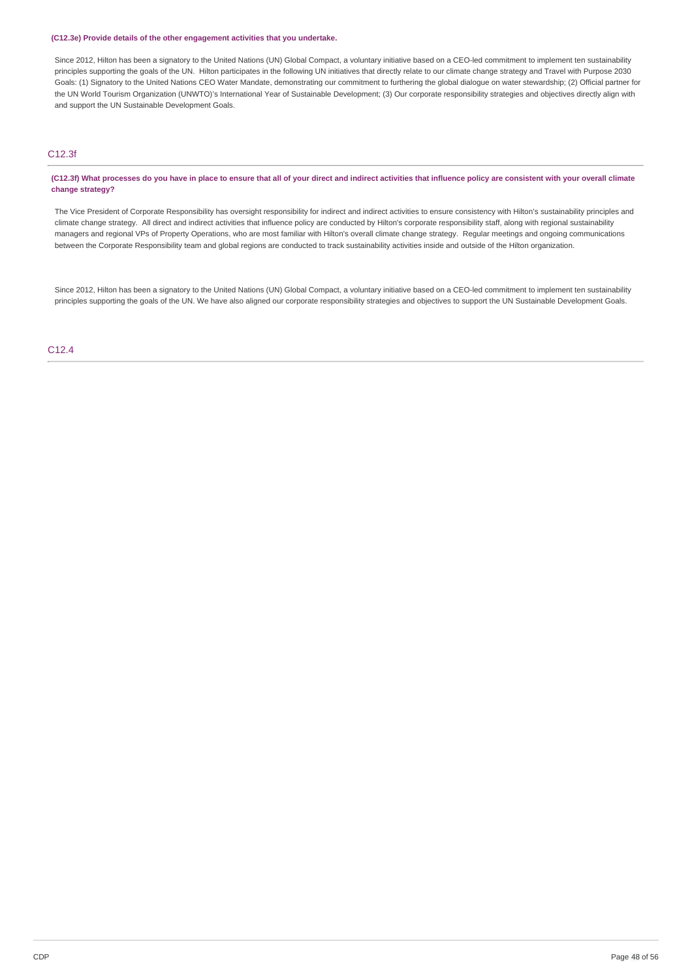### **(C12.3e) Provide details of the other engagement activities that you undertake.**

Since 2012, Hilton has been a signatory to the United Nations (UN) Global Compact, a voluntary initiative based on a CEO-led commitment to implement ten sustainability principles supporting the goals of the UN. Hilton participates in the following UN initiatives that directly relate to our climate change strategy and Travel with Purpose 2030 Goals: (1) Signatory to the United Nations CEO Water Mandate, demonstrating our commitment to furthering the global dialogue on water stewardship; (2) Official partner for the UN World Tourism Organization (UNWTO)'s International Year of Sustainable Development; (3) Our corporate responsibility strategies and objectives directly align with and support the UN Sustainable Development Goals.

## C12.3f

(C12.3f) What processes do you have in place to ensure that all of your direct and indirect activities that influence policy are consistent with your overall climate **change strategy?**

The Vice President of Corporate Responsibility has oversight responsibility for indirect and indirect activities to ensure consistency with Hilton's sustainability principles and climate change strategy. All direct and indirect activities that influence policy are conducted by Hilton's corporate responsibility staff, along with regional sustainability managers and regional VPs of Property Operations, who are most familiar with Hilton's overall climate change strategy. Regular meetings and ongoing communications between the Corporate Responsibility team and global regions are conducted to track sustainability activities inside and outside of the Hilton organization.

Since 2012, Hilton has been a signatory to the United Nations (UN) Global Compact, a voluntary initiative based on a CEO-led commitment to implement ten sustainability principles supporting the goals of the UN. We have also aligned our corporate responsibility strategies and objectives to support the UN Sustainable Development Goals.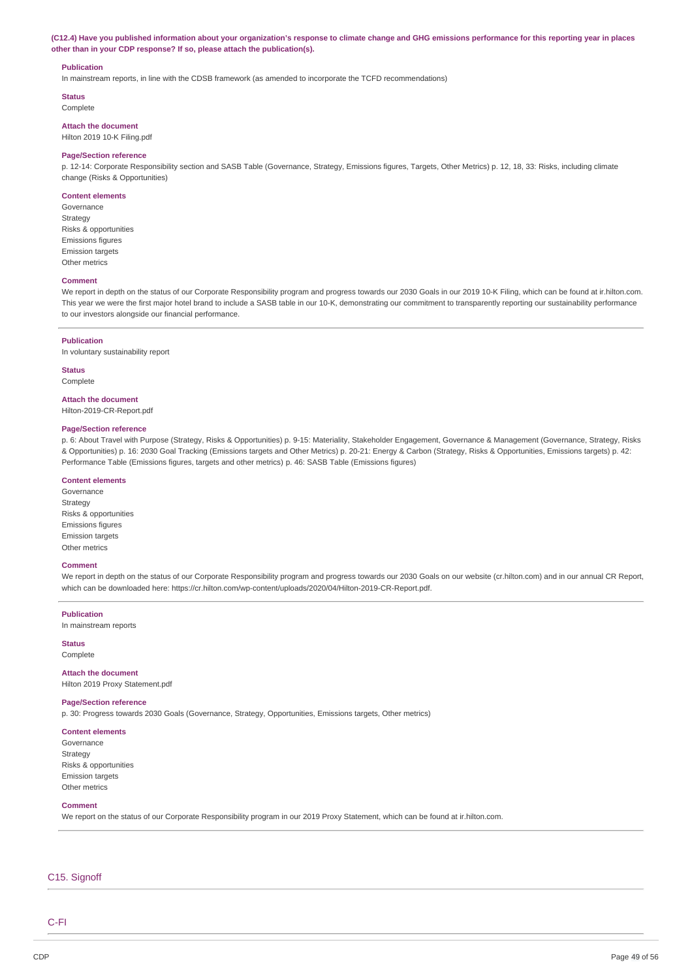(C12.4) Have you published information about your organization's response to climate change and GHG emissions performance for this reporting year in places **other than in your CDP response? If so, please attach the publication(s).**

### **Publication**

In mainstream reports, in line with the CDSB framework (as amended to incorporate the TCFD recommendations)

**Status**

Complete

**Attach the document** Hilton 2019 10-K Filing.pdf

### **Page/Section reference**

p. 12-14: Corporate Responsibility section and SASB Table (Governance, Strategy, Emissions figures, Targets, Other Metrics) p. 12, 18, 33: Risks, including climate change (Risks & Opportunities)

### **Content elements**

Governance Strategy Risks & opportunities Emissions figures Emission targets Other metrics

### **Comment**

We report in depth on the status of our Corporate Responsibility program and progress towards our 2030 Goals in our 2019 10-K Filing, which can be found at ir.hilton.com. This year we were the first major hotel brand to include a SASB table in our 10-K, demonstrating our commitment to transparently reporting our sustainability performance to our investors alongside our financial performance.

#### **Publication**

In voluntary sustainability report

**Status** Complete

#### **Attach the document**

Hilton-2019-CR-Report.pdf

### **Page/Section reference**

p. 6: About Travel with Purpose (Strategy, Risks & Opportunities) p. 9-15: Materiality, Stakeholder Engagement, Governance & Management (Governance, Strategy, Risks & Opportunities) p. 16: 2030 Goal Tracking (Emissions targets and Other Metrics) p. 20-21: Energy & Carbon (Strategy, Risks & Opportunities, Emissions targets) p. 42: Performance Table (Emissions figures, targets and other metrics) p. 46: SASB Table (Emissions figures)

## **Content elements**

Governance Strategy Risks & opportunities Emissions figures Emission targets Other metrics

#### **Comment**

We report in depth on the status of our Corporate Responsibility program and progress towards our 2030 Goals on our website (cr.hilton.com) and in our annual CR Report, which can be downloaded here: https://cr.hilton.com/wp-content/uploads/2020/04/Hilton-2019-CR-Report.pdf.

**Publication**

In mainstream reports

**Status** Complete

**Attach the document**

Hilton 2019 Proxy Statement.pdf

## **Page/Section reference**

p. 30: Progress towards 2030 Goals (Governance, Strategy, Opportunities, Emissions targets, Other metrics)

## **Content elements**

Governance Strategy Risks & opportunities Emission targets Other metrics

## **Comment**

We report on the status of our Corporate Responsibility program in our 2019 Proxy Statement, which can be found at ir.hilton.com.

## C15. Signoff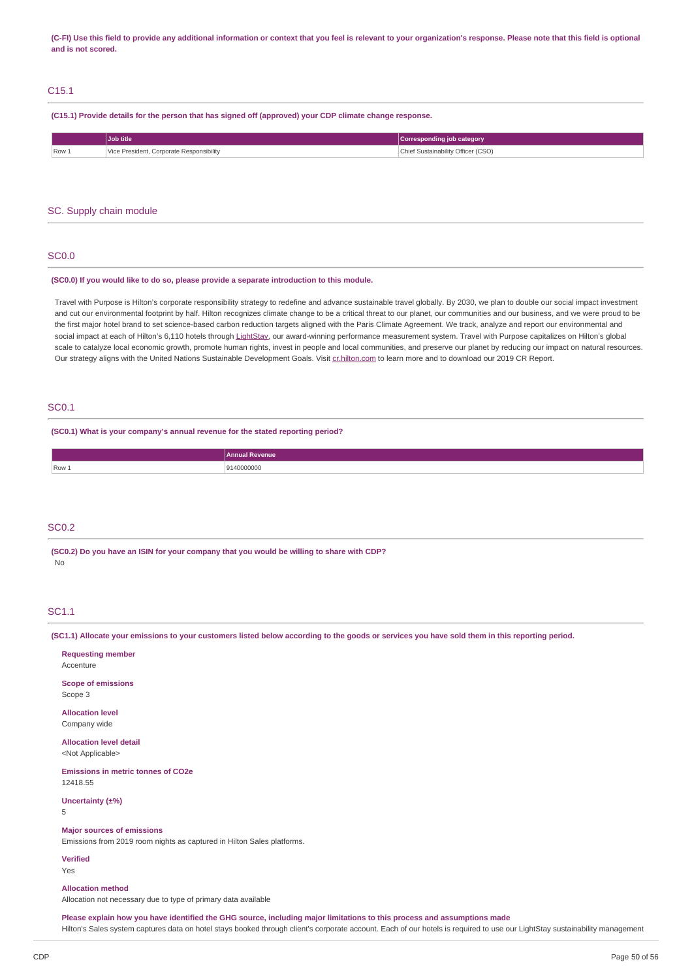(C-FI) Use this field to provide any additional information or context that you feel is relevant to your organization's response. Please note that this field is optional **and is not scored.**

## C15.1

**(C15.1) Provide details for the person that has signed off (approved) your CDP climate change response.**

| Job title               |                                          | Corresponding job category         |
|-------------------------|------------------------------------------|------------------------------------|
| $\sqrt{$ Row $\sqrt{ }$ | Vice President, Corporate Responsibility | Chief Sustainability Officer (CSO) |

### SC. Supply chain module

## SC0.0

### **(SC0.0) If you would like to do so, please provide a separate introduction to this module.**

Travel with Purpose is Hilton's corporate responsibility strategy to redefine and advance sustainable travel globally. By 2030, we plan to double our social impact investment and cut our environmental footprint by half. Hilton recognizes climate change to be a critical threat to our planet, our communities and our business, and we were proud to be the first major hotel brand to set science-based carbon reduction targets aligned with the Paris Climate Agreement. We track, analyze and report our environmental and social impact at each of Hilton's 6,110 hotels through [LightStay](https://cr.hilton.com/wp-content/uploads/2018/05/Hilton_2018_GoveranceMangement.pdf), our award-winning performance measurement system. Travel with Purpose capitalizes on Hilton's global scale to catalyze local economic growth, promote human rights, invest in people and local communities, and preserve our planet by reducing our impact on natural resources. Our strategy aligns with the United Nations Sustainable Development Goals. Visit [cr.hilton.com](https://cr.hilton.com/) to learn more and to download our 2019 CR Report.

## SC0.1

**(SC0.1) What is your company's annual revenue for the stated reporting period?**

| enue       |
|------------|
| 9140000000 |
|            |

## SC0.2

**(SC0.2) Do you have an ISIN for your company that you would be willing to share with CDP?** No

## SC1.1

(SC1.1) Allocate your emissions to your customers listed below according to the goods or services you have sold them in this reporting period.

| <b>Requesting member</b><br>Accenture                                                                       |
|-------------------------------------------------------------------------------------------------------------|
| <b>Scope of emissions</b><br>Scope 3                                                                        |
| <b>Allocation level</b><br>Company wide                                                                     |
| <b>Allocation level detail</b><br><not applicable=""></not>                                                 |
| <b>Emissions in metric tonnes of CO2e</b><br>12418.55                                                       |
| Uncertainty (±%)<br>5                                                                                       |
| <b>Major sources of emissions</b><br>Emissions from 2019 room nights as captured in Hilton Sales platforms. |
| <b>Verified</b><br>Yes                                                                                      |
| <b>Allocation method</b>                                                                                    |

Allocation not necessary due to type of primary data available

Please explain how you have identified the GHG source, including major limitations to this process and assumptions made

Hilton's Sales system captures data on hotel stays booked through client's corporate account. Each of our hotels is required to use our LightStay sustainability management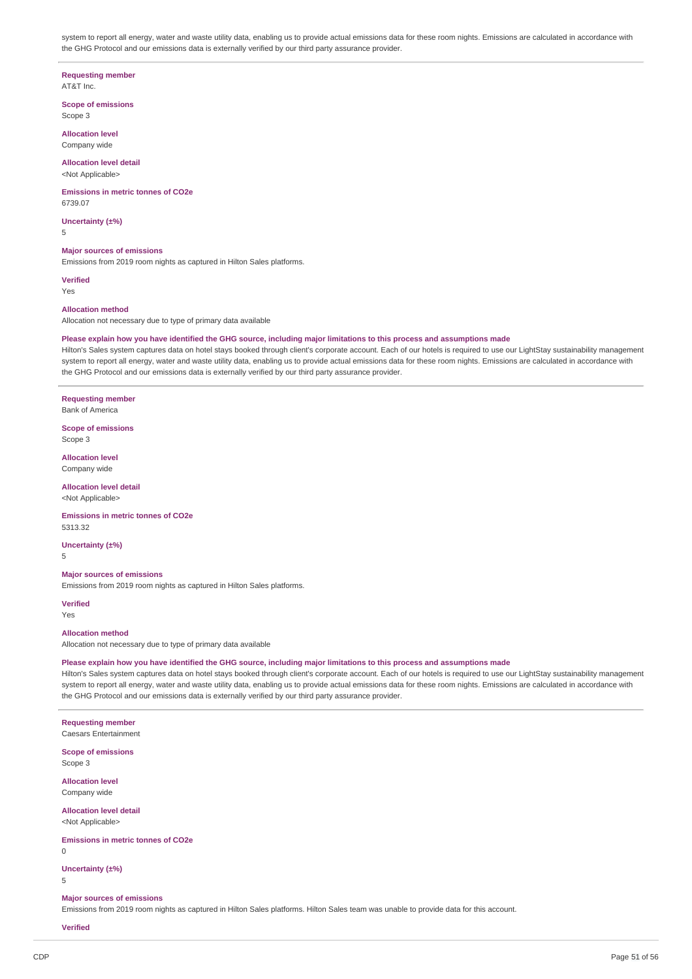system to report all energy, water and waste utility data, enabling us to provide actual emissions data for these room nights. Emissions are calculated in accordance with the GHG Protocol and our emissions data is externally verified by our third party assurance provider.

### **Requesting member**

AT&T Inc.

**Scope of emissions** Scope 3

**Allocation level** Company wide

### **Allocation level detail** <Not Applicable>

**Emissions in metric tonnes of CO2e**

**Uncertainty (±%)**

5

6739.07

## **Major sources of emissions**

Emissions from 2019 room nights as captured in Hilton Sales platforms.

### **Verified**

Yes

### **Allocation method**

Allocation not necessary due to type of primary data available

### Please explain how you have identified the GHG source, including major limitations to this process and assumptions made

Hilton's Sales system captures data on hotel stays booked through client's corporate account. Each of our hotels is required to use our LightStay sustainability management system to report all energy, water and waste utility data, enabling us to provide actual emissions data for these room nights. Emissions are calculated in accordance with the GHG Protocol and our emissions data is externally verified by our third party assurance provider.

## **Requesting member**

Bank of America

**Scope of emissions** Scope 3

**Allocation level** Company wide

**Allocation level detail**

<Not Applicable>

### **Emissions in metric tonnes of CO2e** 5313.32

**Uncertainty (±%)**

5

## **Major sources of emissions**

Emissions from 2019 room nights as captured in Hilton Sales platforms.

**Verified**

Yes

## **Allocation method**

Allocation not necessary due to type of primary data available

## Please explain how you have identified the GHG source, including major limitations to this process and assumptions made

Hilton's Sales system captures data on hotel stays booked through client's corporate account. Each of our hotels is required to use our LightStay sustainability management system to report all energy, water and waste utility data, enabling us to provide actual emissions data for these room nights. Emissions are calculated in accordance with the GHG Protocol and our emissions data is externally verified by our third party assurance provider.

## **Requesting member**

Caesars Entertainment

**Scope of emissions** Scope 3

**Allocation level** Company wide

### **Allocation level detail**

<Not Applicable>

### **Emissions in metric tonnes of CO2e**

 $\Omega$ 

### **Uncertainty (±%)**

5

### **Major sources of emissions**

Emissions from 2019 room nights as captured in Hilton Sales platforms. Hilton Sales team was unable to provide data for this account.

### **Verified**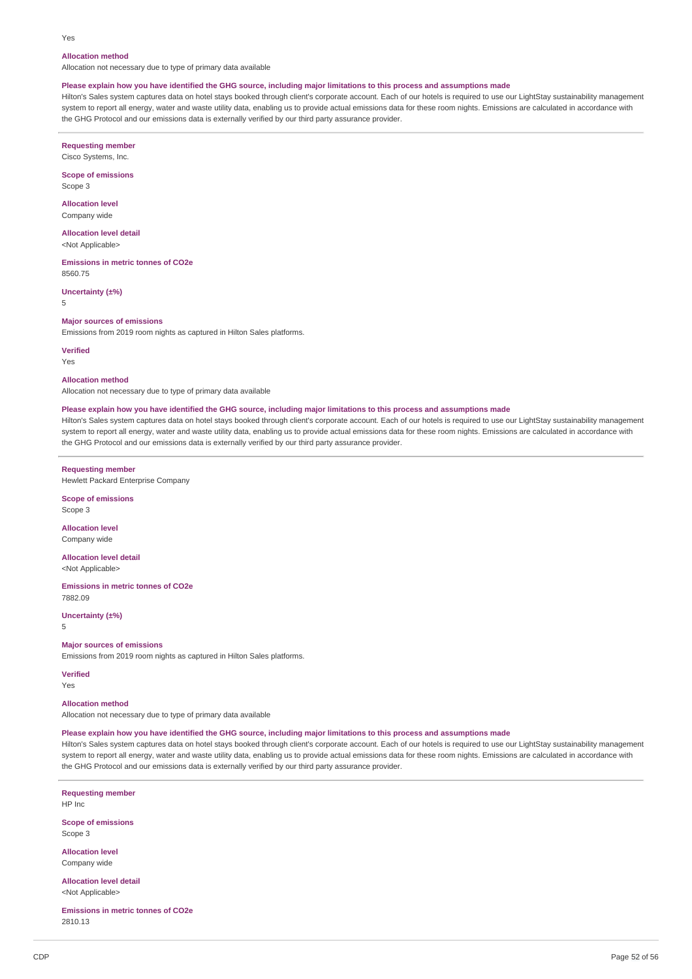#### Yes

### **Allocation method**

Allocation not necessary due to type of primary data available

### Please explain how you have identified the GHG source, including major limitations to this process and assumptions made

Hilton's Sales system captures data on hotel stays booked through client's corporate account. Each of our hotels is required to use our LightStay sustainability management system to report all energy, water and waste utility data, enabling us to provide actual emissions data for these room nights. Emissions are calculated in accordance with the GHG Protocol and our emissions data is externally verified by our third party assurance provider.

**Requesting member** Cisco Systems, Inc.

**Scope of emissions** Scope 3

**Allocation level** Company wide

**Allocation level detail** <Not Applicable>

**Emissions in metric tonnes of CO2e** 8560.75

**Uncertainty (±%)**

5

#### **Major sources of emissions**

Emissions from 2019 room nights as captured in Hilton Sales platforms.

**Verified**

Yes

**Allocation method**

Allocation not necessary due to type of primary data available

### Please explain how you have identified the GHG source, including major limitations to this process and assumptions made

Hilton's Sales system captures data on hotel stays booked through client's corporate account. Each of our hotels is required to use our LightStay sustainability management system to report all energy, water and waste utility data, enabling us to provide actual emissions data for these room nights. Emissions are calculated in accordance with the GHG Protocol and our emissions data is externally verified by our third party assurance provider.

**Requesting member**

Hewlett Packard Enterprise Company

**Scope of emissions** Scope 3

**Allocation level** Company wide

**Allocation level detail** <Not Applicable>

**Emissions in metric tonnes of CO2e** 7882.09

**Uncertainty (±%)**

5

## **Major sources of emissions**

Emissions from 2019 room nights as captured in Hilton Sales platforms.

**Verified** Yes

**Allocation method**

Allocation not necessary due to type of primary data available

## Please explain how you have identified the GHG source, including major limitations to this process and assumptions made

Hilton's Sales system captures data on hotel stays booked through client's corporate account. Each of our hotels is required to use our LightStay sustainability management system to report all energy, water and waste utility data, enabling us to provide actual emissions data for these room nights. Emissions are calculated in accordance with the GHG Protocol and our emissions data is externally verified by our third party assurance provider.

**Requesting member** HP Inc

**Scope of emissions** Scope 3

**Allocation level** Company wide

**Allocation level detail** <Not Applicable>

**Emissions in metric tonnes of CO2e** 2810.13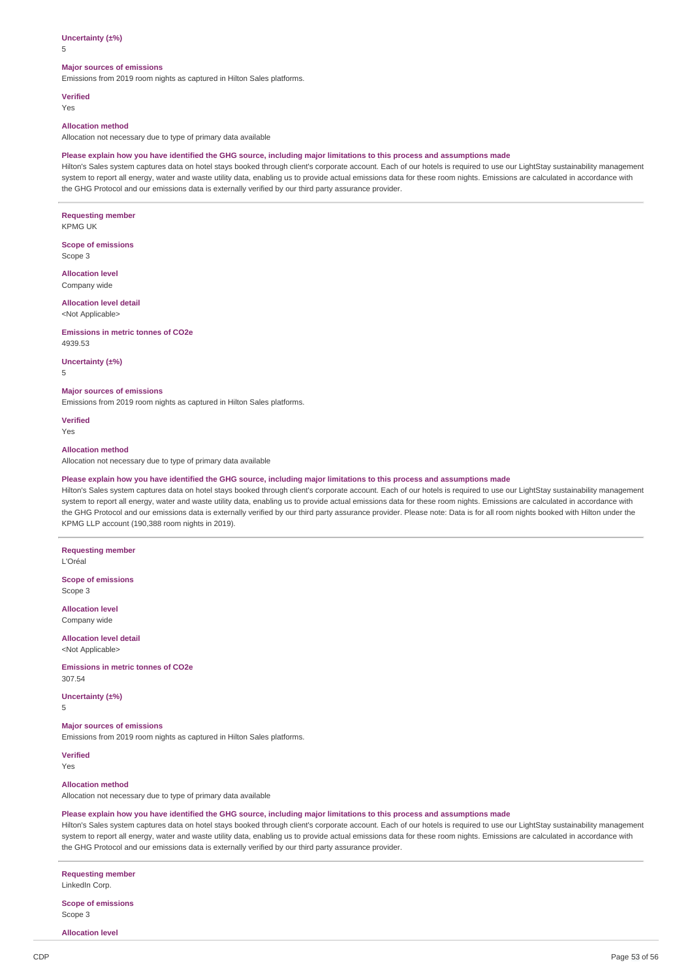### **Uncertainty (±%)**

5

### **Major sources of emissions**

Emissions from 2019 room nights as captured in Hilton Sales platforms.

**Verified** Yes

#### **Allocation method**

Allocation not necessary due to type of primary data available

### Please explain how you have identified the GHG source, including major limitations to this process and assumptions made

Hilton's Sales system captures data on hotel stays booked through client's corporate account. Each of our hotels is required to use our LightStay sustainability management system to report all energy, water and waste utility data, enabling us to provide actual emissions data for these room nights. Emissions are calculated in accordance with the GHG Protocol and our emissions data is externally verified by our third party assurance provider.

### **Requesting member**

KPMG UK

**Scope of emissions** Scope 3

**Allocation level** Company wide

**Allocation level detail**

<Not Applicable>

**Emissions in metric tonnes of CO2e** 4939.53

**Uncertainty (±%)**

5

### **Major sources of emissions**

Emissions from 2019 room nights as captured in Hilton Sales platforms.

**Verified** Yes

### **Allocation method**

Allocation not necessary due to type of primary data available

### Please explain how you have identified the GHG source, including major limitations to this process and assumptions made

Hilton's Sales system captures data on hotel stays booked through client's corporate account. Each of our hotels is required to use our LightStay sustainability management system to report all energy, water and waste utility data, enabling us to provide actual emissions data for these room nights. Emissions are calculated in accordance with the GHG Protocol and our emissions data is externally verified by our third party assurance provider. Please note: Data is for all room nights booked with Hilton under the KPMG LLP account (190,388 room nights in 2019).

**Requesting member**

L'Oréal

**Scope of emissions** Scope 3

**Allocation level** Company wide

**Allocation level detail** <Not Applicable>

**Emissions in metric tonnes of CO2e**

307.54

**Uncertainty (±%)** 5

## **Major sources of emissions**

Emissions from 2019 room nights as captured in Hilton Sales platforms.

**Verified** Yes

### **Allocation method**

Allocation not necessary due to type of primary data available

### Please explain how you have identified the GHG source, including major limitations to this process and assumptions made

Hilton's Sales system captures data on hotel stays booked through client's corporate account. Each of our hotels is required to use our LightStay sustainability management system to report all energy, water and waste utility data, enabling us to provide actual emissions data for these room nights. Emissions are calculated in accordance with the GHG Protocol and our emissions data is externally verified by our third party assurance provider.

**Requesting member**

LinkedIn Corp.

**Scope of emissions** Scope 3

**Allocation level**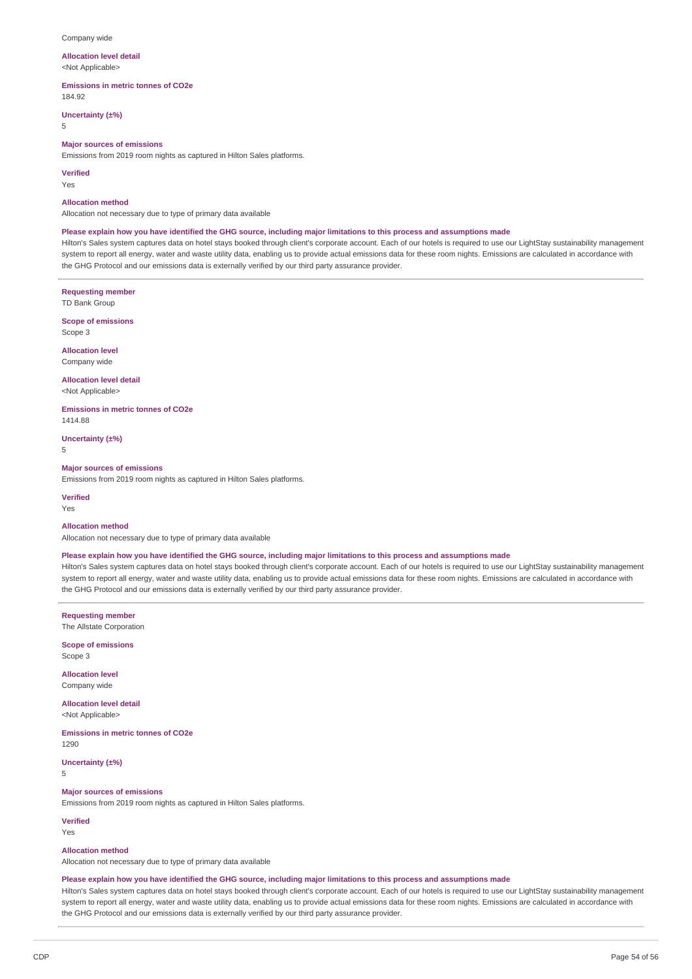### Company wide

## **Allocation level detail**

<Not Applicable>

**Emissions in metric tonnes of CO2e** 184.92

**Uncertainty (±%)**

## 5

**Major sources of emissions**

Emissions from 2019 room nights as captured in Hilton Sales platforms.

**Verified**

Yes

### **Allocation method**

Allocation not necessary due to type of primary data available

### Please explain how you have identified the GHG source, including major limitations to this process and assumptions made

Hilton's Sales system captures data on hotel stays booked through client's corporate account. Each of our hotels is required to use our LightStay sustainability management system to report all energy, water and waste utility data, enabling us to provide actual emissions data for these room nights. Emissions are calculated in accordance with the GHG Protocol and our emissions data is externally verified by our third party assurance provider.

**Requesting member**

TD Bank Group

**Scope of emissions**

Scope 3

**Allocation level** Company wide

**Allocation level detail**

<Not Applicable>

**Emissions in metric tonnes of CO2e** 1414.88

**Uncertainty (±%)** 5

#### **Major sources of emissions**

Emissions from 2019 room nights as captured in Hilton Sales platforms.

**Verified** Yes

## **Allocation method**

Allocation not necessary due to type of primary data available

### Please explain how you have identified the GHG source, including major limitations to this process and assumptions made

Hilton's Sales system captures data on hotel stays booked through client's corporate account. Each of our hotels is required to use our LightStay sustainability management system to report all energy, water and waste utility data, enabling us to provide actual emissions data for these room nights. Emissions are calculated in accordance with the GHG Protocol and our emissions data is externally verified by our third party assurance provider.

**Requesting member** The Allstate Corporation

**Scope of emissions** Scope 3

**Allocation level** Company wide

**Allocation level detail** <Not Applicable>

**Emissions in metric tonnes of CO2e** 1290

**Uncertainty (±%)** 5

#### **Major sources of emissions**

Emissions from 2019 room nights as captured in Hilton Sales platforms.

**Verified**

Yes

## **Allocation method**

Allocation not necessary due to type of primary data available

### Please explain how you have identified the GHG source, including major limitations to this process and assumptions made

Hilton's Sales system captures data on hotel stays booked through client's corporate account. Each of our hotels is required to use our LightStay sustainability management system to report all energy, water and waste utility data, enabling us to provide actual emissions data for these room nights. Emissions are calculated in accordance with the GHG Protocol and our emissions data is externally verified by our third party assurance provider.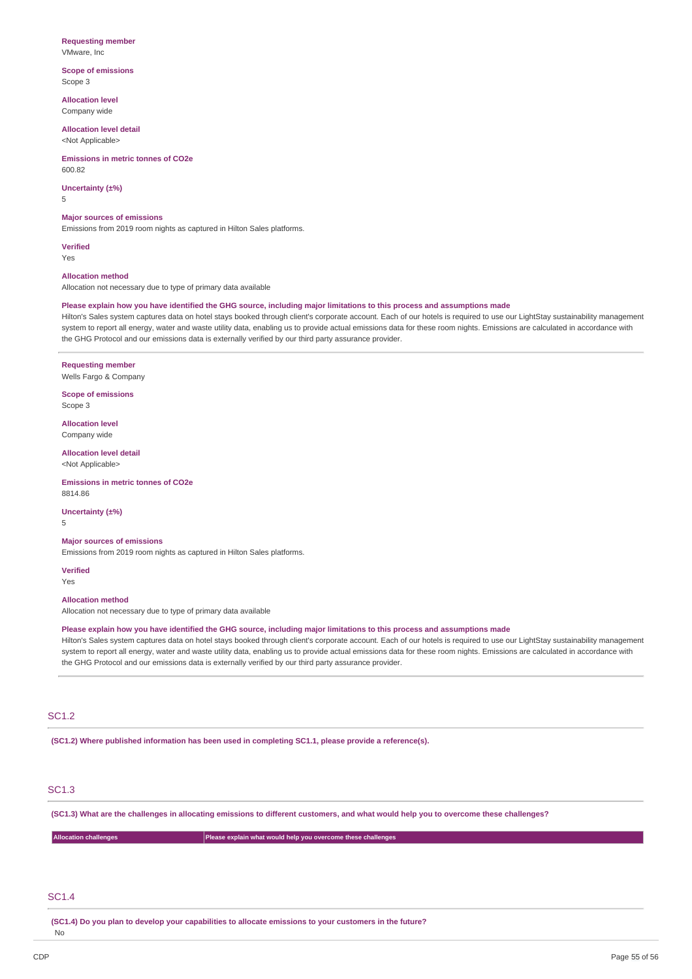## **Requesting member**

VMware, Inc

**Scope of emissions** Scope 3

**Allocation level** Company wide

**Allocation level detail** <Not Applicable>

**Emissions in metric tonnes of CO2e**

**Uncertainty (±%)** 5

**Major sources of emissions**

Emissions from 2019 room nights as captured in Hilton Sales platforms.

**Verified** Yes

600.82

### **Allocation method**

Allocation not necessary due to type of primary data available

### Please explain how you have identified the GHG source, including major limitations to this process and assumptions made

Hilton's Sales system captures data on hotel stays booked through client's corporate account. Each of our hotels is required to use our LightStay sustainability management system to report all energy, water and waste utility data, enabling us to provide actual emissions data for these room nights. Emissions are calculated in accordance with the GHG Protocol and our emissions data is externally verified by our third party assurance provider.

## **Requesting member**

Wells Fargo & Company

**Scope of emissions** Scope 3

**Allocation level** Company wide

**Allocation level detail** <Not Applicable>

**Emissions in metric tonnes of CO2e** 8814.86

**Uncertainty (±%)**

5

## **Major sources of emissions**

Emissions from 2019 room nights as captured in Hilton Sales platforms.

**Verified**

Yes

## **Allocation method**

Allocation not necessary due to type of primary data available

## Please explain how you have identified the GHG source, including major limitations to this process and assumptions made

Hilton's Sales system captures data on hotel stays booked through client's corporate account. Each of our hotels is required to use our LightStay sustainability management system to report all energy, water and waste utility data, enabling us to provide actual emissions data for these room nights. Emissions are calculated in accordance with the GHG Protocol and our emissions data is externally verified by our third party assurance provider.

## SC1.2

**(SC1.2) Where published information has been used in completing SC1.1, please provide a reference(s).**

## SC1.3

(SC1.3) What are the challenges in allocating emissions to different customers, and what would help you to overcome these challenges?

| <b>Allocation challenges</b> | Please explain what would help you overcome these challenges |
|------------------------------|--------------------------------------------------------------|
|                              |                                                              |

## SC1.4

No

**(SC1.4) Do you plan to develop your capabilities to allocate emissions to your customers in the future?**